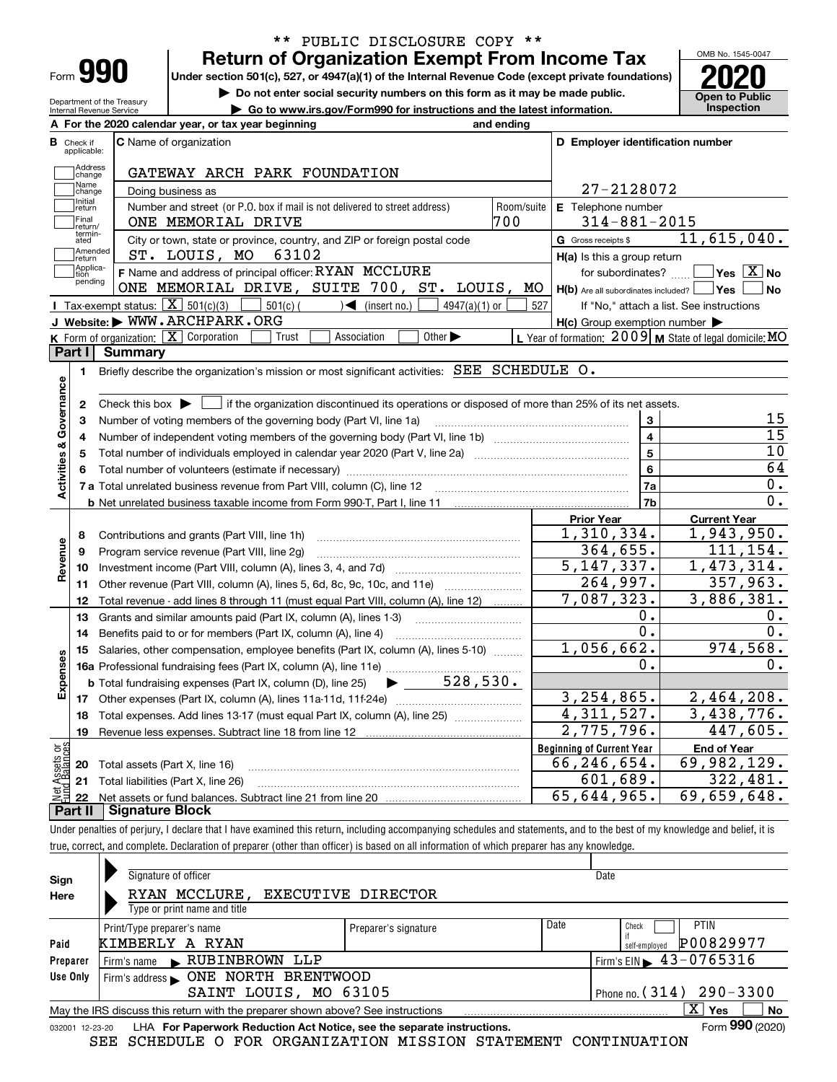| Form |  |
|------|--|

### **Return of Organization Exempt From Income Tax** \*\* PUBLIC DISCLOSURE COPY \*\*

**Under section 501(c), 527, or 4947(a)(1) of the Internal Revenue Code (except private foundations) 2020**

**| Do not enter social security numbers on this form as it may be made public.**

**| Go to www.irs.gov/Form990 for instructions and the latest information. Inspection**

OMB No. 1545-0047 **Open to Public** 

| Department of the Treasury<br>Internal Revenue Service |  |
|--------------------------------------------------------|--|
| A For the 2020 calendar                                |  |
|                                                        |  |

|                         |                             | A For the 2020 calendar year, or tax year beginning                                                                                       | and ending |                                                     |                                                           |
|-------------------------|-----------------------------|-------------------------------------------------------------------------------------------------------------------------------------------|------------|-----------------------------------------------------|-----------------------------------------------------------|
| В                       | Check if<br>applicable:     | C Name of organization                                                                                                                    |            | D Employer identification number                    |                                                           |
|                         | Address<br>change           | GATEWAY ARCH PARK FOUNDATION                                                                                                              |            |                                                     |                                                           |
|                         | Name<br>change              | Doing business as                                                                                                                         |            | 27-2128072                                          |                                                           |
|                         | Initial<br>return           | Number and street (or P.O. box if mail is not delivered to street address)                                                                | Room/suite | E Telephone number                                  |                                                           |
|                         | Final<br>return/            | ONE MEMORIAL DRIVE                                                                                                                        | 700        | $314 - 881 - 2015$                                  |                                                           |
|                         | termin-<br>ated             | City or town, state or province, country, and ZIP or foreign postal code                                                                  |            | G Gross receipts \$                                 | 11,615,040.                                               |
|                         | Amended<br>return           | 63102<br>ST. LOUIS, MO                                                                                                                    |            | H(a) Is this a group return                         |                                                           |
|                         | Applica-<br>tion<br>pending | F Name and address of principal officer: RYAN MCCLURE                                                                                     |            | for subordinates?                                   | $\boxed{\phantom{1}}$ Yes $\boxed{\text{X}}$ No           |
|                         |                             | ONE MEMORIAL DRIVE, SUITE 700, ST. LOUIS,                                                                                                 | MO         | $H(b)$ Are all subordinates included? $\Box$ Yes    | l No                                                      |
|                         |                             | Tax-exempt status: $\boxed{\mathbf{X}}$ 501(c)(3) $\boxed{\phantom{0}}$ 501(c)(<br>$\sqrt{\frac{1}{1}}$ (insert no.)<br>$4947(a)(1)$ or   | 527        |                                                     | If "No," attach a list. See instructions                  |
|                         |                             | J Website: WWW.ARCHPARK.ORG                                                                                                               |            | $H(c)$ Group exemption number $\blacktriangleright$ |                                                           |
|                         |                             | K Form of organization: X Corporation<br>Association<br>Other $\blacktriangleright$<br>Trust                                              |            |                                                     | L Year of formation: $2009$ M State of legal domicile: MO |
|                         | Part I                      | <b>Summary</b>                                                                                                                            |            |                                                     |                                                           |
|                         | 1.                          | Briefly describe the organization's mission or most significant activities: SEE SCHEDULE O.                                               |            |                                                     |                                                           |
| Activities & Governance |                             |                                                                                                                                           |            |                                                     |                                                           |
|                         | 2                           | Check this box $\blacktriangleright \Box$ if the organization discontinued its operations or disposed of more than 25% of its net assets. |            |                                                     | 15                                                        |
|                         | з                           | Number of voting members of the governing body (Part VI, line 1a)                                                                         |            | 3<br>$\overline{4}$                                 | $\overline{15}$                                           |
|                         | 4                           |                                                                                                                                           |            | 5                                                   | 10                                                        |
|                         | 5<br>6                      |                                                                                                                                           |            | 6                                                   | 64                                                        |
|                         |                             |                                                                                                                                           |            | <b>7a</b>                                           | 0.                                                        |
|                         |                             |                                                                                                                                           |            | 7 <sub>b</sub>                                      | $\overline{0}$ .                                          |
|                         |                             |                                                                                                                                           |            | <b>Prior Year</b>                                   | <b>Current Year</b>                                       |
|                         | 8                           | Contributions and grants (Part VIII, line 1h)                                                                                             |            | 1,310,334.                                          | 1,943,950.                                                |
| Revenue                 | 9                           | Program service revenue (Part VIII, line 2g)                                                                                              |            | 364,655.                                            | 111, 154.                                                 |
|                         | 10                          |                                                                                                                                           |            | 5, 147, 337.                                        | 1,473,314.                                                |
|                         |                             | 11 Other revenue (Part VIII, column (A), lines 5, 6d, 8c, 9c, 10c, and 11e)                                                               |            | 264,997.                                            | 357,963.                                                  |
|                         | 12                          | Total revenue - add lines 8 through 11 (must equal Part VIII, column (A), line 12)                                                        |            | 7,087,323.                                          | 3,886,381.                                                |
|                         | 13                          | Grants and similar amounts paid (Part IX, column (A), lines 1-3)                                                                          |            | ο.                                                  | 0.                                                        |
|                         | 14                          | Benefits paid to or for members (Part IX, column (A), line 4)                                                                             |            | $\overline{0}$ .                                    | 0.                                                        |
|                         | 15                          | Salaries, other compensation, employee benefits (Part IX, column (A), lines 5-10)                                                         |            | 1,056,662.                                          | 974,568.                                                  |
| Expenses                |                             |                                                                                                                                           |            | 0.                                                  | $0$ .                                                     |
|                         |                             | $\blacktriangleright$ 528,530.<br><b>b</b> Total fundraising expenses (Part IX, column (D), line 25)                                      |            |                                                     |                                                           |
|                         |                             |                                                                                                                                           |            | 3, 254, 865.                                        | 2,464,208.                                                |
|                         | 18                          | Total expenses. Add lines 13-17 (must equal Part IX, column (A), line 25)                                                                 |            | $\overline{4,311},527.$                             | 3,438,776.                                                |
|                         | 19                          |                                                                                                                                           |            | 2,775,796.                                          | 447,605.                                                  |
| بۆچ                     |                             |                                                                                                                                           |            | <b>Beginning of Current Year</b>                    | <b>End of Year</b>                                        |
| pssets                  |                             | <b>20</b> Total assets (Part X, line 16)                                                                                                  |            | $\overline{66}$ , 246, 654.                         | 69,982,129.                                               |
|                         |                             | 21 Total liabilities (Part X, line 26)                                                                                                    |            | 601,689.                                            | 322,481.                                                  |
|                         | 22<br>Part II               | Net assets or fund balances. Subtract line 21 from line 20 manual contents of the line<br>Signature Block                                 |            | 65,644,965.                                         | 69,659,648.                                               |
|                         |                             |                                                                                                                                           |            |                                                     |                                                           |

Under penalties of perjury, I declare that I have examined this return, including accompanying schedules and statements, and to the best of my knowledge and belief, it is true, correct, and complete. Declaration of preparer (other than officer) is based on all information of which preparer has any knowledge.

| Sign            | Signature of officer                                                            |                      |      | Date                                        |
|-----------------|---------------------------------------------------------------------------------|----------------------|------|---------------------------------------------|
| Here            | RYAN MCCLURE, EXECUTIVE DIRECTOR                                                |                      |      |                                             |
|                 | Type or print name and title                                                    |                      |      |                                             |
|                 | Print/Type preparer's name                                                      | Preparer's signature | Date | <b>PTIN</b><br>Check                        |
| Paid            | KIMBERLY A RYAN                                                                 |                      |      | P00829977<br>self-emploved                  |
| Preparer        | Firm's name RUBINBROWN<br>LLP                                                   |                      |      | Firm's EIN $\blacktriangleright$ 43-0765316 |
| Use Only        |                                                                                 |                      |      |                                             |
|                 | SAINT LOUIS, MO 63105                                                           |                      |      | Phone no. $(314)$ 290 - 3300                |
|                 | May the IRS discuss this return with the preparer shown above? See instructions |                      |      | $X \vert Y$ es<br>No                        |
| 032001 12-23-20 | LHA For Paperwork Reduction Act Notice, see the separate instructions.          |                      |      | Form 990 (2020)                             |
|                 | A<br>$\alpha$ mm                                                                |                      |      |                                             |

SEE SCHEDULE O FOR ORGANIZATION MISSION STATEMENT CONTINUATION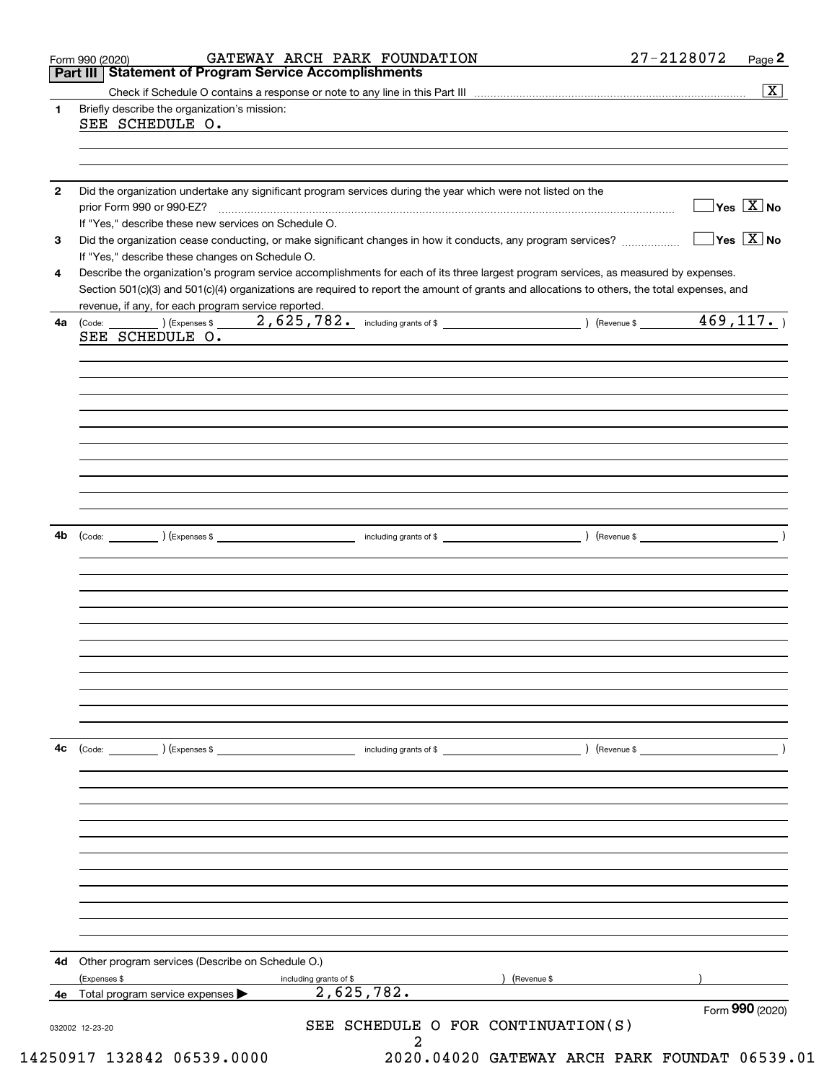| 4d<br>4е     | Other program services (Describe on Schedule O.)<br>(Expenses \$<br>Total program service expenses                                                                                                                                                                                   | including grants of \$<br>2,625,782.                                                                                  | (Revenue \$   | Form 990 (2020)                         |  |  |  |
|--------------|--------------------------------------------------------------------------------------------------------------------------------------------------------------------------------------------------------------------------------------------------------------------------------------|-----------------------------------------------------------------------------------------------------------------------|---------------|-----------------------------------------|--|--|--|
|              |                                                                                                                                                                                                                                                                                      |                                                                                                                       |               |                                         |  |  |  |
|              |                                                                                                                                                                                                                                                                                      |                                                                                                                       |               |                                         |  |  |  |
|              |                                                                                                                                                                                                                                                                                      |                                                                                                                       |               |                                         |  |  |  |
|              |                                                                                                                                                                                                                                                                                      |                                                                                                                       |               |                                         |  |  |  |
|              |                                                                                                                                                                                                                                                                                      |                                                                                                                       |               |                                         |  |  |  |
|              |                                                                                                                                                                                                                                                                                      |                                                                                                                       |               |                                         |  |  |  |
|              |                                                                                                                                                                                                                                                                                      |                                                                                                                       |               |                                         |  |  |  |
|              |                                                                                                                                                                                                                                                                                      | including grants of \$                                                                                                |               |                                         |  |  |  |
| 4с           | $\left(\text{Code:} \right)$ $\left(\text{Expenses $}\right)$                                                                                                                                                                                                                        |                                                                                                                       | ) (Revenue \$ |                                         |  |  |  |
|              |                                                                                                                                                                                                                                                                                      |                                                                                                                       |               |                                         |  |  |  |
|              |                                                                                                                                                                                                                                                                                      |                                                                                                                       |               |                                         |  |  |  |
|              |                                                                                                                                                                                                                                                                                      |                                                                                                                       |               |                                         |  |  |  |
|              |                                                                                                                                                                                                                                                                                      |                                                                                                                       |               |                                         |  |  |  |
|              |                                                                                                                                                                                                                                                                                      |                                                                                                                       |               |                                         |  |  |  |
| 4b           |                                                                                                                                                                                                                                                                                      |                                                                                                                       |               |                                         |  |  |  |
|              |                                                                                                                                                                                                                                                                                      |                                                                                                                       |               |                                         |  |  |  |
|              |                                                                                                                                                                                                                                                                                      |                                                                                                                       |               |                                         |  |  |  |
|              |                                                                                                                                                                                                                                                                                      |                                                                                                                       |               |                                         |  |  |  |
|              |                                                                                                                                                                                                                                                                                      |                                                                                                                       |               |                                         |  |  |  |
|              |                                                                                                                                                                                                                                                                                      |                                                                                                                       |               |                                         |  |  |  |
|              | SEE SCHEDULE O.                                                                                                                                                                                                                                                                      |                                                                                                                       |               |                                         |  |  |  |
| 4a           | revenue, if any, for each program service reported.                                                                                                                                                                                                                                  | $(\text{Code:}\_\_)$ (Expenses \$ $\_\_2$ , 625, 782. including grants of \$ $\_\_$ ) (Revenue \$ $\_\_4$ 469, 117. ) |               |                                         |  |  |  |
| 4            | Describe the organization's program service accomplishments for each of its three largest program services, as measured by expenses.<br>Section 501(c)(3) and 501(c)(4) organizations are required to report the amount of grants and allocations to others, the total expenses, and |                                                                                                                       |               |                                         |  |  |  |
| 3            | If "Yes," describe these changes on Schedule O.                                                                                                                                                                                                                                      |                                                                                                                       |               |                                         |  |  |  |
|              | If "Yes," describe these new services on Schedule O.                                                                                                                                                                                                                                 |                                                                                                                       |               | $\Box$ Yes $[\overline{\mathrm{X}}]$ No |  |  |  |
| $\mathbf{2}$ | prior Form 990 or 990-EZ?                                                                                                                                                                                                                                                            | Did the organization undertake any significant program services during the year which were not listed on the          |               | $\sqrt{}$ Yes $\sqrt{X}$ No             |  |  |  |
|              |                                                                                                                                                                                                                                                                                      |                                                                                                                       |               |                                         |  |  |  |
|              | SEE SCHEDULE O.                                                                                                                                                                                                                                                                      |                                                                                                                       |               |                                         |  |  |  |
| 1.           | Briefly describe the organization's mission:                                                                                                                                                                                                                                         |                                                                                                                       |               | $\overline{\mathbf{X}}$                 |  |  |  |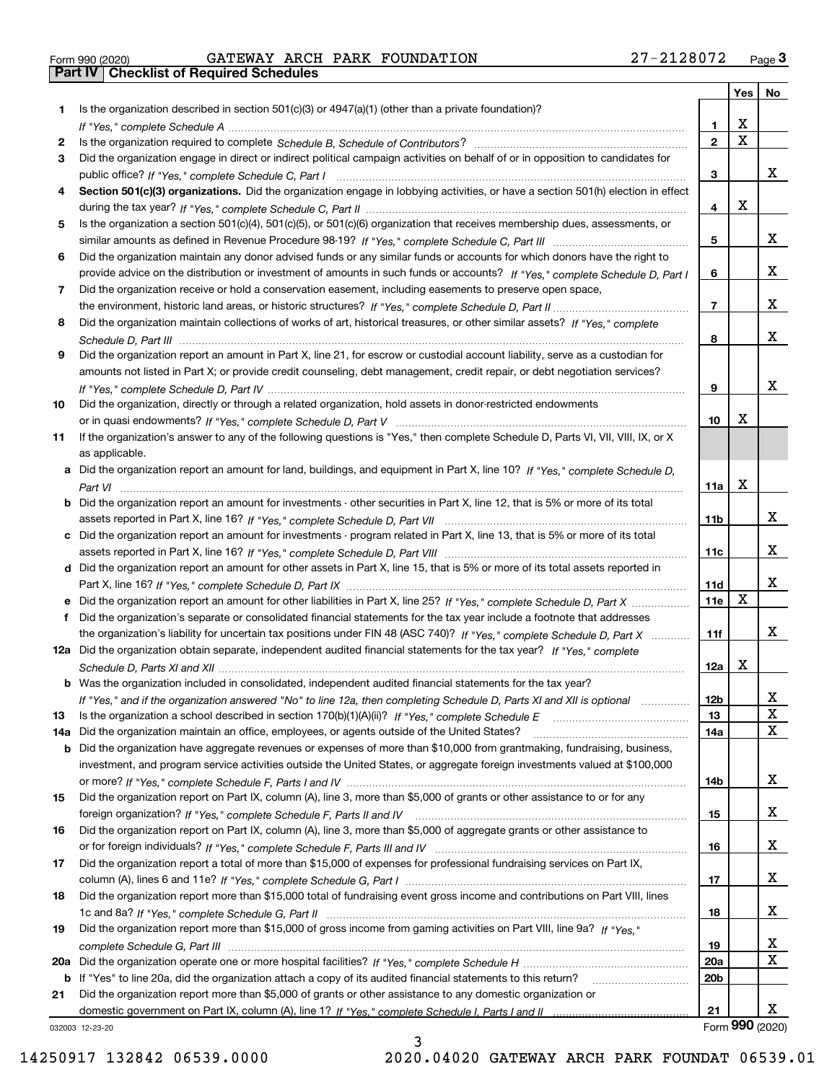|  | Form 990 (2020) |  |
|--|-----------------|--|

Form 990 (2020) GATEWAY ARCH PARK FOUNDATION 27-2128072 <sub>Page</sub> 3<br>**Part IV | Checklist of Required Schedules** 

|     |                                                                                                                                                 |                 | Yes                     | No                |
|-----|-------------------------------------------------------------------------------------------------------------------------------------------------|-----------------|-------------------------|-------------------|
| 1.  | Is the organization described in section $501(c)(3)$ or $4947(a)(1)$ (other than a private foundation)?                                         |                 |                         |                   |
|     |                                                                                                                                                 | 1.              | X                       |                   |
| 2   |                                                                                                                                                 | $\overline{2}$  | $\overline{\mathbf{x}}$ |                   |
| 3   | Did the organization engage in direct or indirect political campaign activities on behalf of or in opposition to candidates for                 |                 |                         | х                 |
|     |                                                                                                                                                 | 3               |                         |                   |
| 4   | Section 501(c)(3) organizations. Did the organization engage in lobbying activities, or have a section 501(h) election in effect                | 4               | X                       |                   |
| 5   | Is the organization a section 501(c)(4), 501(c)(5), or 501(c)(6) organization that receives membership dues, assessments, or                    |                 |                         |                   |
|     |                                                                                                                                                 | 5               |                         | х                 |
| 6   | Did the organization maintain any donor advised funds or any similar funds or accounts for which donors have the right to                       |                 |                         |                   |
|     | provide advice on the distribution or investment of amounts in such funds or accounts? If "Yes," complete Schedule D, Part I                    | 6               |                         | x                 |
| 7   | Did the organization receive or hold a conservation easement, including easements to preserve open space,                                       |                 |                         |                   |
|     |                                                                                                                                                 | $\overline{7}$  |                         | x                 |
| 8   | Did the organization maintain collections of works of art, historical treasures, or other similar assets? If "Yes," complete                    |                 |                         |                   |
|     |                                                                                                                                                 | 8               |                         | x                 |
| 9   | Did the organization report an amount in Part X, line 21, for escrow or custodial account liability, serve as a custodian for                   |                 |                         |                   |
|     | amounts not listed in Part X; or provide credit counseling, debt management, credit repair, or debt negotiation services?                       |                 |                         |                   |
|     |                                                                                                                                                 | 9               |                         | x                 |
| 10  | Did the organization, directly or through a related organization, hold assets in donor-restricted endowments                                    |                 |                         |                   |
|     |                                                                                                                                                 | 10              | Х                       |                   |
| 11  | If the organization's answer to any of the following questions is "Yes," then complete Schedule D, Parts VI, VII, VIII, IX, or X                |                 |                         |                   |
|     | as applicable.<br>a Did the organization report an amount for land, buildings, and equipment in Part X, line 10? If "Yes," complete Schedule D, |                 |                         |                   |
|     |                                                                                                                                                 | 11a             | X                       |                   |
|     | b Did the organization report an amount for investments - other securities in Part X, line 12, that is 5% or more of its total                  |                 |                         |                   |
|     |                                                                                                                                                 | 11 <sub>b</sub> |                         | x                 |
|     | c Did the organization report an amount for investments - program related in Part X, line 13, that is 5% or more of its total                   |                 |                         |                   |
|     |                                                                                                                                                 | 11c             |                         | x                 |
|     | d Did the organization report an amount for other assets in Part X, line 15, that is 5% or more of its total assets reported in                 |                 |                         |                   |
|     |                                                                                                                                                 | 11d             |                         | x                 |
|     | e Did the organization report an amount for other liabilities in Part X, line 25? If "Yes," complete Schedule D, Part X                         | 11e             | $\mathbf X$             |                   |
|     | Did the organization's separate or consolidated financial statements for the tax year include a footnote that addresses                         |                 |                         |                   |
|     | the organization's liability for uncertain tax positions under FIN 48 (ASC 740)? If "Yes," complete Schedule D, Part X                          | 11f             |                         | x                 |
|     | 12a Did the organization obtain separate, independent audited financial statements for the tax year? If "Yes," complete                         |                 | Х                       |                   |
|     | b Was the organization included in consolidated, independent audited financial statements for the tax year?                                     | 12a             |                         |                   |
|     |                                                                                                                                                 |                 |                         |                   |
| 13  | If "Yes," and if the organization answered "No" to line 12a, then completing Schedule D, Parts XI and XII is optional                           | 12b<br>13       |                         | Δ,<br>$\mathbf X$ |
| 14a | Did the organization maintain an office, employees, or agents outside of the United States?                                                     | 14a             |                         | X                 |
|     | <b>b</b> Did the organization have aggregate revenues or expenses of more than \$10,000 from grantmaking, fundraising, business,                |                 |                         |                   |
|     | investment, and program service activities outside the United States, or aggregate foreign investments valued at \$100,000                      |                 |                         |                   |
|     |                                                                                                                                                 | 14b             |                         | x                 |
| 15  | Did the organization report on Part IX, column (A), line 3, more than \$5,000 of grants or other assistance to or for any                       |                 |                         |                   |
|     |                                                                                                                                                 | 15              |                         | x                 |
| 16  | Did the organization report on Part IX, column (A), line 3, more than \$5,000 of aggregate grants or other assistance to                        |                 |                         |                   |
|     |                                                                                                                                                 | 16              |                         | x                 |
| 17  | Did the organization report a total of more than \$15,000 of expenses for professional fundraising services on Part IX,                         |                 |                         |                   |
|     |                                                                                                                                                 | 17              |                         | x                 |
| 18  | Did the organization report more than \$15,000 total of fundraising event gross income and contributions on Part VIII, lines                    | 18              |                         | x                 |
| 19  | Did the organization report more than \$15,000 of gross income from gaming activities on Part VIII, line 9a? If "Yes."                          |                 |                         |                   |
|     |                                                                                                                                                 | 19              |                         | X                 |
|     |                                                                                                                                                 | 20a             |                         | $\mathbf X$       |
|     | b If "Yes" to line 20a, did the organization attach a copy of its audited financial statements to this return?                                  | 20 <sub>b</sub> |                         |                   |
| 21  | Did the organization report more than \$5,000 of grants or other assistance to any domestic organization or                                     |                 |                         |                   |
|     |                                                                                                                                                 | 21              |                         | x                 |
|     | 032003 12-23-20                                                                                                                                 |                 |                         | Form 990 (2020)   |

032003 12-23-20

3 14250917 132842 06539.0000 2020.04020 GATEWAY ARCH PARK FOUNDAT 06539.01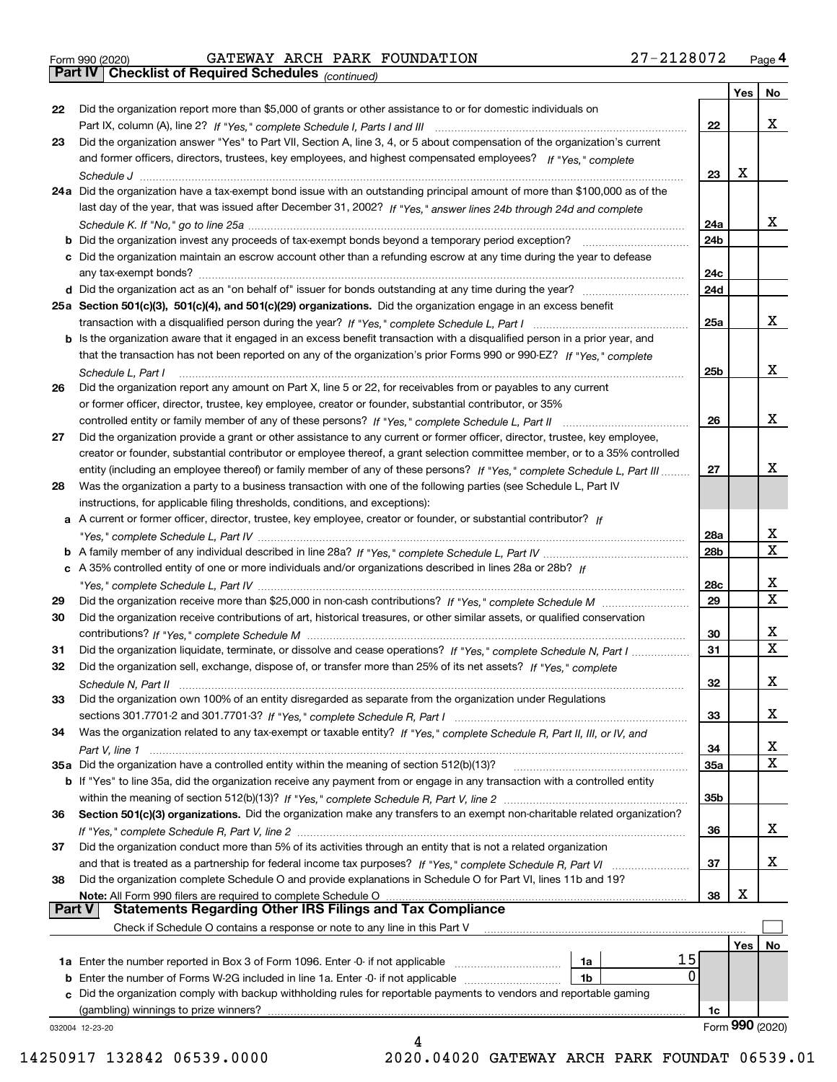|  | Form 990 (2020) |
|--|-----------------|
|  |                 |

Form 990 (2020) GATEWAY ARCH PARK FOUNDATION 27-2128072 <sub>Page</sub> 4<br>**Part IV | Checklist of Required Schedules** <sub>(continued)</sub>

*(continued)*

|               |                                                                                                                                    |                 | Yes | No.             |
|---------------|------------------------------------------------------------------------------------------------------------------------------------|-----------------|-----|-----------------|
| 22            | Did the organization report more than \$5,000 of grants or other assistance to or for domestic individuals on                      |                 |     |                 |
|               |                                                                                                                                    | 22              |     | x               |
| 23            | Did the organization answer "Yes" to Part VII, Section A, line 3, 4, or 5 about compensation of the organization's current         |                 |     |                 |
|               | and former officers, directors, trustees, key employees, and highest compensated employees? If "Yes," complete                     |                 |     |                 |
|               | Schedule J                                                                                                                         | 23              | х   |                 |
|               | 24a Did the organization have a tax-exempt bond issue with an outstanding principal amount of more than \$100,000 as of the        |                 |     |                 |
|               | last day of the year, that was issued after December 31, 2002? If "Yes," answer lines 24b through 24d and complete                 |                 |     |                 |
|               |                                                                                                                                    | 24a             |     | x               |
|               | <b>b</b> Did the organization invest any proceeds of tax-exempt bonds beyond a temporary period exception?                         | 24b             |     |                 |
|               | c Did the organization maintain an escrow account other than a refunding escrow at any time during the year to defease             |                 |     |                 |
|               | any tax-exempt bonds?                                                                                                              | 24c             |     |                 |
|               |                                                                                                                                    | 24d             |     |                 |
|               | 25a Section 501(c)(3), 501(c)(4), and 501(c)(29) organizations. Did the organization engage in an excess benefit                   |                 |     |                 |
|               |                                                                                                                                    | 25a             |     | x               |
|               | b Is the organization aware that it engaged in an excess benefit transaction with a disqualified person in a prior year, and       |                 |     |                 |
|               | that the transaction has not been reported on any of the organization's prior Forms 990 or 990-EZ? If "Yes," complete              |                 |     |                 |
|               |                                                                                                                                    | 25b             |     | х               |
|               | Schedule L. Part I                                                                                                                 |                 |     |                 |
| 26            | Did the organization report any amount on Part X, line 5 or 22, for receivables from or payables to any current                    |                 |     |                 |
|               | or former officer, director, trustee, key employee, creator or founder, substantial contributor, or 35%                            |                 |     | x               |
|               | controlled entity or family member of any of these persons? If "Yes," complete Schedule L, Part II                                 | 26              |     |                 |
| 27            | Did the organization provide a grant or other assistance to any current or former officer, director, trustee, key employee,        |                 |     |                 |
|               | creator or founder, substantial contributor or employee thereof, a grant selection committee member, or to a 35% controlled        |                 |     |                 |
|               | entity (including an employee thereof) or family member of any of these persons? If "Yes," complete Schedule L, Part III           | 27              |     | х               |
| 28            | Was the organization a party to a business transaction with one of the following parties (see Schedule L, Part IV                  |                 |     |                 |
|               | instructions, for applicable filing thresholds, conditions, and exceptions):                                                       |                 |     |                 |
|               | a A current or former officer, director, trustee, key employee, creator or founder, or substantial contributor? If                 |                 |     |                 |
|               |                                                                                                                                    | 28a             |     | х               |
|               |                                                                                                                                    | 28 <sub>b</sub> |     | x               |
|               | c A 35% controlled entity of one or more individuals and/or organizations described in lines 28a or 28b? If                        |                 |     |                 |
|               |                                                                                                                                    | 28c             |     | х               |
| 29            |                                                                                                                                    | 29              |     | X               |
| 30            | Did the organization receive contributions of art, historical treasures, or other similar assets, or qualified conservation        |                 |     |                 |
|               |                                                                                                                                    | 30              |     | х               |
| 31            | Did the organization liquidate, terminate, or dissolve and cease operations? If "Yes," complete Schedule N, Part I                 | 31              |     | x               |
| 32            | Did the organization sell, exchange, dispose of, or transfer more than 25% of its net assets? If "Yes," complete                   |                 |     |                 |
|               | Schedule N. Part II                                                                                                                | 32              |     | х               |
| 33            | Did the organization own 100% of an entity disregarded as separate from the organization under Regulations                         |                 |     |                 |
|               |                                                                                                                                    | 33              |     | x               |
| 34            | Was the organization related to any tax-exempt or taxable entity? If "Yes," complete Schedule R, Part II, III, or IV, and          |                 |     |                 |
|               |                                                                                                                                    | 34              |     | X               |
|               | 35a Did the organization have a controlled entity within the meaning of section 512(b)(13)?                                        | 35a             |     | x               |
|               | <b>b</b> If "Yes" to line 35a, did the organization receive any payment from or engage in any transaction with a controlled entity |                 |     |                 |
|               |                                                                                                                                    | 35b             |     |                 |
| 36            | Section 501(c)(3) organizations. Did the organization make any transfers to an exempt non-charitable related organization?         |                 |     |                 |
|               |                                                                                                                                    | 36              |     | x               |
| 37            | Did the organization conduct more than 5% of its activities through an entity that is not a related organization                   |                 |     |                 |
|               | and that is treated as a partnership for federal income tax purposes? If "Yes," complete Schedule R, Part VI                       | 37              |     | x               |
| 38            | Did the organization complete Schedule O and provide explanations in Schedule O for Part VI, lines 11b and 19?                     |                 |     |                 |
|               | Note: All Form 990 filers are required to complete Schedule O                                                                      | 38              | х   |                 |
| <b>Part V</b> | <b>Statements Regarding Other IRS Filings and Tax Compliance</b>                                                                   |                 |     |                 |
|               | Check if Schedule O contains a response or note to any line in this Part V                                                         |                 |     |                 |
|               |                                                                                                                                    |                 | Yes | No              |
|               | 15<br>1a Enter the number reported in Box 3 of Form 1096. Enter -0- if not applicable<br>1a                                        |                 |     |                 |
|               | 0<br>1b                                                                                                                            |                 |     |                 |
|               | c Did the organization comply with backup withholding rules for reportable payments to vendors and reportable gaming               |                 |     |                 |
|               | (gambling) winnings to prize winners?                                                                                              | 1c              |     |                 |
|               | 032004 12-23-20                                                                                                                    |                 |     | Form 990 (2020) |
|               | 4                                                                                                                                  |                 |     |                 |

14250917 132842 06539.0000 2020.04020 GATEWAY ARCH PARK FOUNDAT 06539.01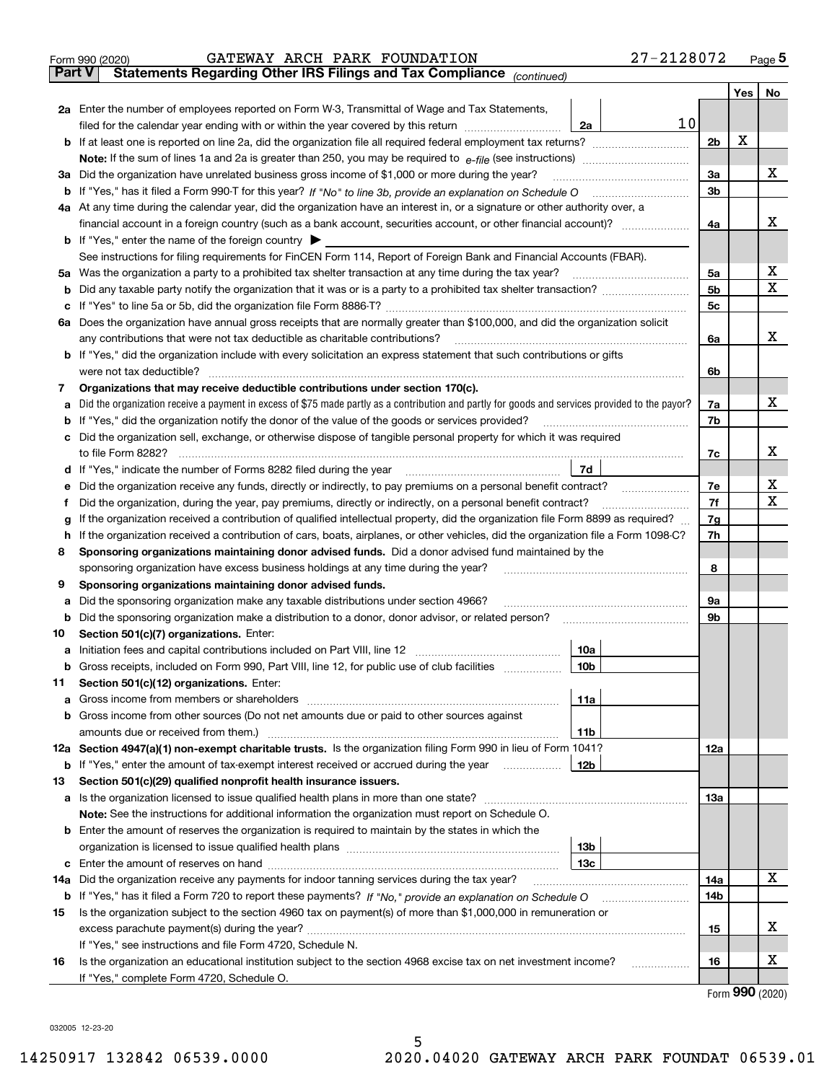|               | 27-2128072<br>GATEWAY ARCH PARK FOUNDATION<br>Form 990 (2020)                                                                                                              |          |     | $_{\text{Page}}$ 5 |
|---------------|----------------------------------------------------------------------------------------------------------------------------------------------------------------------------|----------|-----|--------------------|
| <b>Part V</b> | Statements Regarding Other IRS Filings and Tax Compliance (continued)                                                                                                      |          |     |                    |
|               |                                                                                                                                                                            |          | Yes | No                 |
|               | 2a Enter the number of employees reported on Form W-3, Transmittal of Wage and Tax Statements,                                                                             |          |     |                    |
|               | 10<br>filed for the calendar year ending with or within the year covered by this return<br>2a                                                                              |          |     |                    |
|               |                                                                                                                                                                            | 2b       | х   |                    |
|               |                                                                                                                                                                            |          |     |                    |
|               | 3a Did the organization have unrelated business gross income of \$1,000 or more during the year?                                                                           | 3a       |     | х                  |
|               |                                                                                                                                                                            | 3b       |     |                    |
|               | 4a At any time during the calendar year, did the organization have an interest in, or a signature or other authority over, a                                               |          |     |                    |
|               |                                                                                                                                                                            | 4a       |     | х                  |
|               | <b>b</b> If "Yes," enter the name of the foreign country $\blacktriangleright$                                                                                             |          |     |                    |
|               | See instructions for filing requirements for FinCEN Form 114, Report of Foreign Bank and Financial Accounts (FBAR).                                                        |          |     |                    |
|               |                                                                                                                                                                            | 5a       |     | х                  |
| b             |                                                                                                                                                                            | 5b       |     | X                  |
| c             |                                                                                                                                                                            | 5c       |     |                    |
|               | 6a Does the organization have annual gross receipts that are normally greater than \$100,000, and did the organization solicit                                             |          |     |                    |
|               |                                                                                                                                                                            | 6a       |     | х                  |
|               | <b>b</b> If "Yes," did the organization include with every solicitation an express statement that such contributions or gifts                                              |          |     |                    |
|               | were not tax deductible?                                                                                                                                                   | 6b       |     |                    |
| 7             | Organizations that may receive deductible contributions under section 170(c).                                                                                              |          |     |                    |
| а             | Did the organization receive a payment in excess of \$75 made partly as a contribution and partly for goods and services provided to the payor?                            | 7a       |     | х                  |
|               | <b>b</b> If "Yes," did the organization notify the donor of the value of the goods or services provided?                                                                   | 7b       |     |                    |
|               | c Did the organization sell, exchange, or otherwise dispose of tangible personal property for which it was required                                                        |          |     |                    |
|               |                                                                                                                                                                            | 7c       |     | х                  |
|               | 7d                                                                                                                                                                         |          |     |                    |
|               |                                                                                                                                                                            |          |     | х                  |
| е             | Did the organization receive any funds, directly or indirectly, to pay premiums on a personal benefit contract?                                                            | 7е<br>7f |     | х                  |
| f             | Did the organization, during the year, pay premiums, directly or indirectly, on a personal benefit contract?                                                               |          |     |                    |
| g             | If the organization received a contribution of qualified intellectual property, did the organization file Form 8899 as required?                                           | 7g       |     |                    |
| h.            | If the organization received a contribution of cars, boats, airplanes, or other vehicles, did the organization file a Form 1098-C?                                         | 7h       |     |                    |
| 8             | Sponsoring organizations maintaining donor advised funds. Did a donor advised fund maintained by the                                                                       |          |     |                    |
|               | sponsoring organization have excess business holdings at any time during the year?                                                                                         | 8        |     |                    |
| 9             | Sponsoring organizations maintaining donor advised funds.                                                                                                                  |          |     |                    |
| а             | Did the sponsoring organization make any taxable distributions under section 4966?                                                                                         | 9а       |     |                    |
| b             | Did the sponsoring organization make a distribution to a donor, donor advisor, or related person?                                                                          | 9b       |     |                    |
| 10            | Section 501(c)(7) organizations. Enter:                                                                                                                                    |          |     |                    |
|               | 10a<br>a Initiation fees and capital contributions included on Part VIII, line 12 [111] [11] [11] Initiation fees and capital contributions included on Part VIII, line 12 |          |     |                    |
|               | 10 <sub>b</sub>  <br>Gross receipts, included on Form 990, Part VIII, line 12, for public use of club facilities                                                           |          |     |                    |
| 11            | Section 501(c)(12) organizations. Enter:                                                                                                                                   |          |     |                    |
| a             | 11a                                                                                                                                                                        |          |     |                    |
|               | b Gross income from other sources (Do not net amounts due or paid to other sources against                                                                                 |          |     |                    |
|               | <b>11b</b>                                                                                                                                                                 |          |     |                    |
|               | 12a Section 4947(a)(1) non-exempt charitable trusts. Is the organization filing Form 990 in lieu of Form 1041?                                                             | 12a      |     |                    |
|               | 12b<br><b>b</b> If "Yes," enter the amount of tax-exempt interest received or accrued during the year <i>manument</i>                                                      |          |     |                    |
| 13            | Section 501(c)(29) qualified nonprofit health insurance issuers.                                                                                                           |          |     |                    |
|               | a Is the organization licensed to issue qualified health plans in more than one state?                                                                                     | 13a      |     |                    |
|               | Note: See the instructions for additional information the organization must report on Schedule O.                                                                          |          |     |                    |
|               | <b>b</b> Enter the amount of reserves the organization is required to maintain by the states in which the                                                                  |          |     |                    |
|               | 13b                                                                                                                                                                        |          |     |                    |
|               | 13с                                                                                                                                                                        |          |     |                    |
| 14a           | Did the organization receive any payments for indoor tanning services during the tax year?                                                                                 | 14a      |     | х                  |
|               | <b>b</b> If "Yes," has it filed a Form 720 to report these payments? If "No," provide an explanation on Schedule O                                                         | 14b      |     |                    |
| 15            | Is the organization subject to the section 4960 tax on payment(s) of more than \$1,000,000 in remuneration or                                                              |          |     |                    |
|               |                                                                                                                                                                            | 15       |     | x                  |
|               | If "Yes," see instructions and file Form 4720, Schedule N.                                                                                                                 |          |     |                    |
| 16            | Is the organization an educational institution subject to the section 4968 excise tax on net investment income?                                                            | 16       |     | х                  |
|               | If "Yes," complete Form 4720, Schedule O.                                                                                                                                  |          |     |                    |

Form (2020) **990**

032005 12-23-20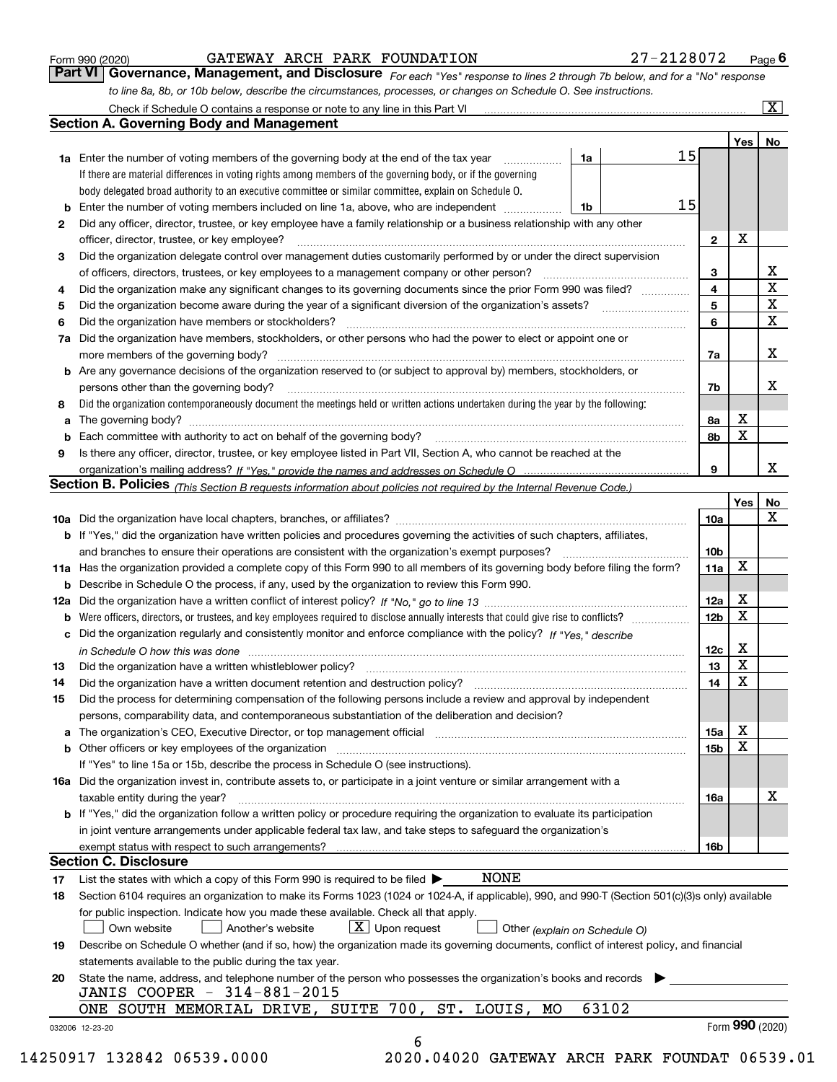|  | Form 990 (2020) |
|--|-----------------|
|  |                 |

GATEWAY ARCH PARK FOUNDATION 27-2128072

*For each "Yes" response to lines 2 through 7b below, and for a "No" response to line 8a, 8b, or 10b below, describe the circumstances, processes, or changes on Schedule O. See instructions.* Form 990 (2020) **CATEWAY ARCH PARK FOUNDATION** 27 – 2128072 Page 6<br>**Part VI Governance, Management, and Disclosure** For each "Yes" response to lines 2 through 7b below, and for a "No" response

|    | <b>1a</b> Enter the number of voting members of the governing body at the end of the tax year                                                                                 | 1a    | 15 |                 | Yes | No                      |
|----|-------------------------------------------------------------------------------------------------------------------------------------------------------------------------------|-------|----|-----------------|-----|-------------------------|
|    | If there are material differences in voting rights among members of the governing body, or if the governing                                                                   |       |    |                 |     |                         |
|    | body delegated broad authority to an executive committee or similar committee, explain on Schedule O.                                                                         |       |    |                 |     |                         |
|    |                                                                                                                                                                               | 1b    | 15 |                 |     |                         |
| 2  | Did any officer, director, trustee, or key employee have a family relationship or a business relationship with any other                                                      |       |    |                 |     |                         |
|    | officer, director, trustee, or key employee?                                                                                                                                  |       |    | $\mathbf{2}$    | X   |                         |
| 3  | Did the organization delegate control over management duties customarily performed by or under the direct supervision                                                         |       |    |                 |     |                         |
|    |                                                                                                                                                                               |       |    | 3               |     | X                       |
| 4  | Did the organization make any significant changes to its governing documents since the prior Form 990 was filed?                                                              |       |    | 4               |     | $\overline{\mathbf{x}}$ |
| 5  |                                                                                                                                                                               |       |    | 5               |     | $\mathbf X$             |
| 6  | Did the organization have members or stockholders?                                                                                                                            |       |    | 6               |     | $\mathbf x$             |
|    | 7a Did the organization have members, stockholders, or other persons who had the power to elect or appoint one or                                                             |       |    |                 |     |                         |
|    |                                                                                                                                                                               |       |    | 7a              |     | x                       |
|    | <b>b</b> Are any governance decisions of the organization reserved to (or subject to approval by) members, stockholders, or                                                   |       |    |                 |     |                         |
|    | persons other than the governing body?                                                                                                                                        |       |    | 7b              |     | х                       |
|    | Did the organization contemporaneously document the meetings held or written actions undertaken during the year by the following:                                             |       |    |                 |     |                         |
| 8  |                                                                                                                                                                               |       |    |                 | X   |                         |
| a  |                                                                                                                                                                               |       |    | 8a              | X   |                         |
|    |                                                                                                                                                                               |       |    | 8b              |     |                         |
| 9  | Is there any officer, director, trustee, or key employee listed in Part VII, Section A, who cannot be reached at the                                                          |       |    |                 |     | х                       |
|    |                                                                                                                                                                               |       |    | 9               |     |                         |
|    | Section B. Policies (This Section B requests information about policies not required by the Internal Revenue Code.)                                                           |       |    |                 |     |                         |
|    |                                                                                                                                                                               |       |    |                 | Yes | No<br>X                 |
|    |                                                                                                                                                                               |       |    | 10a             |     |                         |
|    | <b>b</b> If "Yes," did the organization have written policies and procedures governing the activities of such chapters, affiliates,                                           |       |    |                 |     |                         |
|    |                                                                                                                                                                               |       |    | 10 <sub>b</sub> | X   |                         |
|    | 11a Has the organization provided a complete copy of this Form 990 to all members of its governing body before filing the form?                                               |       |    | 11a             |     |                         |
|    | <b>b</b> Describe in Schedule O the process, if any, used by the organization to review this Form 990.                                                                        |       |    |                 |     |                         |
|    |                                                                                                                                                                               |       |    | 12a             | X   |                         |
| b  |                                                                                                                                                                               |       |    | 12b             | X   |                         |
|    | c Did the organization regularly and consistently monitor and enforce compliance with the policy? If "Yes," describe                                                          |       |    |                 |     |                         |
|    | in Schedule O how this was done manufactured and continuum control of the Schedule O how this was done manufactured and continuum control of the Schedule O how this was done |       |    | 12c             | х   |                         |
| 13 |                                                                                                                                                                               |       |    | 13              | X   |                         |
| 14 | Did the organization have a written document retention and destruction policy? manufactured and the organization have a written document retention and destruction policy?    |       |    | 14              | X   |                         |
| 15 | Did the process for determining compensation of the following persons include a review and approval by independent                                                            |       |    |                 |     |                         |
|    | persons, comparability data, and contemporaneous substantiation of the deliberation and decision?                                                                             |       |    |                 |     |                         |
|    |                                                                                                                                                                               |       |    | 15a             | X   |                         |
|    |                                                                                                                                                                               |       |    | 15 <sub>b</sub> | X   |                         |
|    | If "Yes" to line 15a or 15b, describe the process in Schedule O (see instructions).                                                                                           |       |    |                 |     |                         |
|    | 16a Did the organization invest in, contribute assets to, or participate in a joint venture or similar arrangement with a                                                     |       |    |                 |     |                         |
|    | taxable entity during the year?                                                                                                                                               |       |    | 16a             |     | X                       |
|    | b If "Yes," did the organization follow a written policy or procedure requiring the organization to evaluate its participation                                                |       |    |                 |     |                         |
|    | in joint venture arrangements under applicable federal tax law, and take steps to safeguard the organization's                                                                |       |    |                 |     |                         |
|    | exempt status with respect to such arrangements?                                                                                                                              |       |    | 16b             |     |                         |
|    | <b>Section C. Disclosure</b>                                                                                                                                                  |       |    |                 |     |                         |
| 17 | <b>NONE</b><br>List the states with which a copy of this Form 990 is required to be filed $\blacktriangleright$                                                               |       |    |                 |     |                         |
| 18 | Section 6104 requires an organization to make its Forms 1023 (1024 or 1024-A, if applicable), 990, and 990-T (Section 501(c)(3)s only) available                              |       |    |                 |     |                         |
|    | for public inspection. Indicate how you made these available. Check all that apply.                                                                                           |       |    |                 |     |                         |
|    | $X$ Upon request<br>Own website<br>Another's website<br>Other (explain on Schedule O)                                                                                         |       |    |                 |     |                         |
| 19 | Describe on Schedule O whether (and if so, how) the organization made its governing documents, conflict of interest policy, and financial                                     |       |    |                 |     |                         |
|    | statements available to the public during the tax year.                                                                                                                       |       |    |                 |     |                         |
| 20 | State the name, address, and telephone number of the person who possesses the organization's books and records                                                                |       |    |                 |     |                         |
|    | JANIS COOPER - 314-881-2015                                                                                                                                                   |       |    |                 |     |                         |
|    | ONE SOUTH MEMORIAL DRIVE, SUITE 700, ST. LOUIS,<br>MO                                                                                                                         | 63102 |    |                 |     |                         |
|    |                                                                                                                                                                               |       |    |                 |     | Form 990 (2020)         |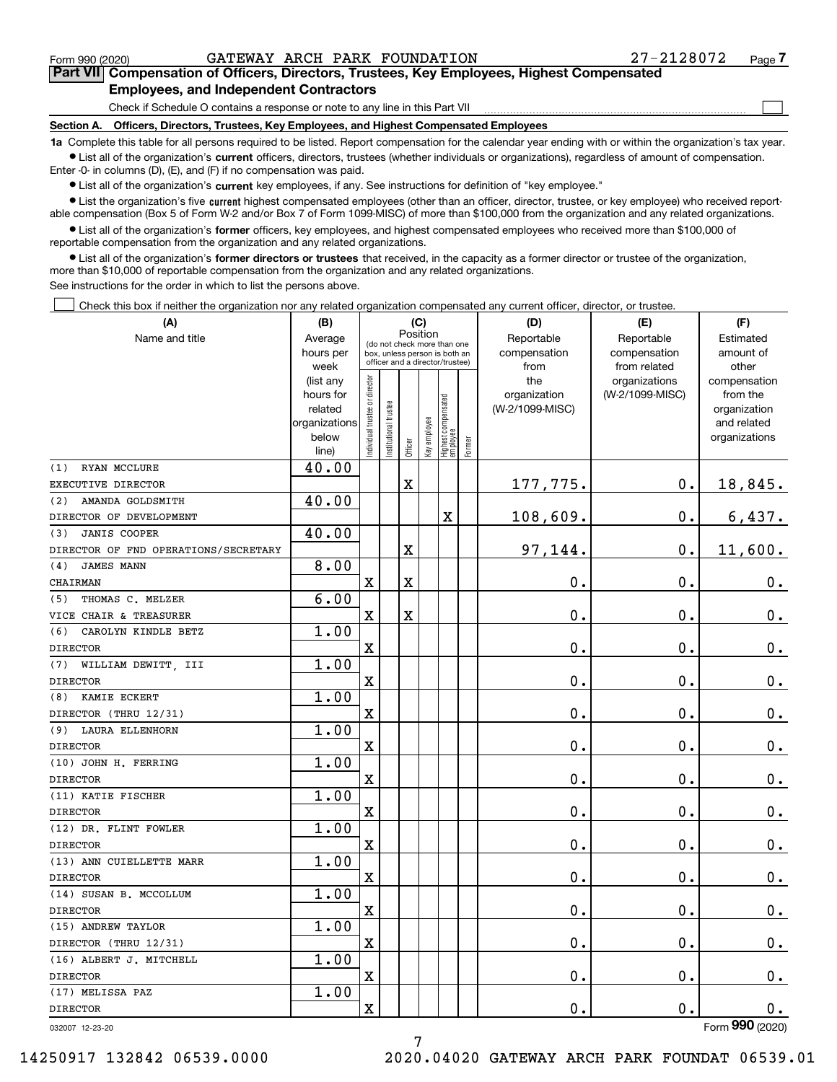$\mathcal{L}^{\text{max}}$ 

## **7Part VII Compensation of Officers, Directors, Trustees, Key Employees, Highest Compensated Employees, and Independent Contractors**

Check if Schedule O contains a response or note to any line in this Part VII

**Section A. Officers, Directors, Trustees, Key Employees, and Highest Compensated Employees**

**1a**  Complete this table for all persons required to be listed. Report compensation for the calendar year ending with or within the organization's tax year. **•** List all of the organization's current officers, directors, trustees (whether individuals or organizations), regardless of amount of compensation.

Enter -0- in columns (D), (E), and (F) if no compensation was paid.

 $\bullet$  List all of the organization's  $\,$ current key employees, if any. See instructions for definition of "key employee."

**•** List the organization's five current highest compensated employees (other than an officer, director, trustee, or key employee) who received reportable compensation (Box 5 of Form W-2 and/or Box 7 of Form 1099-MISC) of more than \$100,000 from the organization and any related organizations.

**•** List all of the organization's former officers, key employees, and highest compensated employees who received more than \$100,000 of reportable compensation from the organization and any related organizations.

**former directors or trustees**  ¥ List all of the organization's that received, in the capacity as a former director or trustee of the organization, more than \$10,000 of reportable compensation from the organization and any related organizations.

See instructions for the order in which to list the persons above.

Check this box if neither the organization nor any related organization compensated any current officer, director, or trustee.  $\mathcal{L}^{\text{max}}$ 

| (A)                                  | (B)                    | (C)                            |                                                                  | (D)     | (E)          | (F)                             |           |                 |                    |                 |
|--------------------------------------|------------------------|--------------------------------|------------------------------------------------------------------|---------|--------------|---------------------------------|-----------|-----------------|--------------------|-----------------|
| Name and title                       | Average                |                                | Position<br>(do not check more than one                          |         |              |                                 |           | Reportable      | Reportable         | Estimated       |
|                                      | hours per              |                                | box, unless person is both an<br>officer and a director/trustee) |         | compensation | compensation                    | amount of |                 |                    |                 |
|                                      | week                   |                                |                                                                  |         |              |                                 |           | from            | from related       | other           |
|                                      | (list any              |                                |                                                                  |         |              |                                 |           | the             | organizations      | compensation    |
|                                      | hours for              |                                |                                                                  |         |              |                                 |           | organization    | (W-2/1099-MISC)    | from the        |
|                                      | related                |                                |                                                                  |         |              |                                 |           | (W-2/1099-MISC) |                    | organization    |
|                                      | organizations<br>below |                                |                                                                  |         |              |                                 |           |                 |                    | and related     |
|                                      | line)                  | Individual trustee or director | Institutional trustee                                            | Officer | Key employee | Highest compensated<br>employee | Former    |                 |                    | organizations   |
| RYAN MCCLURE<br>(1)                  | 40.00                  |                                |                                                                  |         |              |                                 |           |                 |                    |                 |
| EXECUTIVE DIRECTOR                   |                        |                                |                                                                  | X       |              |                                 |           | 177,775.        | $\mathbf 0$ .      | 18,845.         |
| AMANDA GOLDSMITH<br>(2)              | 40.00                  |                                |                                                                  |         |              |                                 |           |                 |                    |                 |
| DIRECTOR OF DEVELOPMENT              |                        |                                |                                                                  |         |              | X                               |           | 108,609.        | $\mathbf 0$ .      | 6,437.          |
| <b>JANIS COOPER</b><br>(3)           | 40.00                  |                                |                                                                  |         |              |                                 |           |                 |                    |                 |
| DIRECTOR OF FND OPERATIONS/SECRETARY |                        |                                |                                                                  | X       |              |                                 |           | 97,144.         | 0.                 | 11,600.         |
| <b>JAMES MANN</b><br>(4)             | 8.00                   |                                |                                                                  |         |              |                                 |           |                 |                    |                 |
| CHAIRMAN                             |                        | X                              |                                                                  | X       |              |                                 |           | 0.              | 0.                 | $0_{.}$         |
| THOMAS C. MELZER<br>(5)              | 6.00                   |                                |                                                                  |         |              |                                 |           |                 |                    |                 |
| VICE CHAIR & TREASURER               |                        | X                              |                                                                  | X       |              |                                 |           | 0.              | 0.                 | $0_{.}$         |
| CAROLYN KINDLE BETZ<br>(6)           | 1.00                   |                                |                                                                  |         |              |                                 |           |                 |                    |                 |
| <b>DIRECTOR</b>                      |                        | X                              |                                                                  |         |              |                                 |           | 0.              | 0.                 | 0.              |
| (7) WILLIAM DEWITT, III              | 1.00                   |                                |                                                                  |         |              |                                 |           |                 |                    |                 |
| <b>DIRECTOR</b>                      |                        | X                              |                                                                  |         |              |                                 |           | 0.              | 0.                 | $0_{.}$         |
| KAMIE ECKERT<br>(8)                  | 1.00                   |                                |                                                                  |         |              |                                 |           |                 |                    |                 |
| DIRECTOR (THRU 12/31)                |                        | X                              |                                                                  |         |              |                                 |           | 0.              | 0.                 | $0_{.}$         |
| (9) LAURA ELLENHORN                  | 1.00                   |                                |                                                                  |         |              |                                 |           |                 |                    |                 |
| <b>DIRECTOR</b>                      |                        | X                              |                                                                  |         |              |                                 |           | 0.              | 0.                 | $0_{.}$         |
| (10) JOHN H. FERRING                 | 1.00                   |                                |                                                                  |         |              |                                 |           |                 |                    |                 |
| <b>DIRECTOR</b>                      |                        | X                              |                                                                  |         |              |                                 |           | 0.              | 0.                 | $0_{.}$         |
| (11) KATIE FISCHER                   | 1.00                   |                                |                                                                  |         |              |                                 |           |                 |                    |                 |
| <b>DIRECTOR</b>                      |                        | X                              |                                                                  |         |              |                                 |           | 0.              | 0.                 | $0_{.}$         |
| (12) DR. FLINT FOWLER                | 1.00                   |                                |                                                                  |         |              |                                 |           |                 |                    |                 |
| <b>DIRECTOR</b>                      |                        | X                              |                                                                  |         |              |                                 |           | 0.              | 0.                 | 0.              |
| (13) ANN CUIELLETTE MARR             | 1.00                   |                                |                                                                  |         |              |                                 |           |                 |                    |                 |
| <b>DIRECTOR</b>                      |                        | X                              |                                                                  |         |              |                                 |           | 0.              | 0.                 | 0.              |
| (14) SUSAN B. MCCOLLUM               | 1.00                   |                                |                                                                  |         |              |                                 |           |                 |                    |                 |
| <b>DIRECTOR</b>                      |                        | X                              |                                                                  |         |              |                                 |           | 0.              | 0.                 | $0_{.}$         |
| (15) ANDREW TAYLOR                   | 1.00                   |                                |                                                                  |         |              |                                 |           |                 |                    |                 |
| DIRECTOR (THRU 12/31)                |                        | $\mathbf X$                    |                                                                  |         |              |                                 |           | $\mathbf 0$ .   | $\mathbf 0$ .      | 0.              |
| (16) ALBERT J. MITCHELL              | 1.00                   |                                |                                                                  |         |              |                                 |           |                 |                    |                 |
| <b>DIRECTOR</b>                      |                        | X                              |                                                                  |         |              |                                 |           | $\mathbf 0$ .   | $\boldsymbol{0}$ . | $0_{.}$         |
| (17) MELISSA PAZ                     | 1.00                   |                                |                                                                  |         |              |                                 |           |                 |                    |                 |
| <b>DIRECTOR</b>                      |                        | X                              |                                                                  |         |              |                                 |           | $\mathbf 0$ .   | $\mathbf 0$ .      | 0.              |
| 032007 12-23-20                      |                        |                                |                                                                  |         |              |                                 |           |                 |                    | Form 990 (2020) |

032007 12-23-20

7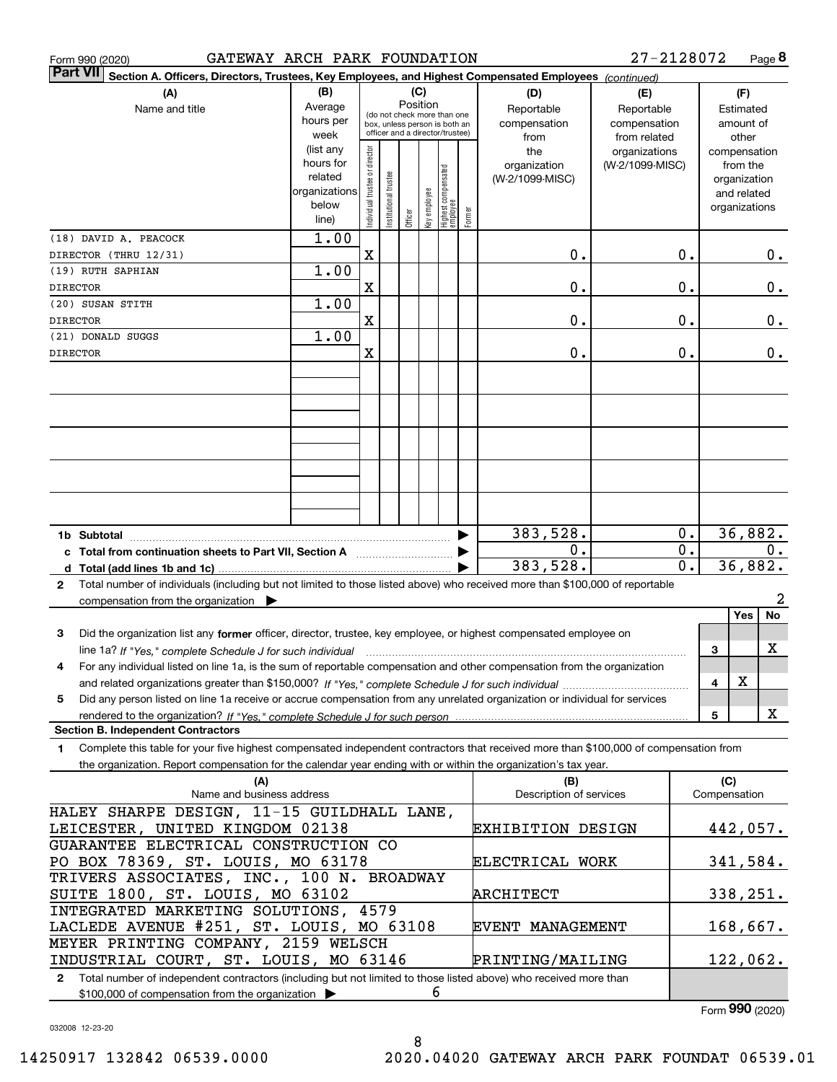| GATEWAY ARCH PARK FOUNDATION<br>Form 990 (2020)                                                                                                 |               |                                |                       |         |              |                                                              |        |                          | 27-2128072      |    |              | Page 8        |
|-------------------------------------------------------------------------------------------------------------------------------------------------|---------------|--------------------------------|-----------------------|---------|--------------|--------------------------------------------------------------|--------|--------------------------|-----------------|----|--------------|---------------|
| <b>Part VII</b><br>Section A. Officers, Directors, Trustees, Key Employees, and Highest Compensated Employees (continued)                       |               |                                |                       |         |              |                                                              |        |                          |                 |    |              |               |
| (A)                                                                                                                                             | (B)           |                                |                       |         | (C)          |                                                              |        | (D)                      | (E)             |    |              | (F)           |
| Name and title                                                                                                                                  | Average       |                                |                       |         | Position     |                                                              |        | Reportable               | Reportable      |    |              | Estimated     |
|                                                                                                                                                 | hours per     |                                |                       |         |              | (do not check more than one<br>box, unless person is both an |        | compensation             | compensation    |    |              | amount of     |
|                                                                                                                                                 | week          |                                |                       |         |              | officer and a director/trustee)                              |        | from                     | from related    |    |              | other         |
|                                                                                                                                                 | (list any     |                                |                       |         |              |                                                              |        | the                      | organizations   |    |              | compensation  |
|                                                                                                                                                 | hours for     |                                |                       |         |              |                                                              |        | organization             | (W-2/1099-MISC) |    |              | from the      |
|                                                                                                                                                 | related       |                                |                       |         |              |                                                              |        | (W-2/1099-MISC)          |                 |    |              | organization  |
|                                                                                                                                                 | organizations |                                |                       |         |              |                                                              |        |                          |                 |    |              | and related   |
|                                                                                                                                                 | below         |                                |                       |         |              |                                                              |        |                          |                 |    |              | organizations |
|                                                                                                                                                 | line)         | Individual trustee or director | Institutional trustee | Officer | key employee | Highest compensated<br> employee                             | Former |                          |                 |    |              |               |
| (18) DAVID A. PEACOCK                                                                                                                           | 1.00          |                                |                       |         |              |                                                              |        |                          |                 |    |              |               |
| DIRECTOR (THRU 12/31)                                                                                                                           |               | $\mathbf X$                    |                       |         |              |                                                              |        | 0.                       |                 | 0. |              | 0.            |
| (19) RUTH SAPHIAN                                                                                                                               | 1.00          |                                |                       |         |              |                                                              |        |                          |                 |    |              |               |
|                                                                                                                                                 |               |                                |                       |         |              |                                                              |        |                          |                 |    |              |               |
| <b>DIRECTOR</b>                                                                                                                                 |               | $\mathbf X$                    |                       |         |              |                                                              |        | 0.                       |                 | 0. |              | 0.            |
| (20) SUSAN STITH                                                                                                                                | 1.00          |                                |                       |         |              |                                                              |        |                          |                 |    |              |               |
| <b>DIRECTOR</b>                                                                                                                                 |               | $\mathbf X$                    |                       |         |              |                                                              |        | 0.                       |                 | 0. |              | 0.            |
| (21) DONALD SUGGS                                                                                                                               | 1.00          |                                |                       |         |              |                                                              |        |                          |                 |    |              |               |
| <b>DIRECTOR</b>                                                                                                                                 |               | X                              |                       |         |              |                                                              |        | 0.                       |                 | 0. |              | 0.            |
|                                                                                                                                                 |               |                                |                       |         |              |                                                              |        |                          |                 |    |              |               |
|                                                                                                                                                 |               |                                |                       |         |              |                                                              |        |                          |                 |    |              |               |
|                                                                                                                                                 |               |                                |                       |         |              |                                                              |        |                          |                 |    |              |               |
|                                                                                                                                                 |               |                                |                       |         |              |                                                              |        |                          |                 |    |              |               |
|                                                                                                                                                 |               |                                |                       |         |              |                                                              |        |                          |                 |    |              |               |
|                                                                                                                                                 |               |                                |                       |         |              |                                                              |        |                          |                 |    |              |               |
|                                                                                                                                                 |               |                                |                       |         |              |                                                              |        |                          |                 |    |              |               |
|                                                                                                                                                 |               |                                |                       |         |              |                                                              |        |                          |                 |    |              |               |
|                                                                                                                                                 |               |                                |                       |         |              |                                                              |        |                          |                 |    |              |               |
|                                                                                                                                                 |               |                                |                       |         |              |                                                              |        |                          |                 |    |              |               |
|                                                                                                                                                 |               |                                |                       |         |              |                                                              |        |                          |                 |    |              |               |
|                                                                                                                                                 |               |                                |                       |         |              |                                                              | ▶      | 383,528.                 |                 | 0. |              | 36,882.       |
|                                                                                                                                                 |               |                                |                       |         |              |                                                              |        | 0.                       |                 | 0. |              | 0.            |
| c Total from continuation sheets to Part VII, Section A                                                                                         |               |                                |                       |         |              |                                                              |        | 383,528.                 |                 | 0. |              | 36,882.       |
|                                                                                                                                                 |               |                                |                       |         |              |                                                              |        |                          |                 |    |              |               |
| Total number of individuals (including but not limited to those listed above) who received more than \$100,000 of reportable<br>$\mathbf{2}$    |               |                                |                       |         |              |                                                              |        |                          |                 |    |              |               |
| compensation from the organization $\blacktriangleright$                                                                                        |               |                                |                       |         |              |                                                              |        |                          |                 |    |              | 2             |
|                                                                                                                                                 |               |                                |                       |         |              |                                                              |        |                          |                 |    |              | Yes<br>No     |
| 3<br>Did the organization list any former officer, director, trustee, key employee, or highest compensated employee on                          |               |                                |                       |         |              |                                                              |        |                          |                 |    |              |               |
| line 1a? If "Yes," complete Schedule J for such individual manufactured contained and the 1a? If "Yes," complete Schedule J for such individual |               |                                |                       |         |              |                                                              |        |                          |                 |    | 3            | X             |
| For any individual listed on line 1a, is the sum of reportable compensation and other compensation from the organization                        |               |                                |                       |         |              |                                                              |        |                          |                 |    |              |               |
|                                                                                                                                                 |               |                                |                       |         |              |                                                              |        |                          |                 |    | 4            | Χ             |
|                                                                                                                                                 |               |                                |                       |         |              |                                                              |        |                          |                 |    |              |               |
| Did any person listed on line 1a receive or accrue compensation from any unrelated organization or individual for services<br>5                 |               |                                |                       |         |              |                                                              |        |                          |                 |    |              |               |
| rendered to the organization? If "Yes." complete Schedule J for such person                                                                     |               |                                |                       |         |              |                                                              |        |                          |                 |    | 5            | X             |
| <b>Section B. Independent Contractors</b>                                                                                                       |               |                                |                       |         |              |                                                              |        |                          |                 |    |              |               |
| Complete this table for your five highest compensated independent contractors that received more than \$100,000 of compensation from<br>1.      |               |                                |                       |         |              |                                                              |        |                          |                 |    |              |               |
| the organization. Report compensation for the calendar year ending with or within the organization's tax year.                                  |               |                                |                       |         |              |                                                              |        |                          |                 |    |              |               |
| (A)                                                                                                                                             |               |                                |                       |         |              |                                                              |        | (B)                      |                 |    | (C)          |               |
| Name and business address                                                                                                                       |               |                                |                       |         |              |                                                              |        | Description of services  |                 |    | Compensation |               |
| HALEY SHARPE DESIGN, 11-15 GUILDHALL LANE,                                                                                                      |               |                                |                       |         |              |                                                              |        |                          |                 |    |              |               |
| LEICESTER, UNITED KINGDOM 02138                                                                                                                 |               |                                |                       |         |              |                                                              |        | <b>EXHIBITION DESIGN</b> |                 |    |              | 442,057.      |
| GUARANTEE ELECTRICAL CONSTRUCTION CO                                                                                                            |               |                                |                       |         |              |                                                              |        |                          |                 |    |              |               |
| PO BOX 78369, ST. LOUIS, MO 63178                                                                                                               |               |                                |                       |         |              |                                                              |        | ELECTRICAL WORK          |                 |    |              | 341,584.      |
|                                                                                                                                                 |               |                                |                       |         |              |                                                              |        |                          |                 |    |              |               |
| TRIVERS ASSOCIATES, INC., 100 N. BROADWAY                                                                                                       |               |                                |                       |         |              |                                                              |        |                          |                 |    |              |               |
| SUITE 1800, ST. LOUIS, MO 63102                                                                                                                 |               |                                |                       |         |              |                                                              |        | ARCHITECT                |                 |    |              | 338,251.      |
| INTEGRATED MARKETING SOLUTIONS, 4579                                                                                                            |               |                                |                       |         |              |                                                              |        |                          |                 |    |              |               |
| LACLEDE AVENUE #251, ST. LOUIS, MO 63108                                                                                                        |               |                                |                       |         |              |                                                              |        | EVENT MANAGEMENT         |                 |    |              | 168,667.      |
| MEYER PRINTING COMPANY, 2159 WELSCH                                                                                                             |               |                                |                       |         |              |                                                              |        |                          |                 |    |              |               |
| INDUSTRIAL COURT, ST. LOUIS, MO 63146                                                                                                           |               |                                |                       |         |              |                                                              |        | PRINTING/MAILING         |                 |    |              | 122,062.      |
| 2 Total number of independent contractors (including but not limited to those listed above) who received more than                              |               |                                |                       |         |              |                                                              |        |                          |                 |    |              |               |
| \$100,000 of compensation from the organization                                                                                                 |               |                                |                       |         | 6            |                                                              |        |                          |                 |    |              |               |
|                                                                                                                                                 |               |                                |                       |         |              |                                                              |        |                          |                 |    |              |               |

8

032008 12-23-20

Form (2020) **990**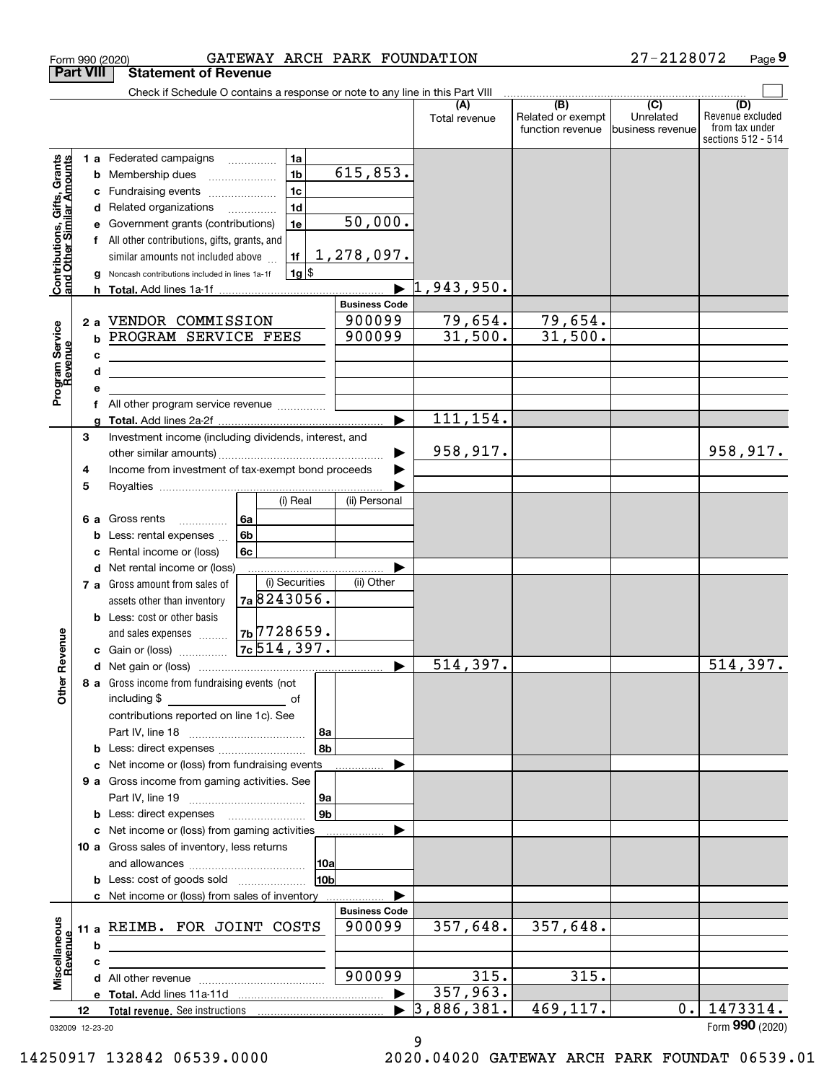|                                                           | <b>Part VIII</b>  | <b>Statement of Revenue</b>                                                                                                                                                                                                                                            |                                                                                 |                                   |                                  |                                              |                                                 |                                                                 |
|-----------------------------------------------------------|-------------------|------------------------------------------------------------------------------------------------------------------------------------------------------------------------------------------------------------------------------------------------------------------------|---------------------------------------------------------------------------------|-----------------------------------|----------------------------------|----------------------------------------------|-------------------------------------------------|-----------------------------------------------------------------|
|                                                           |                   | Check if Schedule O contains a response or note to any line in this Part VIII                                                                                                                                                                                          |                                                                                 |                                   |                                  |                                              |                                                 |                                                                 |
|                                                           |                   |                                                                                                                                                                                                                                                                        |                                                                                 |                                   | (A)<br>Total revenue             | (B)<br>Related or exempt<br>function revenue | $\overline{C}$<br>Unrelated<br>business revenue | (D)<br>Revenue excluded<br>from tax under<br>sections 512 - 514 |
| Contributions, Gifts, Grants<br>and Other Similar Amounts | b<br>с            | 1 a Federated campaigns<br>Membership dues<br>Fundraising events<br>d Related organizations<br>Government grants (contributions)<br>All other contributions, gifts, grants, and<br>similar amounts not included above<br>Noncash contributions included in lines 1a-1f | 1a<br>1 <sub>b</sub><br>1 <sub>c</sub><br>1 <sub>d</sub><br>1e<br>1f<br>$1g$ \$ | 615,853.<br>50,000.<br>1,278,097. | $\blacktriangleright$ 1,943,950. |                                              |                                                 |                                                                 |
|                                                           |                   |                                                                                                                                                                                                                                                                        |                                                                                 | <b>Business Code</b>              |                                  |                                              |                                                 |                                                                 |
| Program Service<br>Revenue                                | 2a<br>b<br>с<br>d | VENDOR COMMISSION<br>PROGRAM SERVICE FEES<br><u> 1989 - Johann Barn, mars ann an t-Amhain ann an t-Amhain an t-Amhain an t-Amhain an t-Amhain an t-Amhain an t-</u>                                                                                                    |                                                                                 | 900099<br>900099                  | 79,654.<br>31,500.               | 79,654.<br>31,500.                           |                                                 |                                                                 |
|                                                           | f                 | All other program service revenue                                                                                                                                                                                                                                      |                                                                                 | ь                                 | 111, 154.                        |                                              |                                                 |                                                                 |
|                                                           | 3<br>4            | Investment income (including dividends, interest, and<br>Income from investment of tax-exempt bond proceeds                                                                                                                                                            |                                                                                 |                                   | 958,917.                         |                                              |                                                 | 958,917.                                                        |
|                                                           | 5<br>6а<br>b<br>c | Gross rents<br>.<br>Less: rental expenses<br>Rental income or (loss)                                                                                                                                                                                                   | (i) Real<br>6a<br>6 <sub>b</sub><br>6c                                          | (ii) Personal                     |                                  |                                              |                                                 |                                                                 |
|                                                           |                   | d Net rental income or (loss)<br>7 a Gross amount from sales of<br>assets other than inventory<br><b>b</b> Less: cost or other basis                                                                                                                                   | (i) Securities<br>7a 8243056.<br>$7b$ 728659.                                   | (ii) Other                        |                                  |                                              |                                                 |                                                                 |
| Revenue                                                   |                   | and sales expenses<br>c Gain or (loss)                                                                                                                                                                                                                                 | 7c514,397.                                                                      |                                   |                                  |                                              |                                                 |                                                                 |
| <b>Other</b>                                              |                   | 8 a Gross income from fundraising events (not<br>including \$<br>contributions reported on line 1c). See                                                                                                                                                               | of<br>8a                                                                        | $\blacktriangleright$             | 514,397.                         |                                              |                                                 | $\overline{514,397}$ .                                          |
|                                                           |                   |                                                                                                                                                                                                                                                                        | 8b                                                                              |                                   |                                  |                                              |                                                 |                                                                 |
|                                                           |                   | c Net income or (loss) from fundraising events<br>9 a Gross income from gaming activities. See                                                                                                                                                                         | 9a                                                                              |                                   |                                  |                                              |                                                 |                                                                 |
|                                                           |                   | <b>b</b> Less: direct expenses                                                                                                                                                                                                                                         | 9 <sub>b</sub>                                                                  |                                   |                                  |                                              |                                                 |                                                                 |
|                                                           |                   | c Net income or (loss) from gaming activities<br>10 a Gross sales of inventory, less returns<br><b>b</b> Less: cost of goods sold                                                                                                                                      | 10a<br>l10b                                                                     |                                   |                                  |                                              |                                                 |                                                                 |
|                                                           |                   | c Net income or (loss) from sales of inventory                                                                                                                                                                                                                         |                                                                                 | <b>Business Code</b>              |                                  |                                              |                                                 |                                                                 |
| Miscellaneous<br>Revenue                                  | b                 | 11 a REIMB. FOR JOINT COSTS                                                                                                                                                                                                                                            |                                                                                 | 900099                            | 357,648.                         | 357,648.                                     |                                                 |                                                                 |
|                                                           | с                 |                                                                                                                                                                                                                                                                        |                                                                                 | 900099                            | 315.                             | 315.                                         |                                                 |                                                                 |
|                                                           |                   |                                                                                                                                                                                                                                                                        |                                                                                 |                                   | 357,963.                         |                                              |                                                 |                                                                 |
|                                                           | 12                |                                                                                                                                                                                                                                                                        |                                                                                 |                                   | 3,886,381.                       | 469, 117.                                    | $0$ .                                           | 1473314.                                                        |
|                                                           | 032009 12-23-20   |                                                                                                                                                                                                                                                                        |                                                                                 |                                   |                                  |                                              |                                                 | Form 990 (2020)                                                 |

Form 990 (2020) GATEWAY ARCH PARK FOUNDATION 27-2128072 Page

**9**

032009 12-23-20

9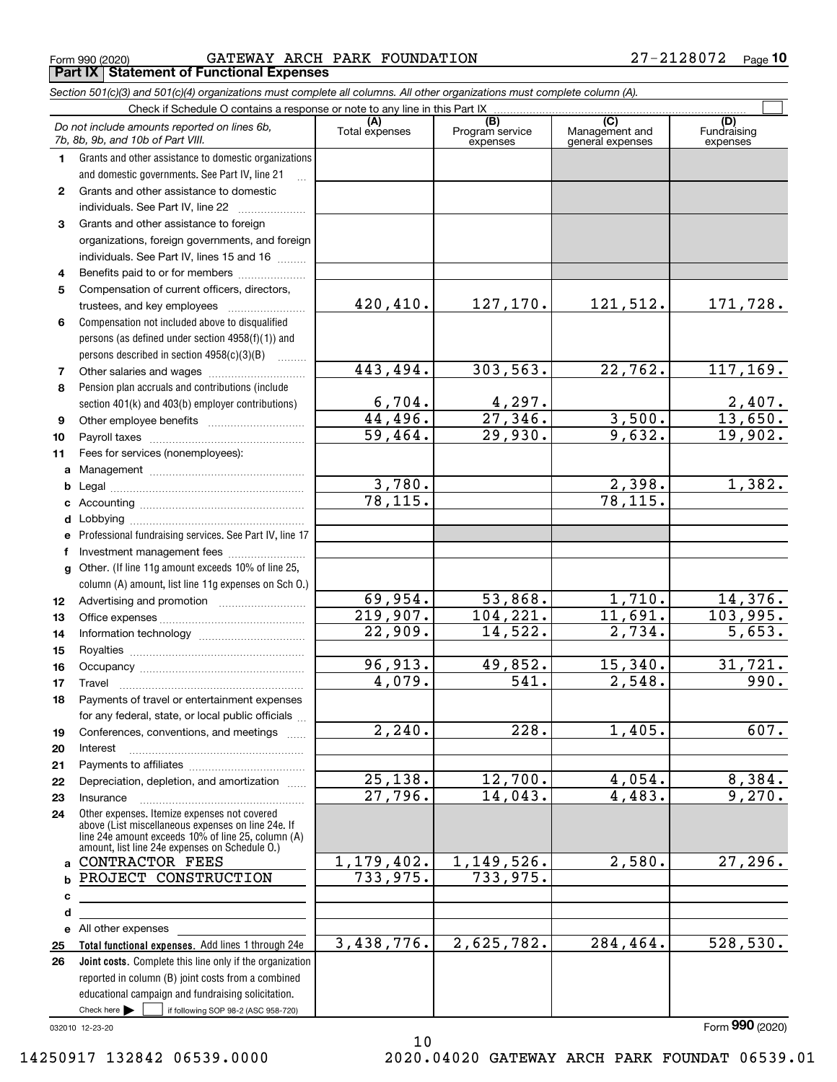Form 990 (2020) GATEWAY ARCH PARK FOUNDATION 27-2128072 <sub>Page</sub> **Part IX Statement of Functional Expenses**

|              | Section 501(c)(3) and 501(c)(4) organizations must complete all columns. All other organizations must complete column (A).                                                                                 |                       |                                    |                                           |                                |
|--------------|------------------------------------------------------------------------------------------------------------------------------------------------------------------------------------------------------------|-----------------------|------------------------------------|-------------------------------------------|--------------------------------|
|              | Check if Schedule O contains a response or note to any line in this Part IX                                                                                                                                |                       |                                    |                                           |                                |
|              | Do not include amounts reported on lines 6b,<br>7b, 8b, 9b, and 10b of Part VIII.                                                                                                                          | (A)<br>Total expenses | (B)<br>Program service<br>expenses | (C)<br>Management and<br>general expenses | (D)<br>Fundraising<br>expenses |
| 1.           | Grants and other assistance to domestic organizations                                                                                                                                                      |                       |                                    |                                           |                                |
|              | and domestic governments. See Part IV, line 21                                                                                                                                                             |                       |                                    |                                           |                                |
| $\mathbf{2}$ | Grants and other assistance to domestic                                                                                                                                                                    |                       |                                    |                                           |                                |
|              | individuals. See Part IV, line 22                                                                                                                                                                          |                       |                                    |                                           |                                |
| 3            | Grants and other assistance to foreign                                                                                                                                                                     |                       |                                    |                                           |                                |
|              | organizations, foreign governments, and foreign                                                                                                                                                            |                       |                                    |                                           |                                |
|              | individuals. See Part IV, lines 15 and 16                                                                                                                                                                  |                       |                                    |                                           |                                |
| 4            | Benefits paid to or for members                                                                                                                                                                            |                       |                                    |                                           |                                |
| 5            | Compensation of current officers, directors,                                                                                                                                                               |                       |                                    |                                           |                                |
|              | trustees, and key employees                                                                                                                                                                                | 420,410.              | 127,170.                           | 121,512.                                  | 171,728.                       |
| 6            | Compensation not included above to disqualified                                                                                                                                                            |                       |                                    |                                           |                                |
|              | persons (as defined under section 4958(f)(1)) and                                                                                                                                                          |                       |                                    |                                           |                                |
|              | persons described in section 4958(c)(3)(B)<br>.                                                                                                                                                            |                       |                                    |                                           |                                |
| 7            | Other salaries and wages                                                                                                                                                                                   | 443,494.              | 303, 563.                          | 22,762.                                   | 117, 169.                      |
| 8            | Pension plan accruals and contributions (include                                                                                                                                                           |                       |                                    |                                           |                                |
|              | section 401(k) and 403(b) employer contributions)                                                                                                                                                          | 6,704.                | $\frac{4,297.}{27,346.}$           |                                           | $\frac{2,407}{13,650}$ .       |
| 9            |                                                                                                                                                                                                            | 44,496.               |                                    | 3,500.                                    |                                |
| 10           |                                                                                                                                                                                                            | 59,464.               | 29,930.                            | 9,632.                                    | 19,902.                        |
| 11           | Fees for services (nonemployees):                                                                                                                                                                          |                       |                                    |                                           |                                |
| a            |                                                                                                                                                                                                            |                       |                                    |                                           |                                |
| b            |                                                                                                                                                                                                            | 3,780.                |                                    | 2,398.                                    | 1,382.                         |
| с            |                                                                                                                                                                                                            | 78, 115.              |                                    | $\overline{78,115}$ .                     |                                |
| d            |                                                                                                                                                                                                            |                       |                                    |                                           |                                |
| е            | Professional fundraising services. See Part IV, line 17                                                                                                                                                    |                       |                                    |                                           |                                |
| f            | Investment management fees                                                                                                                                                                                 |                       |                                    |                                           |                                |
| g            | Other. (If line 11g amount exceeds 10% of line 25,                                                                                                                                                         |                       |                                    |                                           |                                |
|              | column (A) amount, list line 11g expenses on Sch O.)                                                                                                                                                       |                       |                                    |                                           |                                |
| 12           |                                                                                                                                                                                                            | 69,954.               | 53,868.                            | 1,710.                                    | 14,376.                        |
| 13           |                                                                                                                                                                                                            | 219,907.              | 104, 221.                          | 11,691.                                   | 103,995.                       |
| 14           |                                                                                                                                                                                                            | 22,909.               | 14,522.                            | 2,734.                                    | 5,653.                         |
| 15           |                                                                                                                                                                                                            |                       |                                    |                                           |                                |
| 16           |                                                                                                                                                                                                            | 96,913.               | 49,852.                            | 15,340.                                   | 31,721.                        |
| 17           |                                                                                                                                                                                                            | 4,079.                | 541.                               | 2,548.                                    | 990.                           |
| 18           | Payments of travel or entertainment expenses                                                                                                                                                               |                       |                                    |                                           |                                |
|              | for any federal, state, or local public officials                                                                                                                                                          |                       |                                    |                                           |                                |
| 19           | Conferences, conventions, and meetings                                                                                                                                                                     | $\overline{2,240}$ .  | 228.                               | 1,405.                                    | 607.                           |
| 20           | Interest                                                                                                                                                                                                   |                       |                                    |                                           |                                |
| 21           |                                                                                                                                                                                                            |                       |                                    |                                           |                                |
| 22           | Depreciation, depletion, and amortization                                                                                                                                                                  | 25, 138.              | 12,700.                            | 4,054.                                    | 8,384.                         |
| 23           | Insurance                                                                                                                                                                                                  | 27,796.               | 14,043.                            | 4,483.                                    | 9,270.                         |
| 24           | Other expenses. Itemize expenses not covered<br>above (List miscellaneous expenses on line 24e. If<br>line 24e amount exceeds 10% of line 25, column (A)<br>amount, list line 24e expenses on Schedule O.) |                       |                                    |                                           |                                |
|              | a CONTRACTOR FEES                                                                                                                                                                                          | 1,179,402.            | 1,149,526.                         | 2,580.                                    | 27,296.                        |
| b            | PROJECT CONSTRUCTION                                                                                                                                                                                       | 733,975.              | 733,975.                           |                                           |                                |
| с            |                                                                                                                                                                                                            |                       |                                    |                                           |                                |
| d            |                                                                                                                                                                                                            |                       |                                    |                                           |                                |
|              | e All other expenses                                                                                                                                                                                       |                       |                                    |                                           |                                |
| 25           | Total functional expenses. Add lines 1 through 24e                                                                                                                                                         | 3,438,776.            | 2,625,782.                         | 284,464.                                  | 528, 530.                      |
| 26           | <b>Joint costs.</b> Complete this line only if the organization                                                                                                                                            |                       |                                    |                                           |                                |
|              | reported in column (B) joint costs from a combined                                                                                                                                                         |                       |                                    |                                           |                                |
|              | educational campaign and fundraising solicitation.                                                                                                                                                         |                       |                                    |                                           |                                |
|              | Check here $\blacktriangleright$<br>if following SOP 98-2 (ASC 958-720)                                                                                                                                    |                       |                                    |                                           |                                |

10

032010 12-23-20

Form (2020) **990**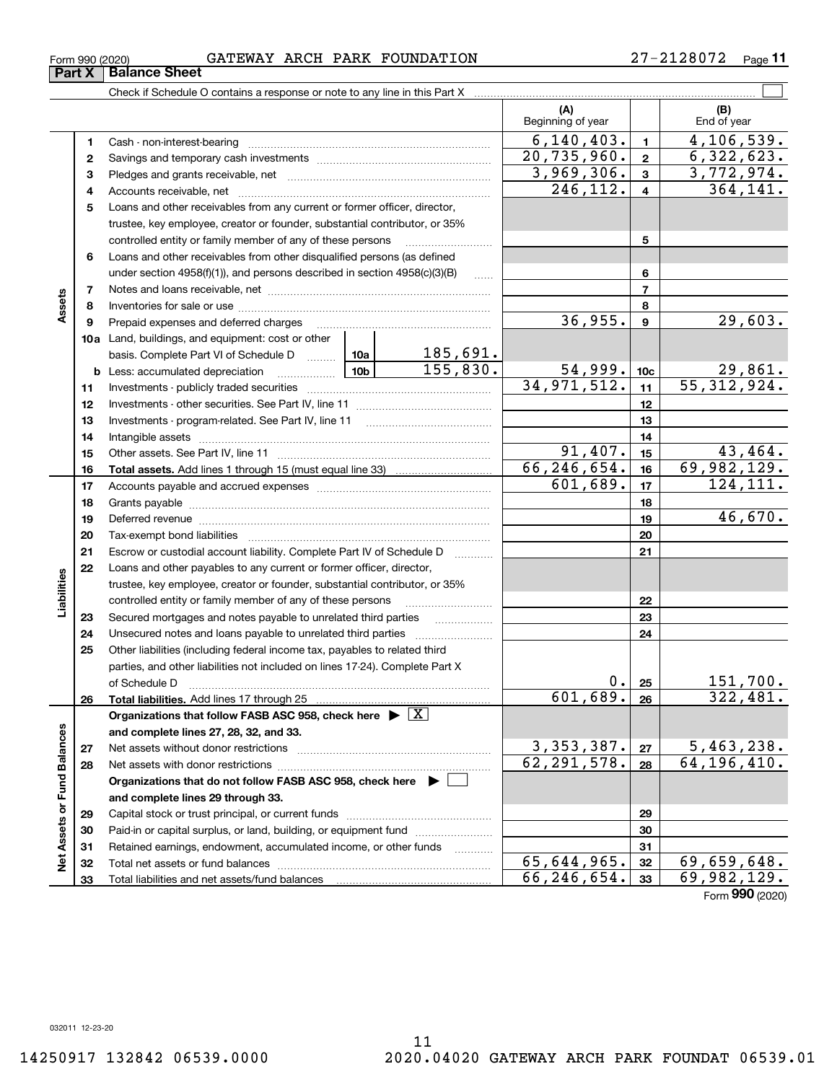| Form 990 (2020) | GATEWAY ARCH PARK FOUNDATION | 2128072<br>$\epsilon$ | Page |
|-----------------|------------------------------|-----------------------|------|
|                 |                              |                       |      |

|                             |    | Check if Schedule O contains a response or note to any line in this Part X                                      |          |               |                             |                          |                                         |
|-----------------------------|----|-----------------------------------------------------------------------------------------------------------------|----------|---------------|-----------------------------|--------------------------|-----------------------------------------|
|                             |    |                                                                                                                 |          |               | (A)<br>Beginning of year    |                          | (B)<br>End of year                      |
|                             | 1  |                                                                                                                 |          |               | 6, 140, 403.                | $\mathbf{1}$             | 4, 106, 539.                            |
|                             | 2  |                                                                                                                 |          |               | 20, 735, 960.               | $\mathbf{2}$             | 6,322,623.                              |
|                             | з  |                                                                                                                 |          |               | 3,969,306.                  | $\mathbf{3}$             | 3,772,974.                              |
|                             | 4  |                                                                                                                 |          |               | 246, 112.                   | $\overline{4}$           | 364, 141.                               |
|                             | 5  | Loans and other receivables from any current or former officer, director,                                       |          |               |                             |                          |                                         |
|                             |    | trustee, key employee, creator or founder, substantial contributor, or 35%                                      |          |               |                             |                          |                                         |
|                             |    | controlled entity or family member of any of these persons                                                      |          |               |                             | 5                        |                                         |
|                             | 6  | Loans and other receivables from other disqualified persons (as defined                                         |          |               |                             |                          |                                         |
|                             |    | under section $4958(f)(1)$ , and persons described in section $4958(c)(3)(B)$                                   |          | $\ldots$      |                             | 6                        |                                         |
|                             | 7  |                                                                                                                 |          |               |                             | $\overline{\phantom{a}}$ |                                         |
| Assets                      | 8  |                                                                                                                 |          |               |                             | 8                        |                                         |
|                             | 9  | Prepaid expenses and deferred charges                                                                           |          |               | 36,955.                     | 9                        | 29,603.                                 |
|                             |    | <b>10a</b> Land, buildings, and equipment: cost or other                                                        |          |               |                             |                          |                                         |
|                             |    | basis. Complete Part VI of Schedule D  10a                                                                      |          | 185,691.      |                             |                          |                                         |
|                             |    | <b>b</b> Less: accumulated depreciation<br>. 1                                                                  | 155,830. | 54,999.       | 10 <sub>c</sub>             | 29,861.                  |                                         |
|                             | 11 |                                                                                                                 |          |               | 34, 971, 512.               | 11                       | 55,312,924.                             |
|                             | 12 |                                                                                                                 |          |               | 12                          |                          |                                         |
|                             | 13 |                                                                                                                 |          | 13            |                             |                          |                                         |
|                             | 14 |                                                                                                                 |          | 14            |                             |                          |                                         |
|                             | 15 |                                                                                                                 | 91,407.  | 15            | 43, 464.                    |                          |                                         |
|                             | 16 |                                                                                                                 |          | 66, 246, 654. | 16                          | 69,982,129.              |                                         |
|                             | 17 |                                                                                                                 |          | 601,689.      | 17                          | 124,111.                 |                                         |
|                             | 18 |                                                                                                                 |          | 18            |                             |                          |                                         |
|                             | 19 | Deferred revenue manual contracts and contracts are all the manual contracts and contracts are contracted and c |          |               |                             | 19                       | 46,670.                                 |
|                             | 20 |                                                                                                                 |          |               |                             | 20                       |                                         |
|                             | 21 | Escrow or custodial account liability. Complete Part IV of Schedule D                                           |          |               |                             | 21                       |                                         |
|                             | 22 | Loans and other payables to any current or former officer, director,                                            |          |               |                             |                          |                                         |
| Liabilities                 |    | trustee, key employee, creator or founder, substantial contributor, or 35%                                      |          |               |                             |                          |                                         |
|                             |    | controlled entity or family member of any of these persons                                                      |          |               |                             | 22                       |                                         |
|                             | 23 | Secured mortgages and notes payable to unrelated third parties                                                  |          |               |                             | 23                       |                                         |
|                             | 24 | Unsecured notes and loans payable to unrelated third parties                                                    |          |               |                             | 24                       |                                         |
|                             | 25 | Other liabilities (including federal income tax, payables to related third                                      |          |               |                             |                          |                                         |
|                             |    | parties, and other liabilities not included on lines 17-24). Complete Part X                                    |          |               |                             |                          |                                         |
|                             |    | of Schedule D                                                                                                   |          |               | 0.                          | 25                       | 151,700.                                |
|                             | 26 |                                                                                                                 |          |               | $601, 689.$ 26              |                          | 322, 481.                               |
|                             |    | Organizations that follow FASB ASC 958, check here $\triangleright \lfloor X \rfloor$                           |          |               |                             |                          |                                         |
|                             |    | and complete lines 27, 28, 32, and 33.                                                                          |          |               |                             |                          |                                         |
|                             | 27 |                                                                                                                 |          |               | 3,353,387.<br>62, 291, 578. | 27                       | 5,463,238.<br>$\overline{64,196,410}$ . |
|                             | 28 |                                                                                                                 |          |               |                             | 28                       |                                         |
|                             |    | Organizations that do not follow FASB ASC 958, check here ▶ □                                                   |          |               |                             |                          |                                         |
|                             |    | and complete lines 29 through 33.                                                                               |          |               |                             |                          |                                         |
|                             | 29 |                                                                                                                 |          |               |                             | 29                       |                                         |
|                             | 30 | Paid-in or capital surplus, or land, building, or equipment fund                                                |          |               |                             | 30                       |                                         |
| Net Assets or Fund Balances | 31 | Retained earnings, endowment, accumulated income, or other funds                                                |          |               | 65,644,965.                 | 31                       | 69,659,648.                             |
|                             | 32 |                                                                                                                 |          |               | 66,246,654.                 | 32<br>33                 | 69,982,129.                             |
|                             | 33 |                                                                                                                 |          |               |                             |                          |                                         |

Form (2020) **990**

# **Part X Balance Sheet**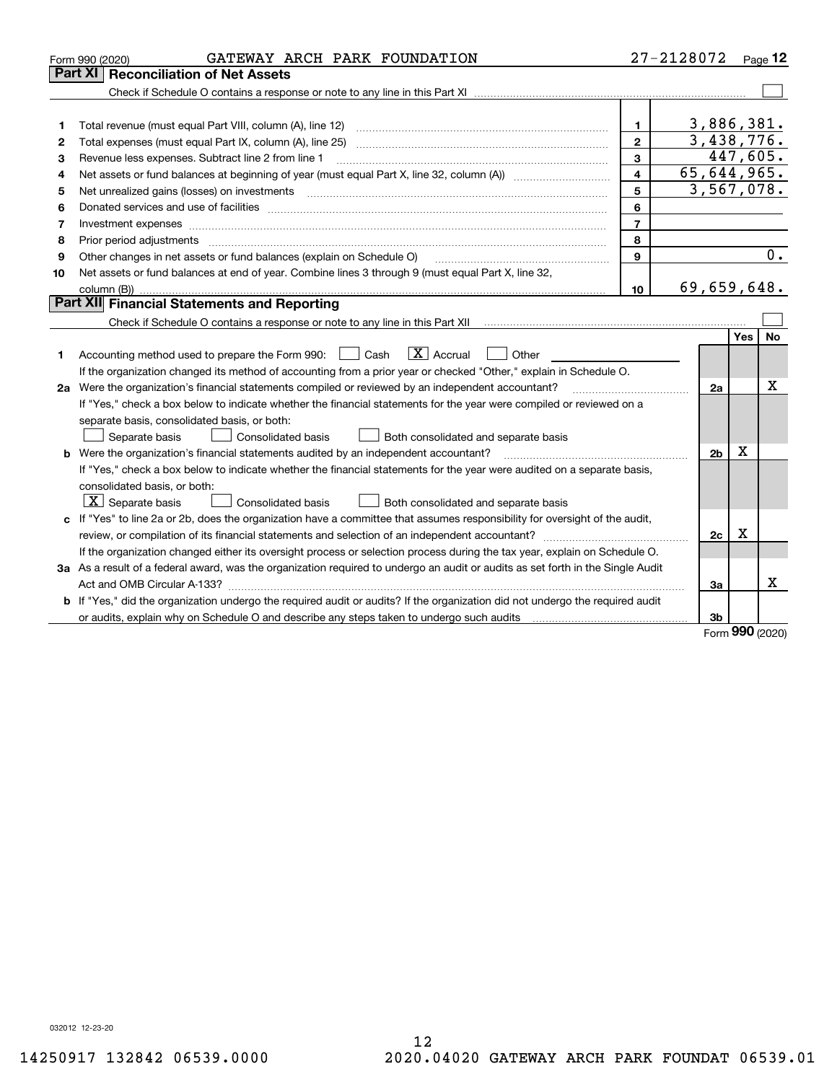|    | GATEWAY ARCH PARK FOUNDATION<br>Form 990 (2020)                                                                                                                                                                                |                  | 27-2128072     |     | Page 12 |  |  |  |
|----|--------------------------------------------------------------------------------------------------------------------------------------------------------------------------------------------------------------------------------|------------------|----------------|-----|---------|--|--|--|
|    | Part XI<br><b>Reconciliation of Net Assets</b>                                                                                                                                                                                 |                  |                |     |         |  |  |  |
|    |                                                                                                                                                                                                                                |                  |                |     |         |  |  |  |
|    |                                                                                                                                                                                                                                |                  |                |     |         |  |  |  |
| 1  |                                                                                                                                                                                                                                | 1                | 3,886,381.     |     |         |  |  |  |
| 2  |                                                                                                                                                                                                                                | $\mathbf{2}$     | 3,438,776.     |     |         |  |  |  |
| з  | 3<br>Revenue less expenses. Subtract line 2 from line 1                                                                                                                                                                        |                  |                |     |         |  |  |  |
| 4  | 65,644,965.<br>$\overline{\mathbf{4}}$                                                                                                                                                                                         |                  |                |     |         |  |  |  |
| 5  |                                                                                                                                                                                                                                | 5                | 3,567,078.     |     |         |  |  |  |
| 6  |                                                                                                                                                                                                                                | 6                |                |     |         |  |  |  |
| 7  |                                                                                                                                                                                                                                | $\overline{7}$   |                |     |         |  |  |  |
| 8  | Prior period adjustments                                                                                                                                                                                                       | 8                |                |     |         |  |  |  |
| 9  | Other changes in net assets or fund balances (explain on Schedule O)                                                                                                                                                           | $\mathbf{9}$     |                |     | 0.      |  |  |  |
| 10 | Net assets or fund balances at end of year. Combine lines 3 through 9 (must equal Part X, line 32,                                                                                                                             |                  |                |     |         |  |  |  |
|    |                                                                                                                                                                                                                                | 10 <sup>10</sup> | 69,659,648.    |     |         |  |  |  |
|    | <b>Part XII</b> Financial Statements and Reporting                                                                                                                                                                             |                  |                |     |         |  |  |  |
|    | Check if Schedule O contains a response or note to any line in this Part XII musules contains a contained to contain and the Check of Mathematical Check Check and Check Check Check Check Check Check Check Check Check Check |                  |                |     |         |  |  |  |
|    |                                                                                                                                                                                                                                |                  |                | Yes | No      |  |  |  |
| 1. | $\boxed{\mathbf{X}}$ Accrual<br>Accounting method used to prepare the Form 990: <u>[</u> Cash<br>Other                                                                                                                         |                  |                |     |         |  |  |  |
|    | If the organization changed its method of accounting from a prior year or checked "Other," explain in Schedule O.                                                                                                              |                  |                |     |         |  |  |  |
|    | 2a Were the organization's financial statements compiled or reviewed by an independent accountant?                                                                                                                             |                  | 2a             |     | x       |  |  |  |
|    | If "Yes," check a box below to indicate whether the financial statements for the year were compiled or reviewed on a                                                                                                           |                  |                |     |         |  |  |  |
|    | separate basis, consolidated basis, or both:                                                                                                                                                                                   |                  |                |     |         |  |  |  |
|    | Separate basis<br>Consolidated basis<br>Both consolidated and separate basis                                                                                                                                                   |                  |                |     |         |  |  |  |
|    | <b>b</b> Were the organization's financial statements audited by an independent accountant?                                                                                                                                    |                  | 2 <sub>b</sub> | X   |         |  |  |  |
|    | If "Yes," check a box below to indicate whether the financial statements for the year were audited on a separate basis,                                                                                                        |                  |                |     |         |  |  |  |
|    | consolidated basis, or both:                                                                                                                                                                                                   |                  |                |     |         |  |  |  |
|    | $\lfloor x \rfloor$ Separate basis<br><b>Consolidated basis</b><br>Both consolidated and separate basis                                                                                                                        |                  |                |     |         |  |  |  |
|    | c If "Yes" to line 2a or 2b, does the organization have a committee that assumes responsibility for oversight of the audit,                                                                                                    |                  |                |     |         |  |  |  |
|    |                                                                                                                                                                                                                                |                  | 2c             | X   |         |  |  |  |
|    | If the organization changed either its oversight process or selection process during the tax year, explain on Schedule O.                                                                                                      |                  |                |     |         |  |  |  |
|    | 3a As a result of a federal award, was the organization required to undergo an audit or audits as set forth in the Single Audit                                                                                                |                  |                |     |         |  |  |  |
|    |                                                                                                                                                                                                                                |                  | За             |     | х       |  |  |  |
|    | b If "Yes," did the organization undergo the required audit or audits? If the organization did not undergo the required audit                                                                                                  |                  |                |     |         |  |  |  |
|    | or audits, explain why on Schedule O and describe any steps taken to undergo such audits manufactured university                                                                                                               |                  | 3b             | nnn |         |  |  |  |

Form (2020) **990**

032012 12-23-20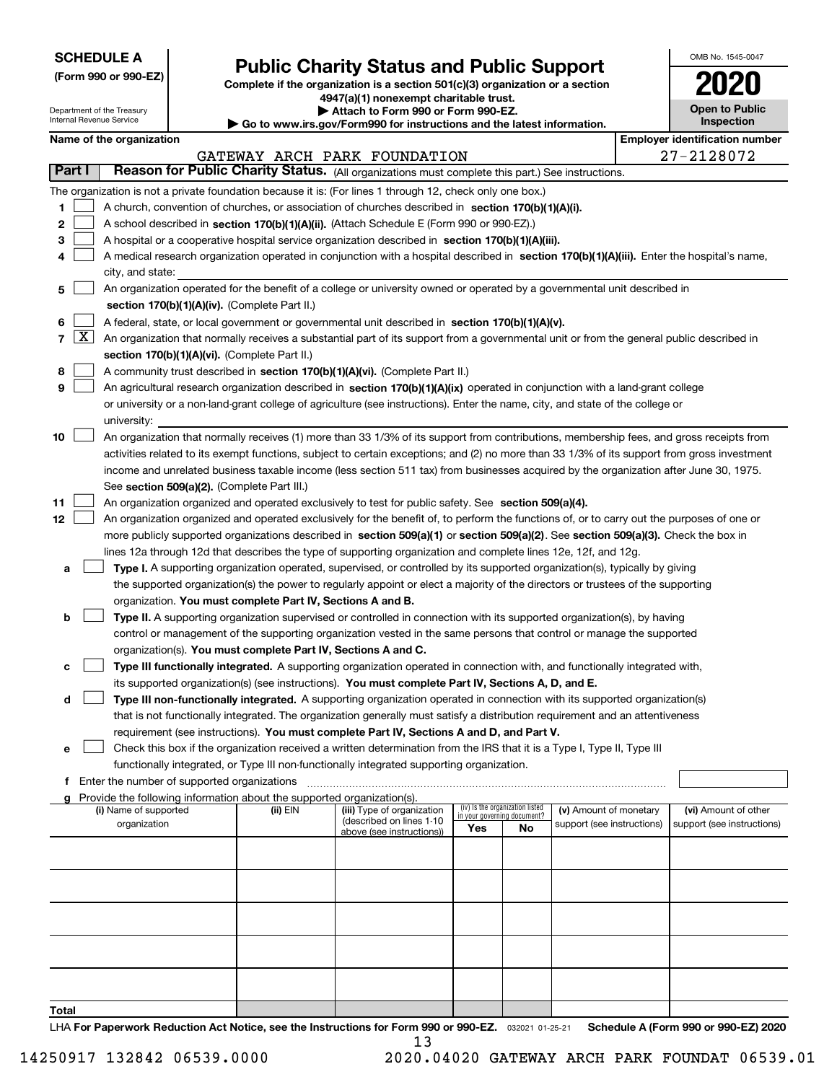| <b>SCHEDULE A</b> |
|-------------------|
|-------------------|

Department of the Treasury Internal Revenue Service

**(Form 990 or 990-EZ)**

## **Public Charity Status and Public Support**

**Complete if the organization is a section 501(c)(3) organization or a section 4947(a)(1) nonexempt charitable trust.**

**| Attach to Form 990 or Form 990-EZ.** 

**| Go to www.irs.gov/Form990 for instructions and the latest information.**

| OMB No. 1545-0047                   |
|-------------------------------------|
| 2020                                |
| <b>Open to Public</b><br>Inspection |

| Name of the organization |  |
|--------------------------|--|
|--------------------------|--|

|        | Name of the organization<br><b>Employer identification number</b> |                                                                                                                                              |          |                              |                                                                |     |                            |  |                            |  |  |  |
|--------|-------------------------------------------------------------------|----------------------------------------------------------------------------------------------------------------------------------------------|----------|------------------------------|----------------------------------------------------------------|-----|----------------------------|--|----------------------------|--|--|--|
|        |                                                                   |                                                                                                                                              |          | GATEWAY ARCH PARK FOUNDATION |                                                                |     |                            |  | 27-2128072                 |  |  |  |
| Part I |                                                                   | Reason for Public Charity Status. (All organizations must complete this part.) See instructions.                                             |          |                              |                                                                |     |                            |  |                            |  |  |  |
|        |                                                                   | The organization is not a private foundation because it is: (For lines 1 through 12, check only one box.)                                    |          |                              |                                                                |     |                            |  |                            |  |  |  |
| 1      |                                                                   | A church, convention of churches, or association of churches described in section 170(b)(1)(A)(i).                                           |          |                              |                                                                |     |                            |  |                            |  |  |  |
| 2      |                                                                   | A school described in section 170(b)(1)(A)(ii). (Attach Schedule E (Form 990 or 990-EZ).)                                                    |          |                              |                                                                |     |                            |  |                            |  |  |  |
| з      |                                                                   | A hospital or a cooperative hospital service organization described in section 170(b)(1)(A)(iii).                                            |          |                              |                                                                |     |                            |  |                            |  |  |  |
| 4      |                                                                   | A medical research organization operated in conjunction with a hospital described in section 170(b)(1)(A)(iii). Enter the hospital's name,   |          |                              |                                                                |     |                            |  |                            |  |  |  |
|        |                                                                   | city, and state:                                                                                                                             |          |                              |                                                                |     |                            |  |                            |  |  |  |
| 5      |                                                                   | An organization operated for the benefit of a college or university owned or operated by a governmental unit described in                    |          |                              |                                                                |     |                            |  |                            |  |  |  |
|        |                                                                   | section 170(b)(1)(A)(iv). (Complete Part II.)                                                                                                |          |                              |                                                                |     |                            |  |                            |  |  |  |
| 6      |                                                                   | A federal, state, or local government or governmental unit described in section 170(b)(1)(A)(v).                                             |          |                              |                                                                |     |                            |  |                            |  |  |  |
|        | $7 \times$                                                        | An organization that normally receives a substantial part of its support from a governmental unit or from the general public described in    |          |                              |                                                                |     |                            |  |                            |  |  |  |
|        |                                                                   | section 170(b)(1)(A)(vi). (Complete Part II.)                                                                                                |          |                              |                                                                |     |                            |  |                            |  |  |  |
| 8      |                                                                   | A community trust described in section 170(b)(1)(A)(vi). (Complete Part II.)                                                                 |          |                              |                                                                |     |                            |  |                            |  |  |  |
| 9      |                                                                   | An agricultural research organization described in section 170(b)(1)(A)(ix) operated in conjunction with a land-grant college                |          |                              |                                                                |     |                            |  |                            |  |  |  |
|        |                                                                   | or university or a non-land-grant college of agriculture (see instructions). Enter the name, city, and state of the college or               |          |                              |                                                                |     |                            |  |                            |  |  |  |
|        |                                                                   | university:                                                                                                                                  |          |                              |                                                                |     |                            |  |                            |  |  |  |
| 10     |                                                                   | An organization that normally receives (1) more than 33 1/3% of its support from contributions, membership fees, and gross receipts from     |          |                              |                                                                |     |                            |  |                            |  |  |  |
|        |                                                                   | activities related to its exempt functions, subject to certain exceptions; and (2) no more than 33 1/3% of its support from gross investment |          |                              |                                                                |     |                            |  |                            |  |  |  |
|        |                                                                   | income and unrelated business taxable income (less section 511 tax) from businesses acquired by the organization after June 30, 1975.        |          |                              |                                                                |     |                            |  |                            |  |  |  |
|        |                                                                   | See section 509(a)(2). (Complete Part III.)                                                                                                  |          |                              |                                                                |     |                            |  |                            |  |  |  |
| 11     |                                                                   | An organization organized and operated exclusively to test for public safety. See section 509(a)(4).                                         |          |                              |                                                                |     |                            |  |                            |  |  |  |
| 12     |                                                                   | An organization organized and operated exclusively for the benefit of, to perform the functions of, or to carry out the purposes of one or   |          |                              |                                                                |     |                            |  |                            |  |  |  |
|        |                                                                   | more publicly supported organizations described in section 509(a)(1) or section 509(a)(2). See section 509(a)(3). Check the box in           |          |                              |                                                                |     |                            |  |                            |  |  |  |
|        |                                                                   | lines 12a through 12d that describes the type of supporting organization and complete lines 12e, 12f, and 12g.                               |          |                              |                                                                |     |                            |  |                            |  |  |  |
| a      |                                                                   | Type I. A supporting organization operated, supervised, or controlled by its supported organization(s), typically by giving                  |          |                              |                                                                |     |                            |  |                            |  |  |  |
|        |                                                                   | the supported organization(s) the power to regularly appoint or elect a majority of the directors or trustees of the supporting              |          |                              |                                                                |     |                            |  |                            |  |  |  |
|        |                                                                   | organization. You must complete Part IV, Sections A and B.                                                                                   |          |                              |                                                                |     |                            |  |                            |  |  |  |
| b      |                                                                   | Type II. A supporting organization supervised or controlled in connection with its supported organization(s), by having                      |          |                              |                                                                |     |                            |  |                            |  |  |  |
|        |                                                                   | control or management of the supporting organization vested in the same persons that control or manage the supported                         |          |                              |                                                                |     |                            |  |                            |  |  |  |
|        |                                                                   | organization(s). You must complete Part IV, Sections A and C.                                                                                |          |                              |                                                                |     |                            |  |                            |  |  |  |
| с      |                                                                   | Type III functionally integrated. A supporting organization operated in connection with, and functionally integrated with,                   |          |                              |                                                                |     |                            |  |                            |  |  |  |
|        |                                                                   | its supported organization(s) (see instructions). You must complete Part IV, Sections A, D, and E.                                           |          |                              |                                                                |     |                            |  |                            |  |  |  |
| d      |                                                                   | Type III non-functionally integrated. A supporting organization operated in connection with its supported organization(s)                    |          |                              |                                                                |     |                            |  |                            |  |  |  |
|        |                                                                   | that is not functionally integrated. The organization generally must satisfy a distribution requirement and an attentiveness                 |          |                              |                                                                |     |                            |  |                            |  |  |  |
|        |                                                                   | requirement (see instructions). You must complete Part IV, Sections A and D, and Part V.                                                     |          |                              |                                                                |     |                            |  |                            |  |  |  |
| е      |                                                                   | Check this box if the organization received a written determination from the IRS that it is a Type I, Type II, Type III                      |          |                              |                                                                |     |                            |  |                            |  |  |  |
|        |                                                                   | functionally integrated, or Type III non-functionally integrated supporting organization.                                                    |          |                              |                                                                |     |                            |  |                            |  |  |  |
| f      |                                                                   | Enter the number of supported organizations                                                                                                  |          |                              |                                                                |     |                            |  |                            |  |  |  |
|        |                                                                   | Provide the following information about the supported organization(s).<br>(i) Name of supported                                              | (ii) EIN | (iii) Type of organization   |                                                                |     | (v) Amount of monetary     |  | (vi) Amount of other       |  |  |  |
|        |                                                                   | organization                                                                                                                                 |          | (described on lines 1-10     | (iv) Is the organization listed<br>in your governing document? |     | support (see instructions) |  | support (see instructions) |  |  |  |
|        |                                                                   |                                                                                                                                              |          | above (see instructions))    | Yes                                                            | No. |                            |  |                            |  |  |  |
|        |                                                                   |                                                                                                                                              |          |                              |                                                                |     |                            |  |                            |  |  |  |
|        |                                                                   |                                                                                                                                              |          |                              |                                                                |     |                            |  |                            |  |  |  |
|        |                                                                   |                                                                                                                                              |          |                              |                                                                |     |                            |  |                            |  |  |  |
|        |                                                                   |                                                                                                                                              |          |                              |                                                                |     |                            |  |                            |  |  |  |
|        |                                                                   |                                                                                                                                              |          |                              |                                                                |     |                            |  |                            |  |  |  |
|        |                                                                   |                                                                                                                                              |          |                              |                                                                |     |                            |  |                            |  |  |  |
|        |                                                                   |                                                                                                                                              |          |                              |                                                                |     |                            |  |                            |  |  |  |
|        |                                                                   |                                                                                                                                              |          |                              |                                                                |     |                            |  |                            |  |  |  |
|        |                                                                   |                                                                                                                                              |          |                              |                                                                |     |                            |  |                            |  |  |  |
| Total  |                                                                   |                                                                                                                                              |          |                              |                                                                |     |                            |  |                            |  |  |  |

LHA For Paperwork Reduction Act Notice, see the Instructions for Form 990 or 990-EZ. <sub>032021</sub> o1-25-21 Schedule A (Form 990 or 990-EZ) 2020 13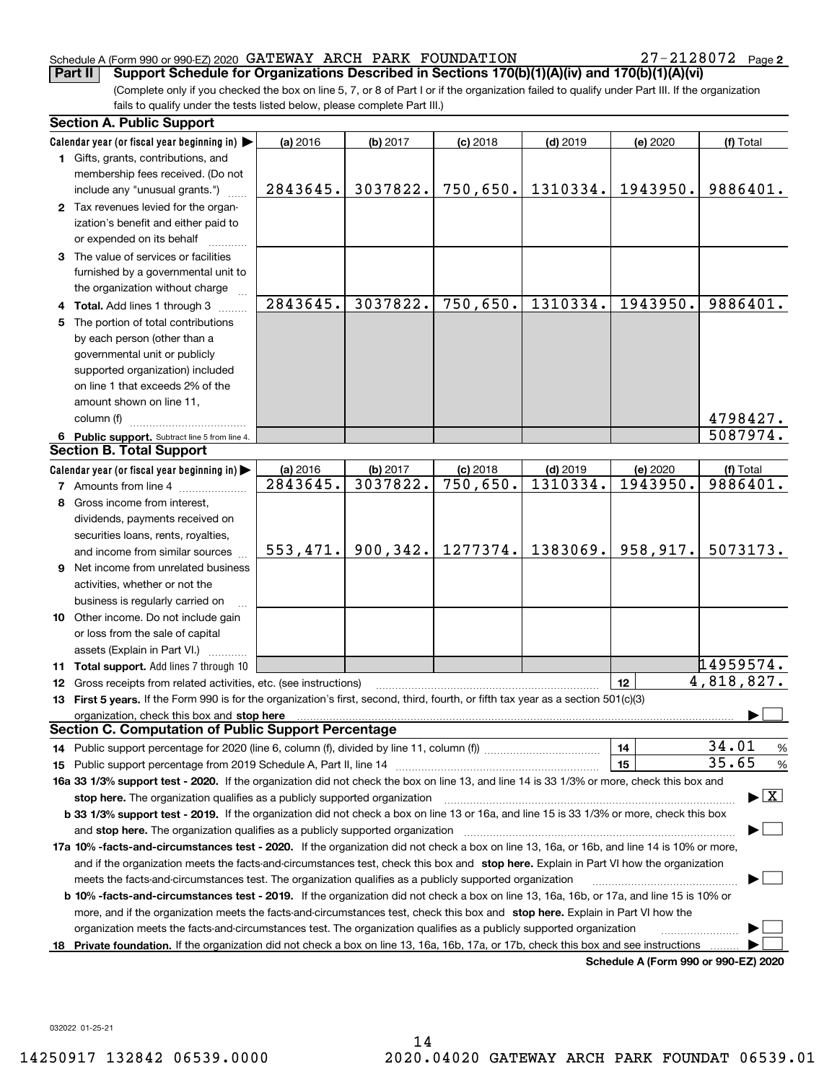#### Schedule A (Form 990 or 990-EZ) 2020 Page GATEWAY ARCH PARK FOUNDATION 27-2128072

27-2128072 Page 2

(Complete only if you checked the box on line 5, 7, or 8 of Part I or if the organization failed to qualify under Part III. If the organization fails to qualify under the tests listed below, please complete Part III.) **Part II** Support Schedule for Organizations Described in Sections 170(b)(1)(A)(iv) and 170(b)(1)(A)(vi)

|    | <b>Section A. Public Support</b>                                                                                                                                                                                               |           |           |                         |            |                                      |                                          |
|----|--------------------------------------------------------------------------------------------------------------------------------------------------------------------------------------------------------------------------------|-----------|-----------|-------------------------|------------|--------------------------------------|------------------------------------------|
|    | Calendar year (or fiscal year beginning in) $\blacktriangleright$                                                                                                                                                              | (a) 2016  | (b) 2017  | $(c)$ 2018              | $(d)$ 2019 | (e) 2020                             | (f) Total                                |
|    | 1 Gifts, grants, contributions, and                                                                                                                                                                                            |           |           |                         |            |                                      |                                          |
|    | membership fees received. (Do not                                                                                                                                                                                              |           |           |                         |            |                                      |                                          |
|    | include any "unusual grants.")                                                                                                                                                                                                 | 2843645.  | 3037822.  | 750,650.                | 1310334.   | 1943950.                             | 9886401.                                 |
|    | 2 Tax revenues levied for the organ-                                                                                                                                                                                           |           |           |                         |            |                                      |                                          |
|    | ization's benefit and either paid to                                                                                                                                                                                           |           |           |                         |            |                                      |                                          |
|    | or expended on its behalf                                                                                                                                                                                                      |           |           |                         |            |                                      |                                          |
|    | 3 The value of services or facilities                                                                                                                                                                                          |           |           |                         |            |                                      |                                          |
|    | furnished by a governmental unit to                                                                                                                                                                                            |           |           |                         |            |                                      |                                          |
|    | the organization without charge                                                                                                                                                                                                |           |           |                         |            |                                      |                                          |
|    | 4 Total. Add lines 1 through 3                                                                                                                                                                                                 | 2843645.  | 3037822.  | 750,650.                | 1310334.   | 1943950.                             | 9886401.                                 |
| 5. | The portion of total contributions                                                                                                                                                                                             |           |           |                         |            |                                      |                                          |
|    | by each person (other than a                                                                                                                                                                                                   |           |           |                         |            |                                      |                                          |
|    | governmental unit or publicly                                                                                                                                                                                                  |           |           |                         |            |                                      |                                          |
|    | supported organization) included                                                                                                                                                                                               |           |           |                         |            |                                      |                                          |
|    | on line 1 that exceeds 2% of the                                                                                                                                                                                               |           |           |                         |            |                                      |                                          |
|    | amount shown on line 11,                                                                                                                                                                                                       |           |           |                         |            |                                      |                                          |
|    | column (f)                                                                                                                                                                                                                     |           |           |                         |            |                                      | 4798427.                                 |
|    | 6 Public support. Subtract line 5 from line 4.                                                                                                                                                                                 |           |           |                         |            |                                      | 5087974.                                 |
|    | <b>Section B. Total Support</b>                                                                                                                                                                                                |           |           |                         |            |                                      |                                          |
|    | Calendar year (or fiscal year beginning in) $\blacktriangleright$                                                                                                                                                              | (a) 2016  | (b) 2017  | $(c)$ 2018              | $(d)$ 2019 | (e) 2020                             | (f) Total                                |
|    | <b>7</b> Amounts from line 4                                                                                                                                                                                                   | 2843645.  | 3037822.  | $\overline{750}$ , 650. | 1310334.   | 1943950.                             | 9886401.                                 |
| 8  | Gross income from interest,                                                                                                                                                                                                    |           |           |                         |            |                                      |                                          |
|    | dividends, payments received on                                                                                                                                                                                                |           |           |                         |            |                                      |                                          |
|    | securities loans, rents, royalties,                                                                                                                                                                                            |           |           |                         |            |                                      |                                          |
|    | and income from similar sources                                                                                                                                                                                                | 553, 471. | 900, 342. | 1277374.                | 1383069.   | 958,917.                             | 5073173.                                 |
|    | <b>9</b> Net income from unrelated business                                                                                                                                                                                    |           |           |                         |            |                                      |                                          |
|    | activities, whether or not the                                                                                                                                                                                                 |           |           |                         |            |                                      |                                          |
|    | business is regularly carried on                                                                                                                                                                                               |           |           |                         |            |                                      |                                          |
|    | 10 Other income. Do not include gain                                                                                                                                                                                           |           |           |                         |            |                                      |                                          |
|    | or loss from the sale of capital                                                                                                                                                                                               |           |           |                         |            |                                      |                                          |
|    | assets (Explain in Part VI.)                                                                                                                                                                                                   |           |           |                         |            |                                      |                                          |
|    | 11 Total support. Add lines 7 through 10                                                                                                                                                                                       |           |           |                         |            |                                      | 14959574.                                |
|    | 12 Gross receipts from related activities, etc. (see instructions)                                                                                                                                                             |           |           |                         |            | 12                                   | 4,818,827.                               |
|    | 13 First 5 years. If the Form 990 is for the organization's first, second, third, fourth, or fifth tax year as a section 501(c)(3)                                                                                             |           |           |                         |            |                                      |                                          |
|    | organization, check this box and stop here manufactured and stop here are all the contractions of the state of the state of the contract of the contract of the contract of the contract of the contract of the contract of th |           |           |                         |            |                                      |                                          |
|    | <b>Section C. Computation of Public Support Percentage</b>                                                                                                                                                                     |           |           |                         |            |                                      |                                          |
|    |                                                                                                                                                                                                                                |           |           |                         |            | 14                                   | 34.01<br>%                               |
|    |                                                                                                                                                                                                                                |           |           |                         |            | 15                                   | 35.65<br>$\%$                            |
|    | 16a 33 1/3% support test - 2020. If the organization did not check the box on line 13, and line 14 is 33 1/3% or more, check this box and                                                                                      |           |           |                         |            |                                      |                                          |
|    | stop here. The organization qualifies as a publicly supported organization                                                                                                                                                     |           |           |                         |            |                                      | $\blacktriangleright$ $\boxed{\text{X}}$ |
|    | b 33 1/3% support test - 2019. If the organization did not check a box on line 13 or 16a, and line 15 is 33 1/3% or more, check this box                                                                                       |           |           |                         |            |                                      |                                          |
|    |                                                                                                                                                                                                                                |           |           |                         |            |                                      |                                          |
|    | and stop here. The organization qualifies as a publicly supported organization<br>17a 10% -facts-and-circumstances test - 2020. If the organization did not check a box on line 13, 16a, or 16b, and line 14 is 10% or more,   |           |           |                         |            |                                      |                                          |
|    |                                                                                                                                                                                                                                |           |           |                         |            |                                      |                                          |
|    | and if the organization meets the facts-and-circumstances test, check this box and stop here. Explain in Part VI how the organization                                                                                          |           |           |                         |            |                                      |                                          |
|    | meets the facts-and-circumstances test. The organization qualifies as a publicly supported organization                                                                                                                        |           |           |                         |            |                                      |                                          |
|    | <b>b 10% -facts-and-circumstances test - 2019.</b> If the organization did not check a box on line 13, 16a, 16b, or 17a, and line 15 is 10% or                                                                                 |           |           |                         |            |                                      |                                          |
|    | more, and if the organization meets the facts-and-circumstances test, check this box and stop here. Explain in Part VI how the                                                                                                 |           |           |                         |            |                                      |                                          |
|    | organization meets the facts-and-circumstances test. The organization qualifies as a publicly supported organization                                                                                                           |           |           |                         |            |                                      |                                          |
| 18 | Private foundation. If the organization did not check a box on line 13, 16a, 16b, 17a, or 17b, check this box and see instructions                                                                                             |           |           |                         |            | Schedule A (Form 990 or 990-F7) 2020 |                                          |

**Schedule A (Form 990 or 990-EZ) 2020**

032022 01-25-21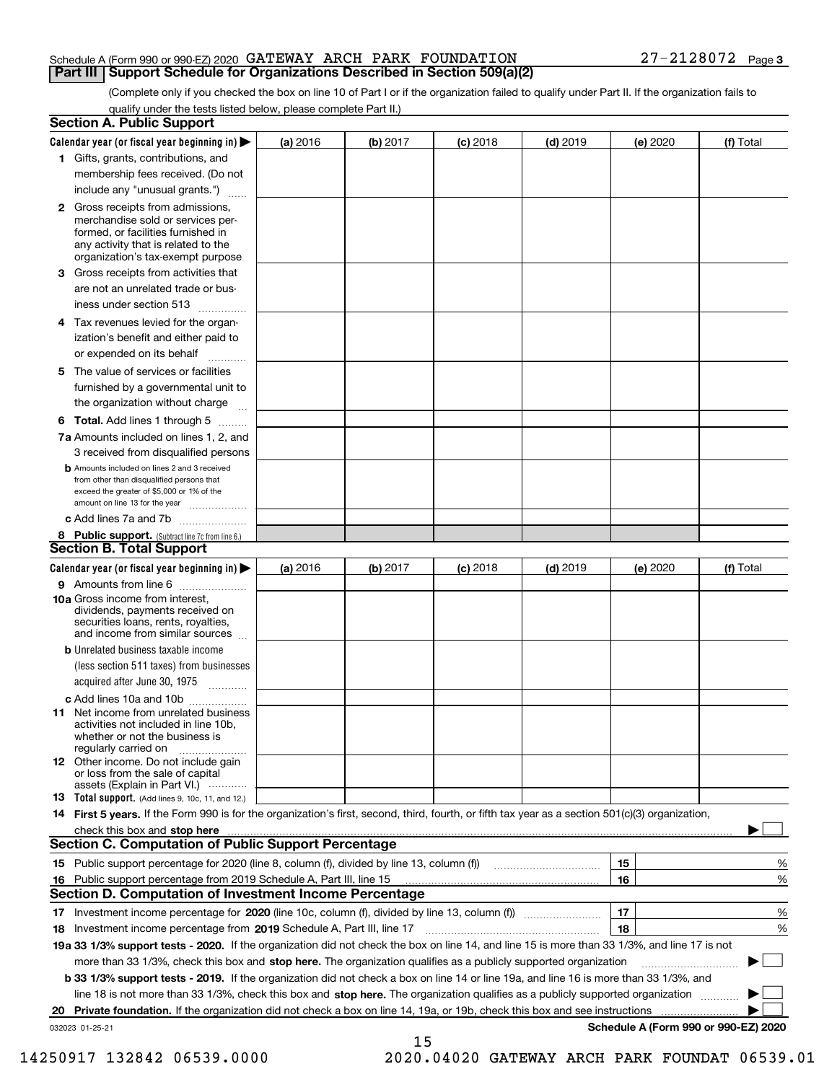#### Schedule A (Form 990 or 990-EZ) 2020 Page GATEWAY ARCH PARK FOUNDATION 27-2128072 **Part III Support Schedule for Organizations Described in Section 509(a)(2)**

(Complete only if you checked the box on line 10 of Part I or if the organization failed to qualify under Part II. If the organization fails to qualify under the tests listed below, please complete Part II.)

|    | <b>Section A. Public Support</b>                                                                                                                                                         |          |          |            |            |          |                                      |
|----|------------------------------------------------------------------------------------------------------------------------------------------------------------------------------------------|----------|----------|------------|------------|----------|--------------------------------------|
|    | Calendar year (or fiscal year beginning in) $\blacktriangleright$                                                                                                                        | (a) 2016 | (b) 2017 | $(c)$ 2018 | $(d)$ 2019 | (e) 2020 | (f) Total                            |
|    | 1 Gifts, grants, contributions, and                                                                                                                                                      |          |          |            |            |          |                                      |
|    | membership fees received. (Do not                                                                                                                                                        |          |          |            |            |          |                                      |
|    | include any "unusual grants.")                                                                                                                                                           |          |          |            |            |          |                                      |
|    | 2 Gross receipts from admissions,<br>merchandise sold or services per-<br>formed, or facilities furnished in<br>any activity that is related to the<br>organization's tax-exempt purpose |          |          |            |            |          |                                      |
|    | 3 Gross receipts from activities that<br>are not an unrelated trade or bus-                                                                                                              |          |          |            |            |          |                                      |
|    | iness under section 513                                                                                                                                                                  |          |          |            |            |          |                                      |
|    | 4 Tax revenues levied for the organ-                                                                                                                                                     |          |          |            |            |          |                                      |
|    | ization's benefit and either paid to<br>or expended on its behalf<br>.                                                                                                                   |          |          |            |            |          |                                      |
|    | 5 The value of services or facilities                                                                                                                                                    |          |          |            |            |          |                                      |
|    | furnished by a governmental unit to                                                                                                                                                      |          |          |            |            |          |                                      |
|    | the organization without charge                                                                                                                                                          |          |          |            |            |          |                                      |
|    | <b>6 Total.</b> Add lines 1 through 5                                                                                                                                                    |          |          |            |            |          |                                      |
|    | 7a Amounts included on lines 1, 2, and<br>3 received from disqualified persons                                                                                                           |          |          |            |            |          |                                      |
|    | <b>b</b> Amounts included on lines 2 and 3 received<br>from other than disqualified persons that<br>exceed the greater of \$5,000 or 1% of the<br>amount on line 13 for the year         |          |          |            |            |          |                                      |
|    | c Add lines 7a and 7b                                                                                                                                                                    |          |          |            |            |          |                                      |
|    | 8 Public support. (Subtract line 7c from line 6.)                                                                                                                                        |          |          |            |            |          |                                      |
|    | <b>Section B. Total Support</b>                                                                                                                                                          |          |          |            |            |          |                                      |
|    | Calendar year (or fiscal year beginning in) $\blacktriangleright$                                                                                                                        | (a) 2016 | (b) 2017 | $(c)$ 2018 | $(d)$ 2019 | (e) 2020 | (f) Total                            |
|    | 9 Amounts from line 6                                                                                                                                                                    |          |          |            |            |          |                                      |
|    | 10a Gross income from interest,<br>dividends, payments received on<br>securities loans, rents, royalties,<br>and income from similar sources                                             |          |          |            |            |          |                                      |
|    | <b>b</b> Unrelated business taxable income<br>(less section 511 taxes) from businesses                                                                                                   |          |          |            |            |          |                                      |
|    | acquired after June 30, 1975                                                                                                                                                             |          |          |            |            |          |                                      |
|    | c Add lines 10a and 10b<br>11 Net income from unrelated business<br>activities not included in line 10b,<br>whether or not the business is<br>regularly carried on                       |          |          |            |            |          |                                      |
|    | 12 Other income. Do not include gain<br>or loss from the sale of capital<br>assets (Explain in Part VI.)                                                                                 |          |          |            |            |          |                                      |
|    | <b>13</b> Total support. (Add lines 9, 10c, 11, and 12.)                                                                                                                                 |          |          |            |            |          |                                      |
|    | 14 First 5 years. If the Form 990 is for the organization's first, second, third, fourth, or fifth tax year as a section 501(c)(3) organization,                                         |          |          |            |            |          |                                      |
|    | check this box and stop here measurements are constructed as the state of the state of the state of the state o                                                                          |          |          |            |            |          |                                      |
|    | Section C. Computation of Public Support Percentage                                                                                                                                      |          |          |            |            |          |                                      |
|    | 15 Public support percentage for 2020 (line 8, column (f), divided by line 13, column (f))                                                                                               |          |          |            |            | 15       | %                                    |
|    | 16 Public support percentage from 2019 Schedule A, Part III, line 15                                                                                                                     |          |          |            |            | 16       | %                                    |
|    | <b>Section D. Computation of Investment Income Percentage</b>                                                                                                                            |          |          |            |            |          |                                      |
|    | 17 Investment income percentage for 2020 (line 10c, column (f), divided by line 13, column (f))                                                                                          |          |          |            |            | 17       | %                                    |
|    | <b>18</b> Investment income percentage from <b>2019</b> Schedule A, Part III, line 17                                                                                                    |          |          |            |            | 18       | %                                    |
|    | 19a 33 1/3% support tests - 2020. If the organization did not check the box on line 14, and line 15 is more than 33 1/3%, and line 17 is not                                             |          |          |            |            |          |                                      |
|    | more than 33 1/3%, check this box and stop here. The organization qualifies as a publicly supported organization                                                                         |          |          |            |            |          | ▶                                    |
|    | b 33 1/3% support tests - 2019. If the organization did not check a box on line 14 or line 19a, and line 16 is more than 33 1/3%, and                                                    |          |          |            |            |          |                                      |
|    | line 18 is not more than 33 1/3%, check this box and stop here. The organization qualifies as a publicly supported organization                                                          |          |          |            |            |          |                                      |
| 20 | <b>Private foundation.</b> If the organization did not check a box on line 14, 19a, or 19b, check this box and see instructions                                                          |          |          |            |            |          |                                      |
|    | 032023 01-25-21                                                                                                                                                                          |          | 15       |            |            |          | Schedule A (Form 990 or 990-EZ) 2020 |

 <sup>14250917 132842 06539.0000 2020.04020</sup> GATEWAY ARCH PARK FOUNDAT 06539.01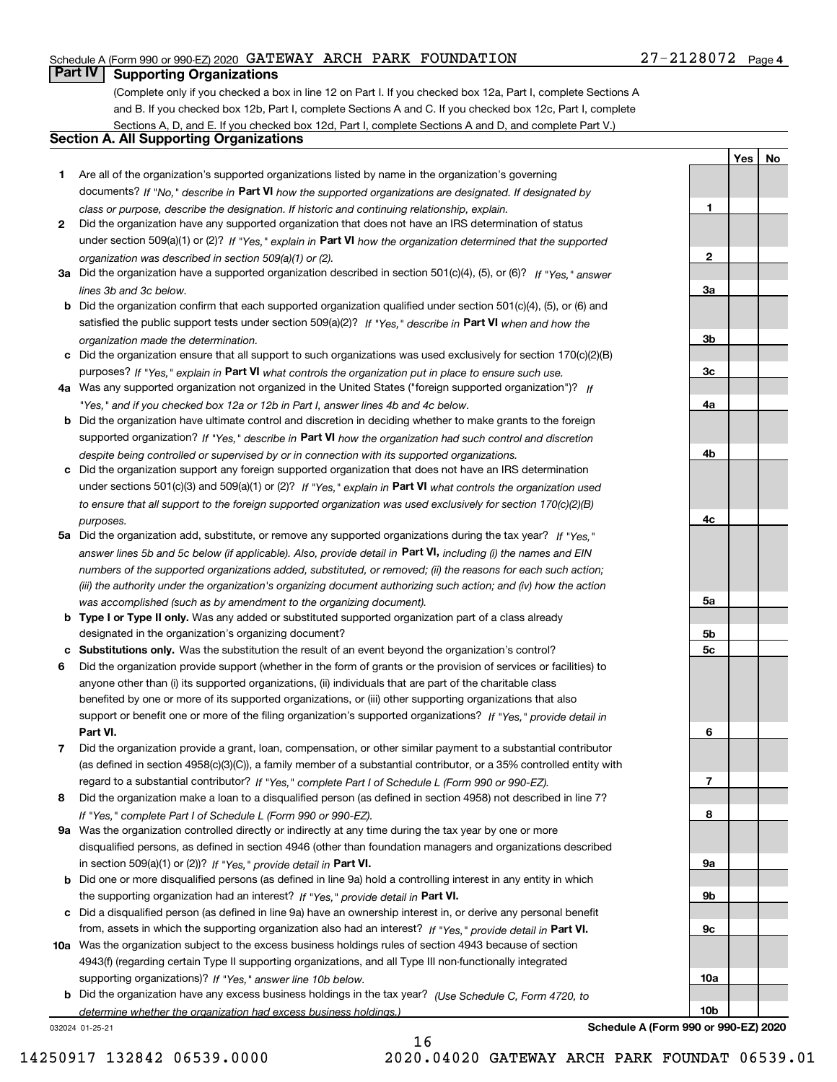#### Schedule A (Form 990 or 990-EZ) 2020 Page GATEWAY ARCH PARK FOUNDATION 27-2128072

### **Part IV Supporting Organizations**

(Complete only if you checked a box in line 12 on Part I. If you checked box 12a, Part I, complete Sections A and B. If you checked box 12b, Part I, complete Sections A and C. If you checked box 12c, Part I, complete Sections A, D, and E. If you checked box 12d, Part I, complete Sections A and D, and complete Part V.)

#### **Section A. All Supporting Organizations**

- **1** Are all of the organization's supported organizations listed by name in the organization's governing documents? If "No," describe in **Part VI** how the supported organizations are designated. If designated by *class or purpose, describe the designation. If historic and continuing relationship, explain.*
- **2** Did the organization have any supported organization that does not have an IRS determination of status under section 509(a)(1) or (2)? If "Yes," explain in Part VI how the organization determined that the supported *organization was described in section 509(a)(1) or (2).*
- **3a** Did the organization have a supported organization described in section 501(c)(4), (5), or (6)? If "Yes," answer *lines 3b and 3c below.*
- **b** Did the organization confirm that each supported organization qualified under section 501(c)(4), (5), or (6) and satisfied the public support tests under section 509(a)(2)? If "Yes," describe in **Part VI** when and how the *organization made the determination.*
- **c**Did the organization ensure that all support to such organizations was used exclusively for section 170(c)(2)(B) purposes? If "Yes," explain in **Part VI** what controls the organization put in place to ensure such use.
- **4a***If* Was any supported organization not organized in the United States ("foreign supported organization")? *"Yes," and if you checked box 12a or 12b in Part I, answer lines 4b and 4c below.*
- **b** Did the organization have ultimate control and discretion in deciding whether to make grants to the foreign supported organization? If "Yes," describe in **Part VI** how the organization had such control and discretion *despite being controlled or supervised by or in connection with its supported organizations.*
- **c** Did the organization support any foreign supported organization that does not have an IRS determination under sections 501(c)(3) and 509(a)(1) or (2)? If "Yes," explain in **Part VI** what controls the organization used *to ensure that all support to the foreign supported organization was used exclusively for section 170(c)(2)(B) purposes.*
- **5a** Did the organization add, substitute, or remove any supported organizations during the tax year? If "Yes," answer lines 5b and 5c below (if applicable). Also, provide detail in **Part VI,** including (i) the names and EIN *numbers of the supported organizations added, substituted, or removed; (ii) the reasons for each such action; (iii) the authority under the organization's organizing document authorizing such action; and (iv) how the action was accomplished (such as by amendment to the organizing document).*
- **b** Type I or Type II only. Was any added or substituted supported organization part of a class already designated in the organization's organizing document?
- **cSubstitutions only.**  Was the substitution the result of an event beyond the organization's control?
- **6** Did the organization provide support (whether in the form of grants or the provision of services or facilities) to **Part VI.** *If "Yes," provide detail in* support or benefit one or more of the filing organization's supported organizations? anyone other than (i) its supported organizations, (ii) individuals that are part of the charitable class benefited by one or more of its supported organizations, or (iii) other supporting organizations that also
- **7**Did the organization provide a grant, loan, compensation, or other similar payment to a substantial contributor *If "Yes," complete Part I of Schedule L (Form 990 or 990-EZ).* regard to a substantial contributor? (as defined in section 4958(c)(3)(C)), a family member of a substantial contributor, or a 35% controlled entity with
- **8** Did the organization make a loan to a disqualified person (as defined in section 4958) not described in line 7? *If "Yes," complete Part I of Schedule L (Form 990 or 990-EZ).*
- **9a** Was the organization controlled directly or indirectly at any time during the tax year by one or more in section 509(a)(1) or (2))? If "Yes," *provide detail in* <code>Part VI.</code> disqualified persons, as defined in section 4946 (other than foundation managers and organizations described
- **b** Did one or more disqualified persons (as defined in line 9a) hold a controlling interest in any entity in which the supporting organization had an interest? If "Yes," provide detail in P**art VI**.
- **c**Did a disqualified person (as defined in line 9a) have an ownership interest in, or derive any personal benefit from, assets in which the supporting organization also had an interest? If "Yes," provide detail in P**art VI.**
- **10a** Was the organization subject to the excess business holdings rules of section 4943 because of section supporting organizations)? If "Yes," answer line 10b below. 4943(f) (regarding certain Type II supporting organizations, and all Type III non-functionally integrated
- **b** Did the organization have any excess business holdings in the tax year? (Use Schedule C, Form 4720, to *determine whether the organization had excess business holdings.)*

032024 01-25-21

**Schedule A (Form 990 or 990-EZ) 2020**

**1**

**YesNo**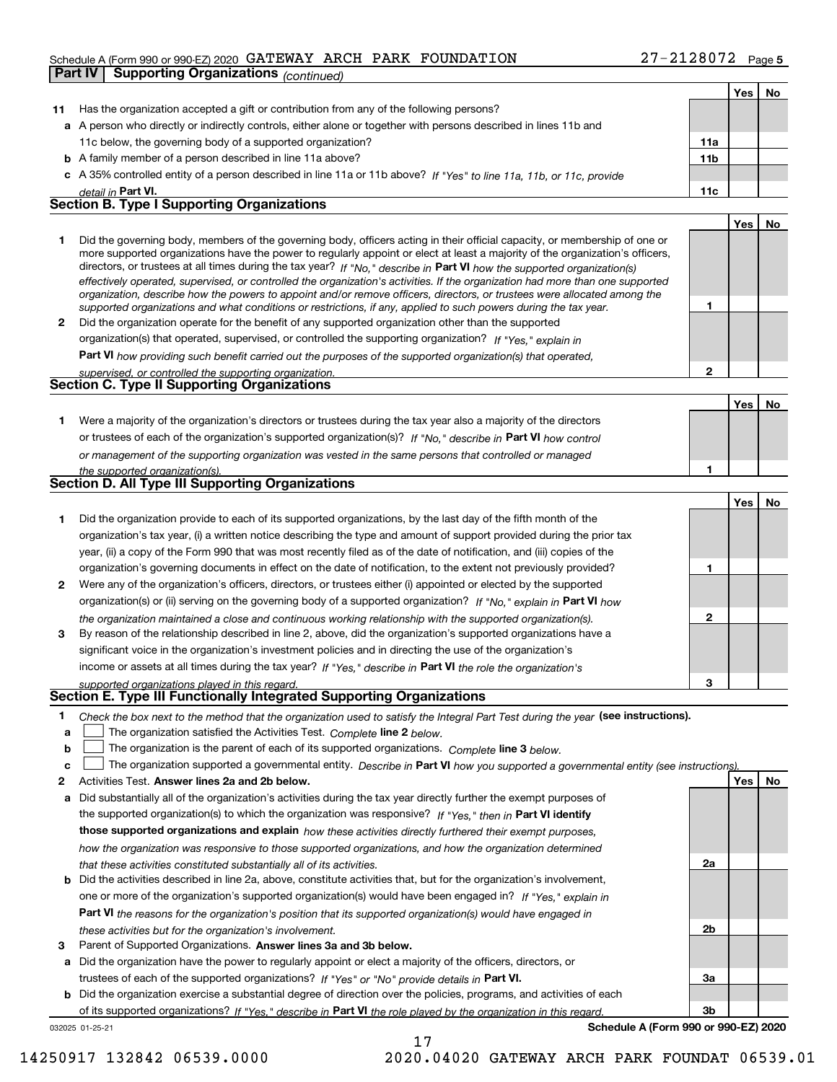#### Schedule A (Form 990 or 990-EZ) 2020 Page GATEWAY ARCH PARK FOUNDATION 27-2128072

| Part IV | <b>Supporting Organizations (continued)</b>                                                                                                                                                                                                                                                                                                                                                                                                                                                                              |                 |     |           |
|---------|--------------------------------------------------------------------------------------------------------------------------------------------------------------------------------------------------------------------------------------------------------------------------------------------------------------------------------------------------------------------------------------------------------------------------------------------------------------------------------------------------------------------------|-----------------|-----|-----------|
|         |                                                                                                                                                                                                                                                                                                                                                                                                                                                                                                                          |                 | Yes | No        |
| 11      | Has the organization accepted a gift or contribution from any of the following persons?                                                                                                                                                                                                                                                                                                                                                                                                                                  |                 |     |           |
|         | a A person who directly or indirectly controls, either alone or together with persons described in lines 11b and                                                                                                                                                                                                                                                                                                                                                                                                         |                 |     |           |
|         | 11c below, the governing body of a supported organization?                                                                                                                                                                                                                                                                                                                                                                                                                                                               | 11a             |     |           |
|         | <b>b</b> A family member of a person described in line 11a above?                                                                                                                                                                                                                                                                                                                                                                                                                                                        | 11 <sub>b</sub> |     |           |
|         | c A 35% controlled entity of a person described in line 11a or 11b above? If "Yes" to line 11a, 11b, or 11c, provide                                                                                                                                                                                                                                                                                                                                                                                                     |                 |     |           |
|         | detail in Part VI.                                                                                                                                                                                                                                                                                                                                                                                                                                                                                                       | 11c             |     |           |
|         | <b>Section B. Type I Supporting Organizations</b>                                                                                                                                                                                                                                                                                                                                                                                                                                                                        |                 |     |           |
|         |                                                                                                                                                                                                                                                                                                                                                                                                                                                                                                                          |                 | Yes | No        |
| 1       | Did the governing body, members of the governing body, officers acting in their official capacity, or membership of one or<br>more supported organizations have the power to regularly appoint or elect at least a majority of the organization's officers,<br>directors, or trustees at all times during the tax year? If "No," describe in Part VI how the supported organization(s)<br>effectively operated, supervised, or controlled the organization's activities. If the organization had more than one supported |                 |     |           |
|         | organization, describe how the powers to appoint and/or remove officers, directors, or trustees were allocated among the<br>supported organizations and what conditions or restrictions, if any, applied to such powers during the tax year.                                                                                                                                                                                                                                                                             | 1               |     |           |
| 2       | Did the organization operate for the benefit of any supported organization other than the supported                                                                                                                                                                                                                                                                                                                                                                                                                      |                 |     |           |
|         | organization(s) that operated, supervised, or controlled the supporting organization? If "Yes," explain in                                                                                                                                                                                                                                                                                                                                                                                                               |                 |     |           |
|         | Part VI how providing such benefit carried out the purposes of the supported organization(s) that operated,                                                                                                                                                                                                                                                                                                                                                                                                              |                 |     |           |
|         | supervised, or controlled the supporting organization.                                                                                                                                                                                                                                                                                                                                                                                                                                                                   | $\overline{2}$  |     |           |
|         | <b>Section C. Type II Supporting Organizations</b>                                                                                                                                                                                                                                                                                                                                                                                                                                                                       |                 |     |           |
|         |                                                                                                                                                                                                                                                                                                                                                                                                                                                                                                                          |                 | Yes | No        |
| 1       | Were a majority of the organization's directors or trustees during the tax year also a majority of the directors                                                                                                                                                                                                                                                                                                                                                                                                         |                 |     |           |
|         | or trustees of each of the organization's supported organization(s)? If "No," describe in Part VI how control                                                                                                                                                                                                                                                                                                                                                                                                            |                 |     |           |
|         | or management of the supporting organization was vested in the same persons that controlled or managed                                                                                                                                                                                                                                                                                                                                                                                                                   |                 |     |           |
|         | the supported organization(s).                                                                                                                                                                                                                                                                                                                                                                                                                                                                                           | 1               |     |           |
|         | <b>Section D. All Type III Supporting Organizations</b>                                                                                                                                                                                                                                                                                                                                                                                                                                                                  |                 |     |           |
|         |                                                                                                                                                                                                                                                                                                                                                                                                                                                                                                                          |                 | Yes | No        |
| 1       | Did the organization provide to each of its supported organizations, by the last day of the fifth month of the                                                                                                                                                                                                                                                                                                                                                                                                           |                 |     |           |
|         | organization's tax year, (i) a written notice describing the type and amount of support provided during the prior tax                                                                                                                                                                                                                                                                                                                                                                                                    |                 |     |           |
|         | year, (ii) a copy of the Form 990 that was most recently filed as of the date of notification, and (iii) copies of the                                                                                                                                                                                                                                                                                                                                                                                                   |                 |     |           |
|         | organization's governing documents in effect on the date of notification, to the extent not previously provided?                                                                                                                                                                                                                                                                                                                                                                                                         | 1               |     |           |
| 2       | Were any of the organization's officers, directors, or trustees either (i) appointed or elected by the supported                                                                                                                                                                                                                                                                                                                                                                                                         |                 |     |           |
|         | organization(s) or (ii) serving on the governing body of a supported organization? If "No." explain in Part VI how                                                                                                                                                                                                                                                                                                                                                                                                       |                 |     |           |
| 3       | the organization maintained a close and continuous working relationship with the supported organization(s).<br>By reason of the relationship described in line 2, above, did the organization's supported organizations have a                                                                                                                                                                                                                                                                                           | $\mathbf 2$     |     |           |
|         | significant voice in the organization's investment policies and in directing the use of the organization's                                                                                                                                                                                                                                                                                                                                                                                                               |                 |     |           |
|         | income or assets at all times during the tax year? If "Yes," describe in Part VI the role the organization's                                                                                                                                                                                                                                                                                                                                                                                                             |                 |     |           |
|         | supported organizations played in this regard.                                                                                                                                                                                                                                                                                                                                                                                                                                                                           |                 |     |           |
|         | Section E. Type III Functionally Integrated Supporting Organizations                                                                                                                                                                                                                                                                                                                                                                                                                                                     |                 |     |           |
| 1       | Check the box next to the method that the organization used to satisfy the Integral Part Test during the year (see instructions).                                                                                                                                                                                                                                                                                                                                                                                        |                 |     |           |
| а       | The organization satisfied the Activities Test. Complete line 2 below.                                                                                                                                                                                                                                                                                                                                                                                                                                                   |                 |     |           |
| b       | The organization is the parent of each of its supported organizations. Complete line 3 below.                                                                                                                                                                                                                                                                                                                                                                                                                            |                 |     |           |
| c       | The organization supported a governmental entity. Describe in Part VI how you supported a governmental entity (see instructions).                                                                                                                                                                                                                                                                                                                                                                                        |                 |     |           |
| 2       | Activities Test. Answer lines 2a and 2b below.                                                                                                                                                                                                                                                                                                                                                                                                                                                                           |                 | Yes | <u>No</u> |
| а       | Did substantially all of the organization's activities during the tax year directly further the exempt purposes of                                                                                                                                                                                                                                                                                                                                                                                                       |                 |     |           |
|         | the supported organization(s) to which the organization was responsive? If "Yes," then in Part VI identify                                                                                                                                                                                                                                                                                                                                                                                                               |                 |     |           |
|         | those supported organizations and explain how these activities directly furthered their exempt purposes,                                                                                                                                                                                                                                                                                                                                                                                                                 |                 |     |           |
|         | how the organization was responsive to those supported organizations, and how the organization determined                                                                                                                                                                                                                                                                                                                                                                                                                |                 |     |           |
|         | that these activities constituted substantially all of its activities.                                                                                                                                                                                                                                                                                                                                                                                                                                                   | 2a              |     |           |
| b       | Did the activities described in line 2a, above, constitute activities that, but for the organization's involvement,                                                                                                                                                                                                                                                                                                                                                                                                      |                 |     |           |
|         | one or more of the organization's supported organization(s) would have been engaged in? If "Yes," explain in                                                                                                                                                                                                                                                                                                                                                                                                             |                 |     |           |
|         | Part VI the reasons for the organization's position that its supported organization(s) would have engaged in                                                                                                                                                                                                                                                                                                                                                                                                             | 2b              |     |           |
|         | these activities but for the organization's involvement.                                                                                                                                                                                                                                                                                                                                                                                                                                                                 |                 |     |           |

**3** Parent of Supported Organizations. Answer lines 3a and 3b below.

**a** Did the organization have the power to regularly appoint or elect a majority of the officers, directors, or trustees of each of the supported organizations? If "Yes" or "No" provide details in **Part VI.** 

**b** Did the organization exercise a substantial degree of direction over the policies, programs, and activities of each of its supported organizations? If "Yes," describe in Part VI the role played by the organization in this regard.

17

032025 01-25-21

**Schedule A (Form 990 or 990-EZ) 2020**

**3a**

**3b**

14250917 132842 06539.0000 2020.04020 GATEWAY ARCH PARK FOUNDAT 06539.01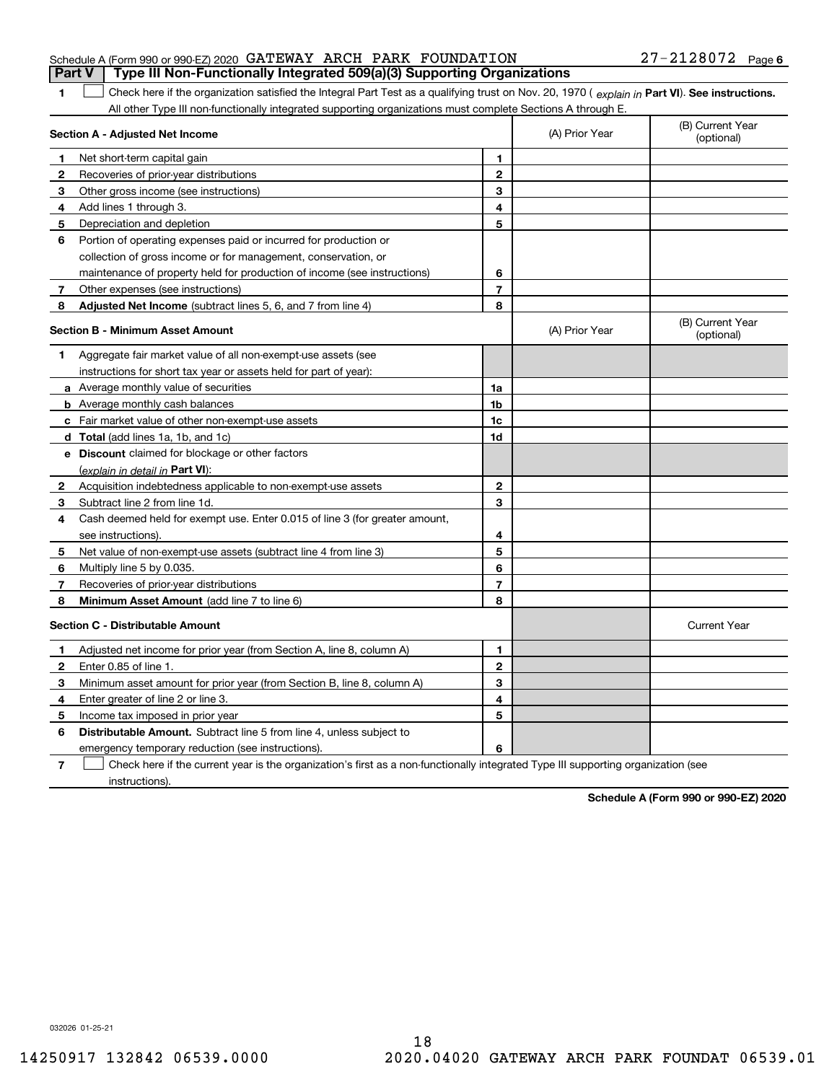| 1            | Check here if the organization satisfied the Integral Part Test as a qualifying trust on Nov. 20, 1970 (explain in Part VI). See instructions.<br>All other Type III non-functionally integrated supporting organizations must complete Sections A through E. |                |                |                                |
|--------------|---------------------------------------------------------------------------------------------------------------------------------------------------------------------------------------------------------------------------------------------------------------|----------------|----------------|--------------------------------|
|              | Section A - Adjusted Net Income                                                                                                                                                                                                                               |                | (A) Prior Year | (B) Current Year<br>(optional) |
|              | Net short-term capital gain                                                                                                                                                                                                                                   | 1              |                |                                |
| 2            | Recoveries of prior-year distributions                                                                                                                                                                                                                        | $\mathbf{2}$   |                |                                |
| 3            | Other gross income (see instructions)                                                                                                                                                                                                                         | 3              |                |                                |
| 4            | Add lines 1 through 3.                                                                                                                                                                                                                                        | 4              |                |                                |
| 5            | Depreciation and depletion                                                                                                                                                                                                                                    | 5              |                |                                |
| 6            | Portion of operating expenses paid or incurred for production or                                                                                                                                                                                              |                |                |                                |
|              | collection of gross income or for management, conservation, or                                                                                                                                                                                                |                |                |                                |
|              | maintenance of property held for production of income (see instructions)                                                                                                                                                                                      | 6              |                |                                |
| 7            | Other expenses (see instructions)                                                                                                                                                                                                                             | $\overline{7}$ |                |                                |
| 8            | Adjusted Net Income (subtract lines 5, 6, and 7 from line 4)                                                                                                                                                                                                  | 8              |                |                                |
|              | <b>Section B - Minimum Asset Amount</b>                                                                                                                                                                                                                       |                | (A) Prior Year | (B) Current Year<br>(optional) |
| 1            | Aggregate fair market value of all non-exempt-use assets (see                                                                                                                                                                                                 |                |                |                                |
|              | instructions for short tax year or assets held for part of year):                                                                                                                                                                                             |                |                |                                |
|              | a Average monthly value of securities                                                                                                                                                                                                                         | 1a             |                |                                |
|              | <b>b</b> Average monthly cash balances                                                                                                                                                                                                                        | 1b             |                |                                |
|              | c Fair market value of other non-exempt-use assets                                                                                                                                                                                                            | 1c             |                |                                |
|              | d Total (add lines 1a, 1b, and 1c)                                                                                                                                                                                                                            | 1d             |                |                                |
|              | e Discount claimed for blockage or other factors                                                                                                                                                                                                              |                |                |                                |
|              | (explain in detail in Part VI):                                                                                                                                                                                                                               |                |                |                                |
| $\mathbf{2}$ | Acquisition indebtedness applicable to non-exempt-use assets                                                                                                                                                                                                  | $\mathbf{2}$   |                |                                |
| 3            | Subtract line 2 from line 1d.                                                                                                                                                                                                                                 | 3              |                |                                |
| 4            | Cash deemed held for exempt use. Enter 0.015 of line 3 (for greater amount,                                                                                                                                                                                   |                |                |                                |
|              | see instructions)                                                                                                                                                                                                                                             | 4              |                |                                |
| 5            | Net value of non-exempt-use assets (subtract line 4 from line 3)                                                                                                                                                                                              | 5              |                |                                |
| 6            | Multiply line 5 by 0.035.                                                                                                                                                                                                                                     | 6              |                |                                |
| 7            | Recoveries of prior-year distributions                                                                                                                                                                                                                        | $\overline{7}$ |                |                                |
| 8            | Minimum Asset Amount (add line 7 to line 6)                                                                                                                                                                                                                   | 8              |                |                                |
|              | <b>Section C - Distributable Amount</b>                                                                                                                                                                                                                       |                |                | <b>Current Year</b>            |
|              |                                                                                                                                                                                                                                                               |                |                |                                |

#### **1**Adjusted net income for prior year (from Section A, line 8, column A) **2**Enter 0.85 of line 1.

|   | Adjusted net income for prior year (from Section A, line 8, column A)                                                             |   |  |  |  |  |
|---|-----------------------------------------------------------------------------------------------------------------------------------|---|--|--|--|--|
|   | Enter 0.85 of line 1.                                                                                                             | 2 |  |  |  |  |
|   | Minimum asset amount for prior year (from Section B, line 8, column A)                                                            | з |  |  |  |  |
|   | Enter greater of line 2 or line 3.                                                                                                | 4 |  |  |  |  |
|   | Income tax imposed in prior year                                                                                                  | 5 |  |  |  |  |
| 6 | <b>Distributable Amount.</b> Subtract line 5 from line 4, unless subject to                                                       |   |  |  |  |  |
|   | emergency temporary reduction (see instructions).                                                                                 | 6 |  |  |  |  |
|   | Check here if the current year is the organization's first as a non-functionally integrated Type III supporting organization (see |   |  |  |  |  |

instructions).

**Schedule A (Form 990 or 990-EZ) 2020**

032026 01-25-21

#### Schedule A (Form 990 or 990-EZ) 2020 Page GATEWAY ARCH PARK FOUNDATION 27-2128072 **Part V Type III Non-Functionally Integrated 509(a)(3) Supporting Organizations**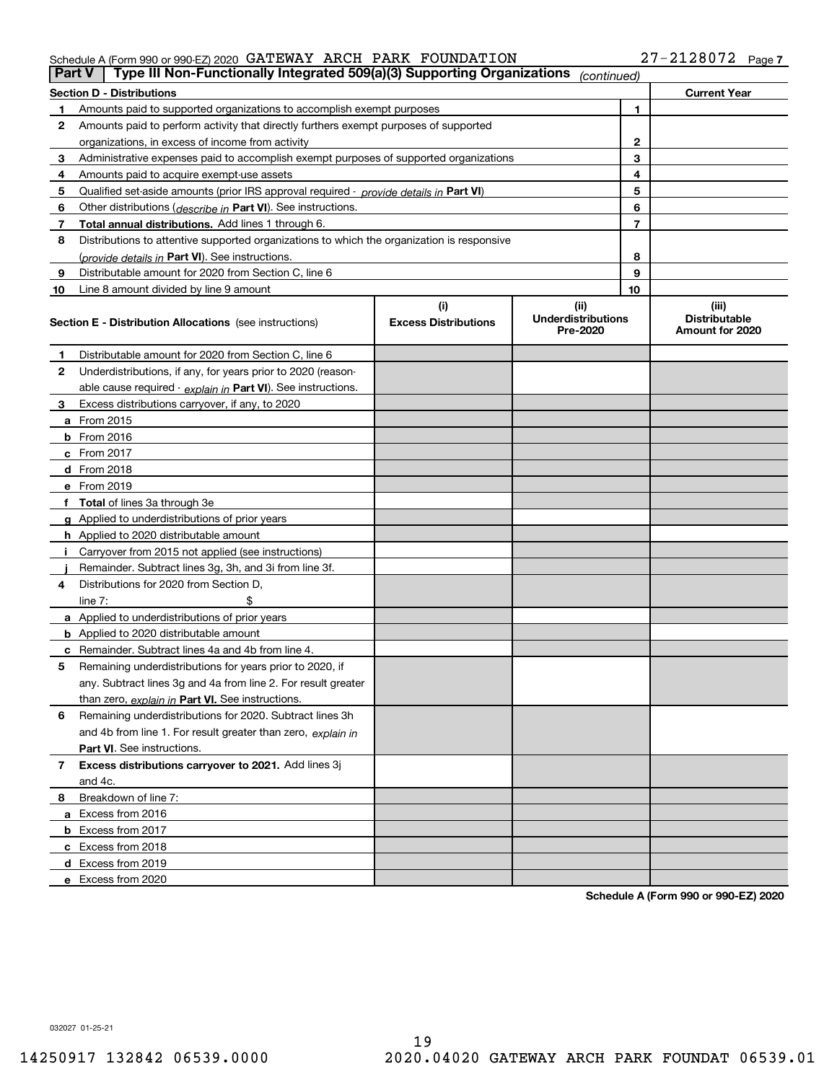#### Schedule A (Form 990 or 990-EZ) 2020 GATEWAY ARCH PARK FOUNDATION 27-2128072 Page GATEWAY ARCH PARK FOUNDATION 27-2128072

|    | Type III Non-Functionally Integrated 509(a)(3) Supporting Organizations<br>Part V<br>(continued) |                             |                                       |    |                                         |  |  |
|----|--------------------------------------------------------------------------------------------------|-----------------------------|---------------------------------------|----|-----------------------------------------|--|--|
|    | <b>Section D - Distributions</b>                                                                 |                             |                                       |    | <b>Current Year</b>                     |  |  |
|    | Amounts paid to supported organizations to accomplish exempt purposes                            |                             | 1                                     |    |                                         |  |  |
| 2  | Amounts paid to perform activity that directly furthers exempt purposes of supported             |                             |                                       |    |                                         |  |  |
|    | organizations, in excess of income from activity                                                 |                             | 2                                     |    |                                         |  |  |
| 3  | Administrative expenses paid to accomplish exempt purposes of supported organizations            |                             | 3                                     |    |                                         |  |  |
| 4  | Amounts paid to acquire exempt-use assets                                                        |                             | 4                                     |    |                                         |  |  |
| 5  | Qualified set aside amounts (prior IRS approval required - provide details in Part VI)           |                             |                                       | 5  |                                         |  |  |
| 6  | Other distributions (describe in Part VI). See instructions.                                     |                             |                                       | 6  |                                         |  |  |
| 7  | Total annual distributions. Add lines 1 through 6.                                               |                             |                                       | 7  |                                         |  |  |
| 8  | Distributions to attentive supported organizations to which the organization is responsive       |                             |                                       |    |                                         |  |  |
|    | (provide details in Part VI). See instructions.                                                  |                             |                                       | 8  |                                         |  |  |
| 9  | Distributable amount for 2020 from Section C, line 6                                             |                             |                                       | 9  |                                         |  |  |
| 10 | Line 8 amount divided by line 9 amount                                                           |                             |                                       | 10 |                                         |  |  |
|    |                                                                                                  | (i)                         | (ii)                                  |    | (iii)                                   |  |  |
|    | <b>Section E - Distribution Allocations</b> (see instructions)                                   | <b>Excess Distributions</b> | <b>Underdistributions</b><br>Pre-2020 |    | <b>Distributable</b><br>Amount for 2020 |  |  |
| 1  | Distributable amount for 2020 from Section C, line 6                                             |                             |                                       |    |                                         |  |  |
| 2  | Underdistributions, if any, for years prior to 2020 (reason-                                     |                             |                                       |    |                                         |  |  |
|    | able cause required - explain in Part VI). See instructions.                                     |                             |                                       |    |                                         |  |  |
| 3  | Excess distributions carryover, if any, to 2020                                                  |                             |                                       |    |                                         |  |  |
|    | a From 2015                                                                                      |                             |                                       |    |                                         |  |  |
|    | $b$ From 2016                                                                                    |                             |                                       |    |                                         |  |  |
|    | c From $2017$                                                                                    |                             |                                       |    |                                         |  |  |
|    | <b>d</b> From 2018                                                                               |                             |                                       |    |                                         |  |  |
|    | e From 2019                                                                                      |                             |                                       |    |                                         |  |  |
|    | f Total of lines 3a through 3e                                                                   |                             |                                       |    |                                         |  |  |
|    | g Applied to underdistributions of prior years                                                   |                             |                                       |    |                                         |  |  |
|    | <b>h</b> Applied to 2020 distributable amount                                                    |                             |                                       |    |                                         |  |  |
|    | Carryover from 2015 not applied (see instructions)                                               |                             |                                       |    |                                         |  |  |
|    | Remainder. Subtract lines 3g, 3h, and 3i from line 3f.                                           |                             |                                       |    |                                         |  |  |
| 4  | Distributions for 2020 from Section D.                                                           |                             |                                       |    |                                         |  |  |
|    | line $7:$                                                                                        |                             |                                       |    |                                         |  |  |
|    | a Applied to underdistributions of prior years                                                   |                             |                                       |    |                                         |  |  |
|    | <b>b</b> Applied to 2020 distributable amount                                                    |                             |                                       |    |                                         |  |  |
|    | <b>c</b> Remainder. Subtract lines 4a and 4b from line 4.                                        |                             |                                       |    |                                         |  |  |
| 5  | Remaining underdistributions for years prior to 2020, if                                         |                             |                                       |    |                                         |  |  |
|    | any. Subtract lines 3g and 4a from line 2. For result greater                                    |                             |                                       |    |                                         |  |  |
|    | than zero, explain in Part VI. See instructions.                                                 |                             |                                       |    |                                         |  |  |
| 6  | Remaining underdistributions for 2020. Subtract lines 3h                                         |                             |                                       |    |                                         |  |  |
|    | and 4b from line 1. For result greater than zero, explain in                                     |                             |                                       |    |                                         |  |  |
|    | <b>Part VI.</b> See instructions.                                                                |                             |                                       |    |                                         |  |  |
| 7  | Excess distributions carryover to 2021. Add lines 3j                                             |                             |                                       |    |                                         |  |  |
|    | and 4c.                                                                                          |                             |                                       |    |                                         |  |  |
| 8  | Breakdown of line 7:                                                                             |                             |                                       |    |                                         |  |  |
|    | a Excess from 2016                                                                               |                             |                                       |    |                                         |  |  |
|    | <b>b</b> Excess from 2017                                                                        |                             |                                       |    |                                         |  |  |
|    | c Excess from 2018                                                                               |                             |                                       |    |                                         |  |  |
|    | d Excess from 2019                                                                               |                             |                                       |    |                                         |  |  |
|    | e Excess from 2020                                                                               |                             |                                       |    |                                         |  |  |

**Schedule A (Form 990 or 990-EZ) 2020**

032027 01-25-21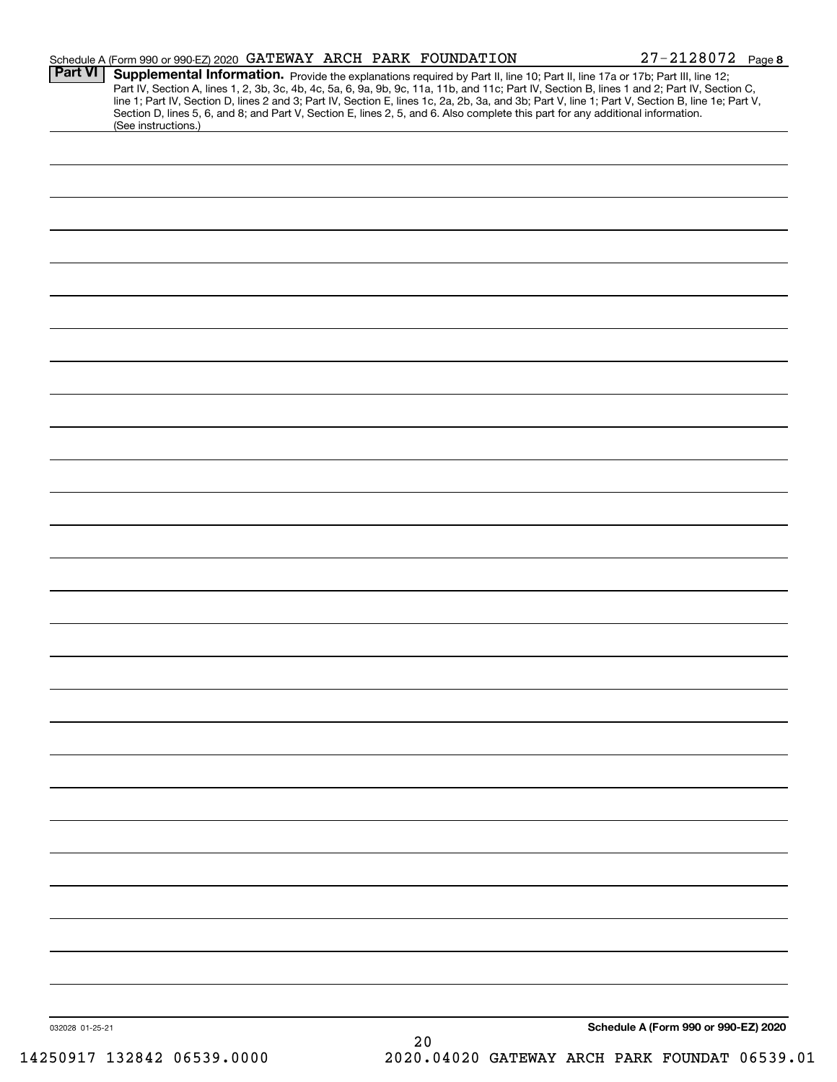|                 | Schedule A (Form 990 or 990-EZ) 2020 GATEWAY ARCH PARK FOUNDATION                                                                                                                                                                                                                                                                                                                                                                                                                                                        | $27 - 2128072$ Page 8                |
|-----------------|--------------------------------------------------------------------------------------------------------------------------------------------------------------------------------------------------------------------------------------------------------------------------------------------------------------------------------------------------------------------------------------------------------------------------------------------------------------------------------------------------------------------------|--------------------------------------|
| <b>Part VI</b>  | Supplemental Information. Provide the explanations required by Part II, line 10; Part II, line 17a or 17b; Part III, line 12;<br>Part IV, Section A, lines 1, 2, 3b, 3c, 4b, 4c, 5a, 6, 9a, 9b, 9c, 11a, 11b, and 11c; Part IV, Section B, lines 1 and 2; Part IV, Section C, line 1; Part IV, Section D, lines 2 and 3; Part IV, Section E, lines 1c, 2a, 2b,<br>Section D, lines 5, 6, and 8; and Part V, Section E, lines 2, 5, and 6. Also complete this part for any additional information.<br>(See instructions.) |                                      |
|                 |                                                                                                                                                                                                                                                                                                                                                                                                                                                                                                                          |                                      |
|                 |                                                                                                                                                                                                                                                                                                                                                                                                                                                                                                                          |                                      |
|                 |                                                                                                                                                                                                                                                                                                                                                                                                                                                                                                                          |                                      |
|                 |                                                                                                                                                                                                                                                                                                                                                                                                                                                                                                                          |                                      |
|                 |                                                                                                                                                                                                                                                                                                                                                                                                                                                                                                                          |                                      |
|                 |                                                                                                                                                                                                                                                                                                                                                                                                                                                                                                                          |                                      |
|                 |                                                                                                                                                                                                                                                                                                                                                                                                                                                                                                                          |                                      |
|                 |                                                                                                                                                                                                                                                                                                                                                                                                                                                                                                                          |                                      |
|                 |                                                                                                                                                                                                                                                                                                                                                                                                                                                                                                                          |                                      |
|                 |                                                                                                                                                                                                                                                                                                                                                                                                                                                                                                                          |                                      |
|                 |                                                                                                                                                                                                                                                                                                                                                                                                                                                                                                                          |                                      |
|                 |                                                                                                                                                                                                                                                                                                                                                                                                                                                                                                                          |                                      |
|                 |                                                                                                                                                                                                                                                                                                                                                                                                                                                                                                                          |                                      |
|                 |                                                                                                                                                                                                                                                                                                                                                                                                                                                                                                                          |                                      |
|                 |                                                                                                                                                                                                                                                                                                                                                                                                                                                                                                                          |                                      |
|                 |                                                                                                                                                                                                                                                                                                                                                                                                                                                                                                                          |                                      |
|                 |                                                                                                                                                                                                                                                                                                                                                                                                                                                                                                                          |                                      |
|                 |                                                                                                                                                                                                                                                                                                                                                                                                                                                                                                                          |                                      |
|                 |                                                                                                                                                                                                                                                                                                                                                                                                                                                                                                                          |                                      |
|                 |                                                                                                                                                                                                                                                                                                                                                                                                                                                                                                                          |                                      |
|                 |                                                                                                                                                                                                                                                                                                                                                                                                                                                                                                                          |                                      |
|                 |                                                                                                                                                                                                                                                                                                                                                                                                                                                                                                                          |                                      |
|                 |                                                                                                                                                                                                                                                                                                                                                                                                                                                                                                                          |                                      |
|                 |                                                                                                                                                                                                                                                                                                                                                                                                                                                                                                                          |                                      |
|                 |                                                                                                                                                                                                                                                                                                                                                                                                                                                                                                                          |                                      |
|                 |                                                                                                                                                                                                                                                                                                                                                                                                                                                                                                                          |                                      |
|                 |                                                                                                                                                                                                                                                                                                                                                                                                                                                                                                                          |                                      |
|                 |                                                                                                                                                                                                                                                                                                                                                                                                                                                                                                                          |                                      |
|                 |                                                                                                                                                                                                                                                                                                                                                                                                                                                                                                                          |                                      |
|                 |                                                                                                                                                                                                                                                                                                                                                                                                                                                                                                                          |                                      |
| 032028 01-25-21 | $20\,$                                                                                                                                                                                                                                                                                                                                                                                                                                                                                                                   | Schedule A (Form 990 or 990-EZ) 2020 |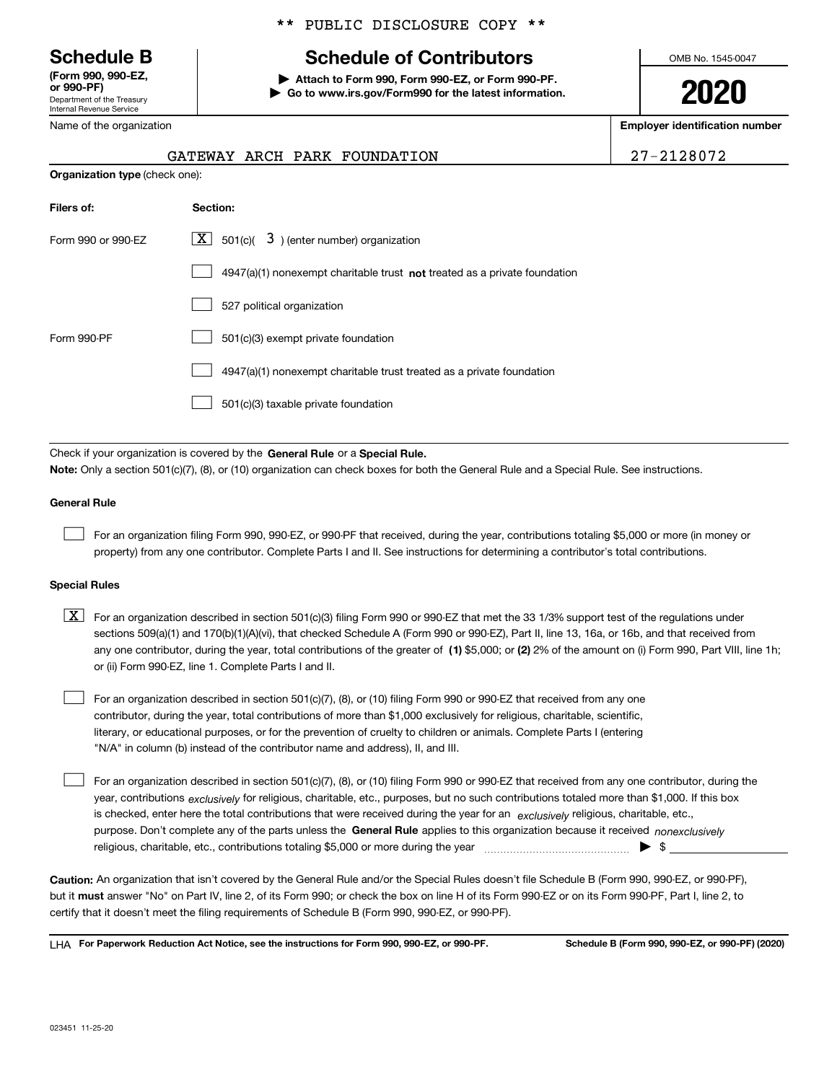Department of the Treasury Internal Revenue Service **(Form 990, 990-EZ, or 990-PF)**

\*\* PUBLIC DISCLOSURE COPY \*\*

## **Schedule B Schedule of Contributors**

**| Attach to Form 990, Form 990-EZ, or Form 990-PF. | Go to www.irs.gov/Form990 for the latest information.** OMB No. 1545-0047

**2020**

**Employer identification number**

| Ž |  |  |  |  | 7-2128072 |  |
|---|--|--|--|--|-----------|--|
|   |  |  |  |  |           |  |

| --------<br>Department of the Treasury |
|----------------------------------------|
| Internal Revenue Service               |
| Name of the organization               |

## **Organization type** (check one): GATEWAY ARCH PARK FOUNDATION

| Filers of:         | Section:                                                                           |
|--------------------|------------------------------------------------------------------------------------|
| Form 990 or 990-EZ | $ \mathbf{X} $ 501(c)( 3) (enter number) organization                              |
|                    | $4947(a)(1)$ nonexempt charitable trust <b>not</b> treated as a private foundation |
|                    | 527 political organization                                                         |
| Form 990-PF        | 501(c)(3) exempt private foundation                                                |
|                    | 4947(a)(1) nonexempt charitable trust treated as a private foundation              |
|                    | 501(c)(3) taxable private foundation                                               |

Check if your organization is covered by the **General Rule** or a **Special Rule. Note:**  Only a section 501(c)(7), (8), or (10) organization can check boxes for both the General Rule and a Special Rule. See instructions.

#### **General Rule**

 $\mathcal{L}^{\text{max}}$ 

For an organization filing Form 990, 990-EZ, or 990-PF that received, during the year, contributions totaling \$5,000 or more (in money or property) from any one contributor. Complete Parts I and II. See instructions for determining a contributor's total contributions.

#### **Special Rules**

any one contributor, during the year, total contributions of the greater of  $\,$  (1) \$5,000; or **(2)** 2% of the amount on (i) Form 990, Part VIII, line 1h;  $\boxed{\textbf{X}}$  For an organization described in section 501(c)(3) filing Form 990 or 990-EZ that met the 33 1/3% support test of the regulations under sections 509(a)(1) and 170(b)(1)(A)(vi), that checked Schedule A (Form 990 or 990-EZ), Part II, line 13, 16a, or 16b, and that received from or (ii) Form 990-EZ, line 1. Complete Parts I and II.

For an organization described in section 501(c)(7), (8), or (10) filing Form 990 or 990-EZ that received from any one contributor, during the year, total contributions of more than \$1,000 exclusively for religious, charitable, scientific, literary, or educational purposes, or for the prevention of cruelty to children or animals. Complete Parts I (entering "N/A" in column (b) instead of the contributor name and address), II, and III.  $\mathcal{L}^{\text{max}}$ 

purpose. Don't complete any of the parts unless the **General Rule** applies to this organization because it received *nonexclusively* year, contributions <sub>exclusively</sub> for religious, charitable, etc., purposes, but no such contributions totaled more than \$1,000. If this box is checked, enter here the total contributions that were received during the year for an  $\;$ exclusively religious, charitable, etc., For an organization described in section 501(c)(7), (8), or (10) filing Form 990 or 990-EZ that received from any one contributor, during the religious, charitable, etc., contributions totaling \$5,000 or more during the year  $\Box$ — $\Box$   $\Box$  $\mathcal{L}^{\text{max}}$ 

**Caution:**  An organization that isn't covered by the General Rule and/or the Special Rules doesn't file Schedule B (Form 990, 990-EZ, or 990-PF),  **must** but it answer "No" on Part IV, line 2, of its Form 990; or check the box on line H of its Form 990-EZ or on its Form 990-PF, Part I, line 2, to certify that it doesn't meet the filing requirements of Schedule B (Form 990, 990-EZ, or 990-PF).

**For Paperwork Reduction Act Notice, see the instructions for Form 990, 990-EZ, or 990-PF. Schedule B (Form 990, 990-EZ, or 990-PF) (2020)** LHA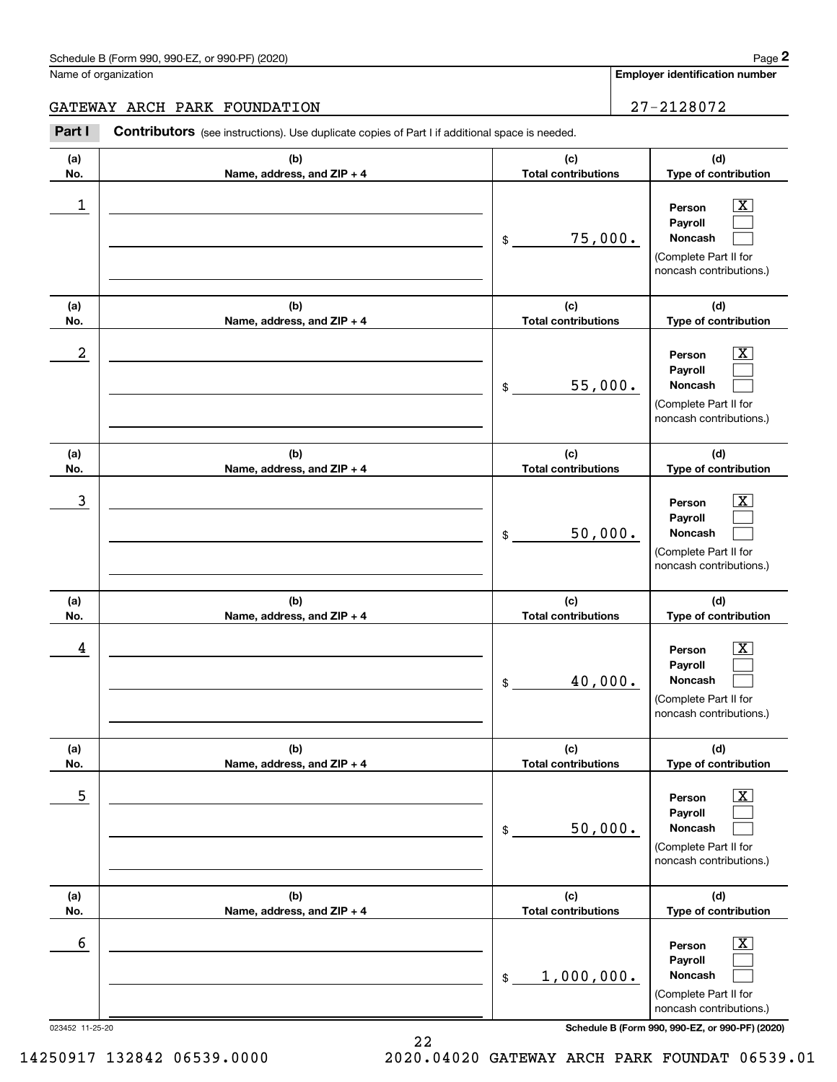#### Schedule B (Form 990, 990-EZ, or 990-PF) (2020) **Page 2** Page 2

Name of organization

 $\boxed{\text{X}}$ 

**Employer identification number**

**(d)**

#### GATEWAY ARCH PARK FOUNDATION | 27-2128072

**(a) No.(b) Name, address, and ZIP + 4 (c) Total contributions Type of contribution Person**Chedule B (Form 990, 990-EZ, or 990-PF) (2020)<br>
lame of organization<br> **27-2128072**<br> **27-2128072**<br> **27-2128072**<br> **27-2128072**  $\begin{array}{c|c|c|c|c|c} 1 & \hspace{1.5cm} & \hspace{1.5cm} & \hspace{1.5cm} & \hspace{1.5cm} & \hspace{1.5cm} & \hspace{1.5cm} & \hspace{1.5cm} & \hspace{1.5cm} & \hspace{1.5cm} & \hspace{1.5cm} & \hspace{1.5cm} & \hspace{1.5cm} & \hspace{1.5cm} & \hspace{1.5cm} & \hspace{1.5cm} & \hspace{1.5cm} & \hspace{1.5cm} & \hspace{1.5cm} & \hspace{1.5cm} & \hspace{1.5cm} &$ 

|                  |                                   |                                   | Payroll                                                                                                     |
|------------------|-----------------------------------|-----------------------------------|-------------------------------------------------------------------------------------------------------------|
|                  |                                   | 75,000.<br>\$                     | Noncash                                                                                                     |
|                  |                                   |                                   | (Complete Part II for<br>noncash contributions.)                                                            |
|                  |                                   |                                   |                                                                                                             |
| (a)              | (b)                               | (c)                               | (d)                                                                                                         |
| No.              | Name, address, and ZIP + 4        | <b>Total contributions</b>        | Type of contribution                                                                                        |
| $\boldsymbol{2}$ |                                   | 55,000.<br>\$                     | x<br>Person<br>Payroll<br>Noncash<br>(Complete Part II for<br>noncash contributions.)                       |
| (a)<br>No.       | (b)<br>Name, address, and ZIP + 4 | (c)<br><b>Total contributions</b> | (d)<br>Type of contribution                                                                                 |
|                  |                                   |                                   |                                                                                                             |
| 3                |                                   | 50,000.<br>\$                     | x<br>Person<br>Payroll<br>Noncash<br>(Complete Part II for<br>noncash contributions.)                       |
| (a)              | (b)                               | (c)                               | (d)                                                                                                         |
| No.              | Name, address, and ZIP + 4        | <b>Total contributions</b>        | Type of contribution                                                                                        |
| 4                |                                   | 40,000.<br>\$                     | X.<br>Person<br>Payroll<br>Noncash<br>(Complete Part II for<br>noncash contributions.)                      |
| (a)<br>No.       | (b)<br>Name, address, and ZIP + 4 | (c)<br><b>Total contributions</b> | (d)<br>Type of contribution                                                                                 |
| 5                |                                   | 50,000.<br>\$                     | X.<br>Person<br>Payroll<br>Noncash<br>$\Box$<br>(Complete Part II for<br>noncash contributions.)            |
| (a)              | (b)                               | (c)                               | (d)                                                                                                         |
| No.              | Name, address, and ZIP + 4        | <b>Total contributions</b>        | Type of contribution                                                                                        |
| 6                |                                   | 1,000,000.<br>$\mathfrak s$       | $\overline{\mathbf{X}}$<br>Person<br>Payroll<br>Noncash<br>(Complete Part II for<br>noncash contributions.) |
| 023452 11-25-20  |                                   |                                   | Schedule B (Form 990, 990-EZ, or 990-PF) (2020)                                                             |

14250917 132842 06539.0000 2020.04020 GATEWAY ARCH PARK FOUNDAT 06539.01

22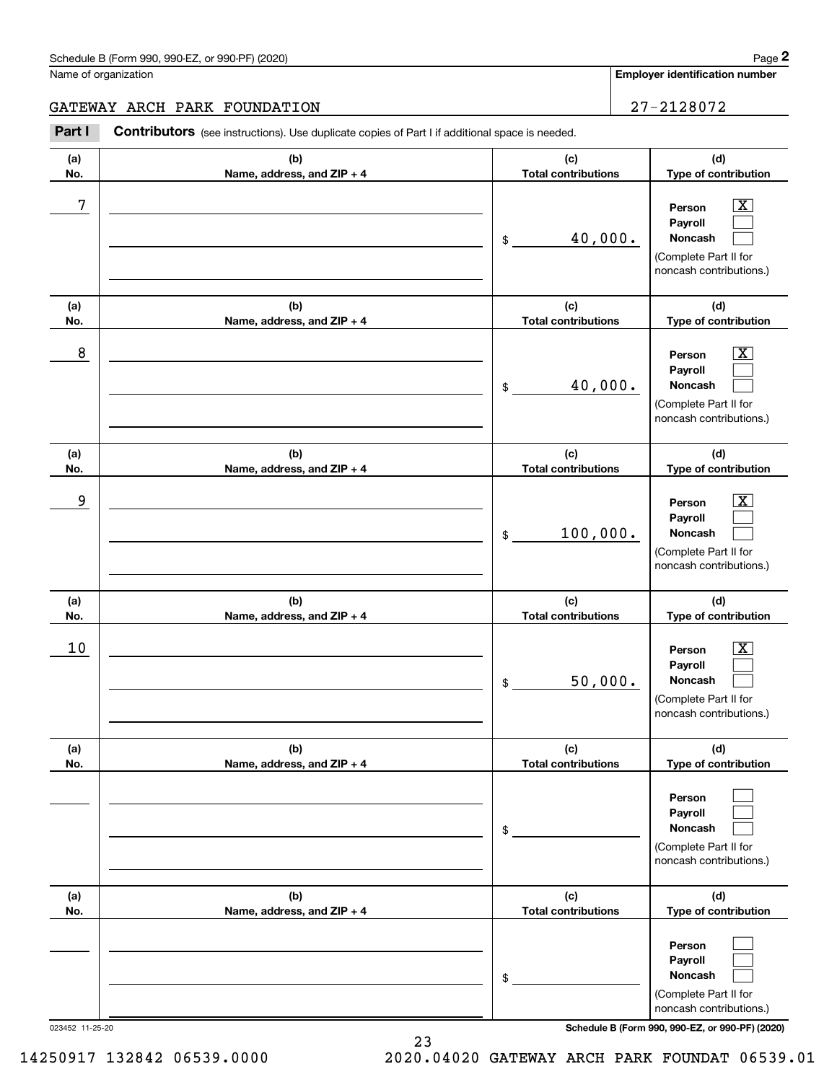#### Schedule B (Form 990, 990-EZ, or 990-PF) (2020) **Page 2** Page 2

**(d)**

 $\boxed{\text{X}}$  $\mathcal{L}^{\text{max}}$  $\mathcal{L}^{\text{max}}$ 

 $\boxed{\text{X}}$  $\mathcal{L}^{\text{max}}$  $\mathcal{L}^{\text{max}}$ 

 $\boxed{\text{X}}$  $\mathcal{L}^{\text{max}}$  $\mathcal{L}^{\text{max}}$ 

**(d)**

**(d)**

**(d)**

Chedule B (Form 990, 990-EZ, or 990-PF) (2020)<br> **2Part I 2Philosopher Contributors** (see instructions). Use duplicate copies of Part I if additional space is needed.<br> **2Part I Contributors** (see instructions). Use dupl Name of organization **Employer identification number** GATEWAY ARCH PARK FOUNDATION **27-2128072** Contributors (see instructions). Use duplicate copies of Part I if additional space is needed. **(a)(b)(c)No.Name, address, and ZIP + 4 Total contributions Type of contribution** 7 X **PersonPayrollNoncash** 40,000. \$(Complete Part II for noncash contributions.) **(b)(c)(a)No.Name, address, and ZIP + 4 Total contributions Type of contribution** 8 X **PersonPayrollNoncash** 40,000. \$(Complete Part II for noncash contributions.) **(a)(b)(c)Type of contribution No.Name, address, and ZIP + 4 Total contributions** example and the set of the set of the set of the set of the set of the set of the set of the set of the set of **PersonPayroll**100,000. **Noncash** \$(Complete Part II for noncash contributions.) **(a)**- 1 **(b)** $\mathbf{r}$ **No.Name, address, and ZIP + 4 Total contributions**

| la)             | (W)                          | 1~)                        | la)                                                                                                                                 |
|-----------------|------------------------------|----------------------------|-------------------------------------------------------------------------------------------------------------------------------------|
| No.             | Name, address, and ZIP + 4   | <b>Total contributions</b> | Type of contribution                                                                                                                |
| 10              |                              | 50,000.<br>\$              | $\overline{\mathbf{X}}$<br>Person<br><b>Payroll</b><br><b>Noncash</b><br>(Complete Part II for<br>noncash contributions.)           |
| (a)             | (b)                          | (c)                        | (d)                                                                                                                                 |
| No.             | Name, address, and ZIP + 4   | <b>Total contributions</b> | Type of contribution                                                                                                                |
|                 |                              | \$                         | Person<br>Payroll<br>Noncash<br>(Complete Part II for<br>noncash contributions.)                                                    |
| (a)             | (b)                          | (c)                        | (d)                                                                                                                                 |
| No.             | Name, address, and $ZIP + 4$ | <b>Total contributions</b> | Type of contribution                                                                                                                |
| 023452 11-25-20 |                              | \$                         | Person<br>Payroll<br>Noncash<br>(Complete Part II for<br>noncash contributions.)<br>Schedule B (Form 990, 990-EZ, or 990-PF) (2020) |

14250917 132842 06539.0000 2020.04020 GATEWAY ARCH PARK FOUNDAT 06539.01

23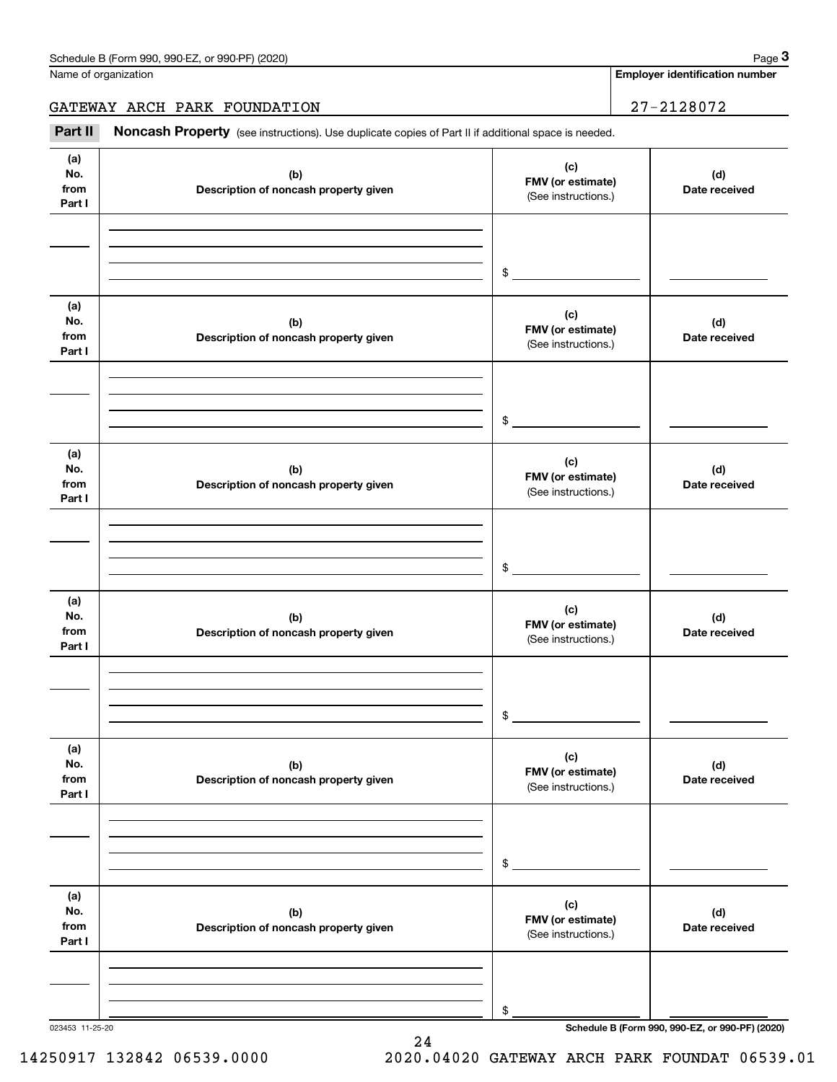**Employer identification number**

GATEWAY ARCH PARK FOUNDATION | 27-2128072

Chedule B (Form 990, 990-EZ, or 990-PF) (2020)<br> **3Part B (See instructions).** Use duplicate copies of Part II if additional space is needed.<br> **3Part II if additional space is needed.** 

| (a)<br>No.<br>from<br>Part I | (b)<br>Description of noncash property given | (c)<br>FMV (or estimate)<br>(See instructions.) | (d)<br>Date received                            |
|------------------------------|----------------------------------------------|-------------------------------------------------|-------------------------------------------------|
|                              |                                              | $\frac{1}{2}$                                   |                                                 |
| (a)<br>No.<br>from<br>Part I | (b)<br>Description of noncash property given | (c)<br>FMV (or estimate)<br>(See instructions.) | (d)<br>Date received                            |
|                              |                                              | $\frac{1}{2}$                                   |                                                 |
| (a)<br>No.<br>from<br>Part I | (b)<br>Description of noncash property given | (c)<br>FMV (or estimate)<br>(See instructions.) | (d)<br>Date received                            |
|                              |                                              | $\frac{1}{2}$                                   |                                                 |
| (a)<br>No.<br>from<br>Part I | (b)<br>Description of noncash property given | (c)<br>FMV (or estimate)<br>(See instructions.) | (d)<br>Date received                            |
|                              |                                              | $\frac{1}{2}$                                   |                                                 |
| (a)<br>No.<br>from<br>Part I | (b)<br>Description of noncash property given | (c)<br>FMV (or estimate)<br>(See instructions.) | (d)<br>Date received                            |
|                              |                                              | \$                                              |                                                 |
| (a)<br>No.<br>from<br>Part I | (b)<br>Description of noncash property given | (c)<br>FMV (or estimate)<br>(See instructions.) | (d)<br>Date received                            |
|                              |                                              | \$                                              |                                                 |
| 023453 11-25-20              |                                              |                                                 | Schedule B (Form 990, 990-EZ, or 990-PF) (2020) |

24

14250917 132842 06539.0000 2020.04020 GATEWAY ARCH PARK FOUNDAT 06539.01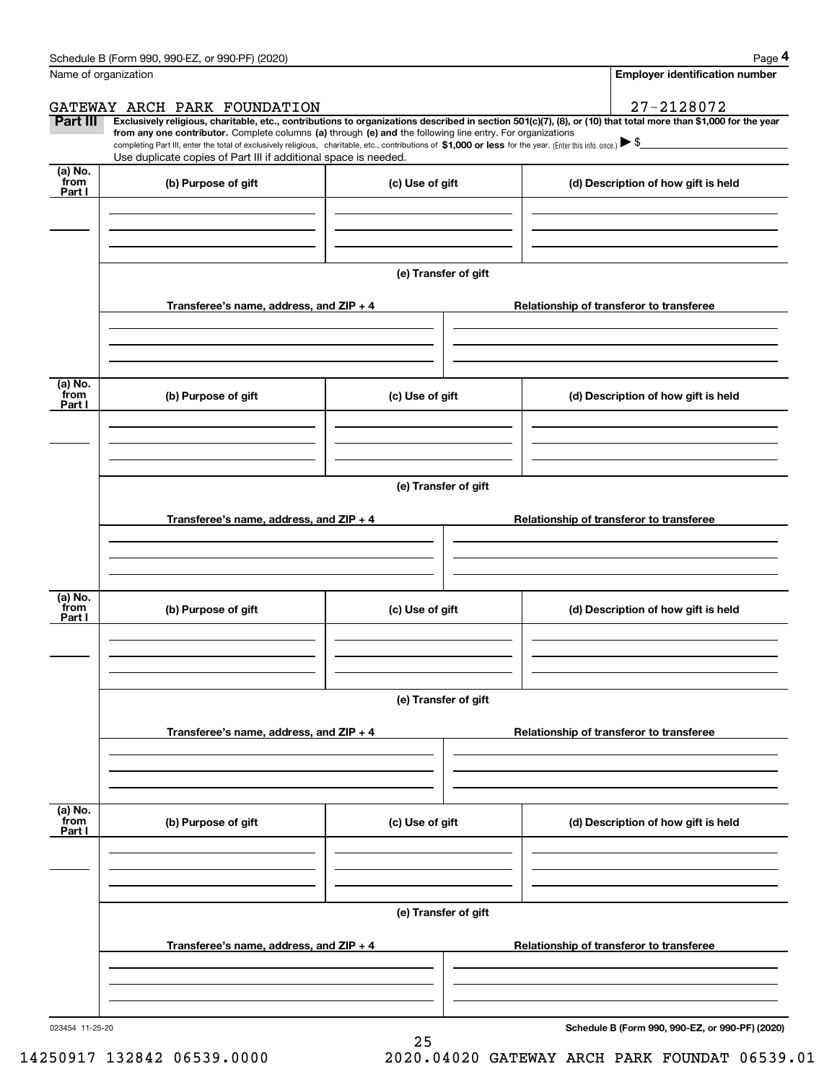|                           | Schedule B (Form 990, 990-EZ, or 990-PF) (2020)                                                                                                                                                                                                      |                      | Page 4                                                                                                                                                         |
|---------------------------|------------------------------------------------------------------------------------------------------------------------------------------------------------------------------------------------------------------------------------------------------|----------------------|----------------------------------------------------------------------------------------------------------------------------------------------------------------|
| Name of organization      |                                                                                                                                                                                                                                                      |                      | <b>Employer identification number</b>                                                                                                                          |
|                           | GATEWAY ARCH PARK FOUNDATION                                                                                                                                                                                                                         |                      | 27-2128072                                                                                                                                                     |
| Part III                  | from any one contributor. Complete columns (a) through (e) and the following line entry. For organizations                                                                                                                                           |                      | Exclusively religious, charitable, etc., contributions to organizations described in section 501(c)(7), (8), or (10) that total more than \$1,000 for the year |
|                           | completing Part III, enter the total of exclusively religious, charitable, etc., contributions of \$1,000 or less for the year. (Enter this info. once.) $\blacktriangleright$ \$<br>Use duplicate copies of Part III if additional space is needed. |                      |                                                                                                                                                                |
| (a) No.<br>from           |                                                                                                                                                                                                                                                      |                      |                                                                                                                                                                |
| Part I                    | (b) Purpose of gift                                                                                                                                                                                                                                  | (c) Use of gift      | (d) Description of how gift is held                                                                                                                            |
|                           |                                                                                                                                                                                                                                                      |                      |                                                                                                                                                                |
|                           |                                                                                                                                                                                                                                                      |                      |                                                                                                                                                                |
|                           |                                                                                                                                                                                                                                                      | (e) Transfer of gift |                                                                                                                                                                |
|                           | Transferee's name, address, and ZIP + 4                                                                                                                                                                                                              |                      | Relationship of transferor to transferee                                                                                                                       |
|                           |                                                                                                                                                                                                                                                      |                      |                                                                                                                                                                |
| (a) No.                   |                                                                                                                                                                                                                                                      |                      |                                                                                                                                                                |
| from<br>Part I            | (b) Purpose of gift                                                                                                                                                                                                                                  | (c) Use of gift      | (d) Description of how gift is held                                                                                                                            |
|                           |                                                                                                                                                                                                                                                      |                      |                                                                                                                                                                |
|                           |                                                                                                                                                                                                                                                      |                      |                                                                                                                                                                |
|                           |                                                                                                                                                                                                                                                      | (e) Transfer of gift |                                                                                                                                                                |
|                           |                                                                                                                                                                                                                                                      |                      |                                                                                                                                                                |
|                           | Transferee's name, address, and ZIP + 4                                                                                                                                                                                                              |                      | Relationship of transferor to transferee                                                                                                                       |
|                           |                                                                                                                                                                                                                                                      |                      |                                                                                                                                                                |
| (a) No.                   |                                                                                                                                                                                                                                                      |                      |                                                                                                                                                                |
| from<br>Part I            | (b) Purpose of gift                                                                                                                                                                                                                                  | (c) Use of gift      | (d) Description of how gift is held                                                                                                                            |
|                           |                                                                                                                                                                                                                                                      |                      |                                                                                                                                                                |
|                           |                                                                                                                                                                                                                                                      |                      |                                                                                                                                                                |
|                           |                                                                                                                                                                                                                                                      | (e) Transfer of gift |                                                                                                                                                                |
|                           | Transferee's name, address, and ZIP + 4                                                                                                                                                                                                              |                      | Relationship of transferor to transferee                                                                                                                       |
|                           |                                                                                                                                                                                                                                                      |                      |                                                                                                                                                                |
|                           |                                                                                                                                                                                                                                                      |                      |                                                                                                                                                                |
| (a) No.<br>from<br>Part I | (b) Purpose of gift                                                                                                                                                                                                                                  | (c) Use of gift      | (d) Description of how gift is held                                                                                                                            |
|                           |                                                                                                                                                                                                                                                      |                      |                                                                                                                                                                |
|                           |                                                                                                                                                                                                                                                      |                      |                                                                                                                                                                |
|                           |                                                                                                                                                                                                                                                      |                      |                                                                                                                                                                |
|                           |                                                                                                                                                                                                                                                      | (e) Transfer of gift |                                                                                                                                                                |
|                           | Transferee's name, address, and ZIP + 4                                                                                                                                                                                                              |                      | Relationship of transferor to transferee                                                                                                                       |
|                           |                                                                                                                                                                                                                                                      |                      |                                                                                                                                                                |
|                           |                                                                                                                                                                                                                                                      |                      |                                                                                                                                                                |
|                           |                                                                                                                                                                                                                                                      |                      |                                                                                                                                                                |

25

**Schedule B (Form 990, 990-EZ, or 990-PF) (2020)**

14250917 132842 06539.0000 2020.04020 GATEWAY ARCH PARK FOUNDAT 06539.01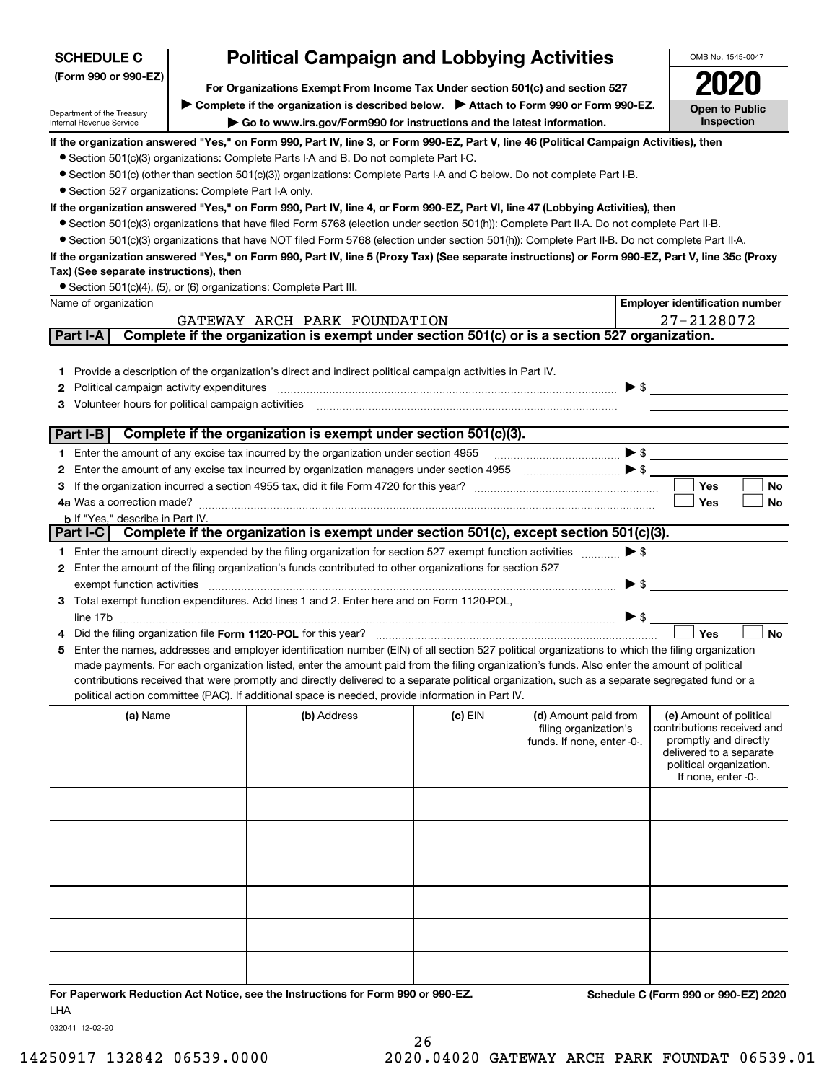| <b>SCHEDULE C</b>                                      |                                                                                                                                                                                        | <b>Political Campaign and Lobbying Activities</b>                                                                                                                                                                                                                                                   |           |                            | OMB No. 1545-0047                                   |  |  |  |  |  |
|--------------------------------------------------------|----------------------------------------------------------------------------------------------------------------------------------------------------------------------------------------|-----------------------------------------------------------------------------------------------------------------------------------------------------------------------------------------------------------------------------------------------------------------------------------------------------|-----------|----------------------------|-----------------------------------------------------|--|--|--|--|--|
| (Form 990 or 990-EZ)                                   |                                                                                                                                                                                        |                                                                                                                                                                                                                                                                                                     |           |                            |                                                     |  |  |  |  |  |
|                                                        |                                                                                                                                                                                        | For Organizations Exempt From Income Tax Under section 501(c) and section 527<br>Complete if the organization is described below.<br>> Attach to Form 990 or Form 990-EZ.                                                                                                                           |           |                            |                                                     |  |  |  |  |  |
| Department of the Treasury<br>Internal Revenue Service |                                                                                                                                                                                        | Go to www.irs.gov/Form990 for instructions and the latest information.                                                                                                                                                                                                                              |           |                            | <b>Open to Public</b><br>Inspection                 |  |  |  |  |  |
|                                                        |                                                                                                                                                                                        | If the organization answered "Yes," on Form 990, Part IV, line 3, or Form 990-EZ, Part V, line 46 (Political Campaign Activities), then                                                                                                                                                             |           |                            |                                                     |  |  |  |  |  |
|                                                        |                                                                                                                                                                                        | • Section 501(c)(3) organizations: Complete Parts I-A and B. Do not complete Part I-C.                                                                                                                                                                                                              |           |                            |                                                     |  |  |  |  |  |
|                                                        |                                                                                                                                                                                        | • Section 501(c) (other than section 501(c)(3)) organizations: Complete Parts I-A and C below. Do not complete Part I-B.                                                                                                                                                                            |           |                            |                                                     |  |  |  |  |  |
|                                                        | • Section 527 organizations: Complete Part I-A only.<br>If the organization answered "Yes," on Form 990, Part IV, line 4, or Form 990-EZ, Part VI, line 47 (Lobbying Activities), then |                                                                                                                                                                                                                                                                                                     |           |                            |                                                     |  |  |  |  |  |
|                                                        |                                                                                                                                                                                        |                                                                                                                                                                                                                                                                                                     |           |                            |                                                     |  |  |  |  |  |
|                                                        |                                                                                                                                                                                        | • Section 501(c)(3) organizations that have filed Form 5768 (election under section 501(h)): Complete Part II-A. Do not complete Part II-B.                                                                                                                                                         |           |                            |                                                     |  |  |  |  |  |
|                                                        |                                                                                                                                                                                        | • Section 501(c)(3) organizations that have NOT filed Form 5768 (election under section 501(h)): Complete Part II-B. Do not complete Part II-A.<br>If the organization answered "Yes," on Form 990, Part IV, line 5 (Proxy Tax) (See separate instructions) or Form 990-EZ, Part V, line 35c (Proxy |           |                            |                                                     |  |  |  |  |  |
| Tax) (See separate instructions), then                 |                                                                                                                                                                                        |                                                                                                                                                                                                                                                                                                     |           |                            |                                                     |  |  |  |  |  |
|                                                        |                                                                                                                                                                                        | • Section 501(c)(4), (5), or (6) organizations: Complete Part III.                                                                                                                                                                                                                                  |           |                            |                                                     |  |  |  |  |  |
| Name of organization                                   |                                                                                                                                                                                        |                                                                                                                                                                                                                                                                                                     |           |                            | <b>Employer identification number</b>               |  |  |  |  |  |
|                                                        |                                                                                                                                                                                        | GATEWAY ARCH PARK FOUNDATION                                                                                                                                                                                                                                                                        |           |                            | 27-2128072                                          |  |  |  |  |  |
| Part I-A                                               |                                                                                                                                                                                        | Complete if the organization is exempt under section 501(c) or is a section 527 organization.                                                                                                                                                                                                       |           |                            |                                                     |  |  |  |  |  |
|                                                        |                                                                                                                                                                                        |                                                                                                                                                                                                                                                                                                     |           |                            |                                                     |  |  |  |  |  |
|                                                        |                                                                                                                                                                                        | 1 Provide a description of the organization's direct and indirect political campaign activities in Part IV.                                                                                                                                                                                         |           |                            |                                                     |  |  |  |  |  |
| Political campaign activity expenditures<br>2          |                                                                                                                                                                                        |                                                                                                                                                                                                                                                                                                     |           |                            | $\triangleright$ \$                                 |  |  |  |  |  |
| Volunteer hours for political campaign activities<br>3 |                                                                                                                                                                                        |                                                                                                                                                                                                                                                                                                     |           |                            |                                                     |  |  |  |  |  |
| Part I-B                                               |                                                                                                                                                                                        | Complete if the organization is exempt under section 501(c)(3).                                                                                                                                                                                                                                     |           |                            |                                                     |  |  |  |  |  |
|                                                        |                                                                                                                                                                                        | 1 Enter the amount of any excise tax incurred by the organization under section 4955                                                                                                                                                                                                                |           |                            | $\blacktriangleright$ \$                            |  |  |  |  |  |
| 2                                                      |                                                                                                                                                                                        | Enter the amount of any excise tax incurred by organization managers under section 4955 [1001] [1001] [1001] [1001] [1001] [1001] [1001] [1001] [1001] [1001] [1001] [1001] [1001] [1001] [1001] [1001] [1001] [1001] [1001] [                                                                      |           |                            |                                                     |  |  |  |  |  |
| 3                                                      |                                                                                                                                                                                        |                                                                                                                                                                                                                                                                                                     |           |                            | <b>Yes</b><br><b>No</b>                             |  |  |  |  |  |
|                                                        |                                                                                                                                                                                        |                                                                                                                                                                                                                                                                                                     |           |                            | Yes<br>No                                           |  |  |  |  |  |
| <b>b</b> If "Yes," describe in Part IV.                |                                                                                                                                                                                        |                                                                                                                                                                                                                                                                                                     |           |                            |                                                     |  |  |  |  |  |
| Part I-C                                               |                                                                                                                                                                                        | Complete if the organization is exempt under section 501(c), except section 501(c)(3).                                                                                                                                                                                                              |           |                            |                                                     |  |  |  |  |  |
|                                                        |                                                                                                                                                                                        | 1 Enter the amount directly expended by the filing organization for section 527 exempt function activities                                                                                                                                                                                          |           |                            | $\blacktriangleright$ \$                            |  |  |  |  |  |
|                                                        |                                                                                                                                                                                        | 2 Enter the amount of the filing organization's funds contributed to other organizations for section 527                                                                                                                                                                                            |           |                            |                                                     |  |  |  |  |  |
| exempt function activities                             |                                                                                                                                                                                        |                                                                                                                                                                                                                                                                                                     |           |                            | $\blacktriangleright$ \$                            |  |  |  |  |  |
|                                                        |                                                                                                                                                                                        | 3 Total exempt function expenditures. Add lines 1 and 2. Enter here and on Form 1120-POL,                                                                                                                                                                                                           |           |                            |                                                     |  |  |  |  |  |
|                                                        |                                                                                                                                                                                        |                                                                                                                                                                                                                                                                                                     |           |                            |                                                     |  |  |  |  |  |
|                                                        |                                                                                                                                                                                        | Did the filing organization file Form 1120-POL for this year?                                                                                                                                                                                                                                       |           |                            | Yes<br><b>No</b>                                    |  |  |  |  |  |
|                                                        |                                                                                                                                                                                        | 5 Enter the names, addresses and employer identification number (EIN) of all section 527 political organizations to which the filing organization<br>made payments. For each organization listed, enter the amount paid from the filing organization's funds. Also enter the amount of political    |           |                            |                                                     |  |  |  |  |  |
|                                                        |                                                                                                                                                                                        | contributions received that were promptly and directly delivered to a separate political organization, such as a separate segregated fund or a                                                                                                                                                      |           |                            |                                                     |  |  |  |  |  |
|                                                        |                                                                                                                                                                                        | political action committee (PAC). If additional space is needed, provide information in Part IV.                                                                                                                                                                                                    |           |                            |                                                     |  |  |  |  |  |
| (a) Name                                               |                                                                                                                                                                                        | (b) Address                                                                                                                                                                                                                                                                                         | $(c)$ EIN | (d) Amount paid from       | (e) Amount of political                             |  |  |  |  |  |
|                                                        |                                                                                                                                                                                        |                                                                                                                                                                                                                                                                                                     |           | filing organization's      | contributions received and<br>promptly and directly |  |  |  |  |  |
|                                                        |                                                                                                                                                                                        |                                                                                                                                                                                                                                                                                                     |           | funds. If none, enter -0-. | delivered to a separate                             |  |  |  |  |  |
|                                                        |                                                                                                                                                                                        |                                                                                                                                                                                                                                                                                                     |           |                            | political organization.                             |  |  |  |  |  |
|                                                        |                                                                                                                                                                                        |                                                                                                                                                                                                                                                                                                     |           |                            | If none, enter -0-.                                 |  |  |  |  |  |
|                                                        |                                                                                                                                                                                        |                                                                                                                                                                                                                                                                                                     |           |                            |                                                     |  |  |  |  |  |
|                                                        |                                                                                                                                                                                        |                                                                                                                                                                                                                                                                                                     |           |                            |                                                     |  |  |  |  |  |
|                                                        |                                                                                                                                                                                        |                                                                                                                                                                                                                                                                                                     |           |                            |                                                     |  |  |  |  |  |
|                                                        |                                                                                                                                                                                        |                                                                                                                                                                                                                                                                                                     |           |                            |                                                     |  |  |  |  |  |
|                                                        |                                                                                                                                                                                        |                                                                                                                                                                                                                                                                                                     |           |                            |                                                     |  |  |  |  |  |
|                                                        |                                                                                                                                                                                        |                                                                                                                                                                                                                                                                                                     |           |                            |                                                     |  |  |  |  |  |
|                                                        |                                                                                                                                                                                        |                                                                                                                                                                                                                                                                                                     |           |                            |                                                     |  |  |  |  |  |
|                                                        |                                                                                                                                                                                        |                                                                                                                                                                                                                                                                                                     |           |                            |                                                     |  |  |  |  |  |
|                                                        |                                                                                                                                                                                        |                                                                                                                                                                                                                                                                                                     |           |                            |                                                     |  |  |  |  |  |
|                                                        |                                                                                                                                                                                        |                                                                                                                                                                                                                                                                                                     |           |                            |                                                     |  |  |  |  |  |
|                                                        |                                                                                                                                                                                        |                                                                                                                                                                                                                                                                                                     |           |                            |                                                     |  |  |  |  |  |
|                                                        |                                                                                                                                                                                        | For Paperwork Reduction Act Notice, see the Instructions for Form 990 or 990-FZ.                                                                                                                                                                                                                    |           |                            | Schedule C (Form 990 or 990-F7) 2020                |  |  |  |  |  |

**For Paperwork Reduction Act Notice, see the Instructions for Form 990 or 990-EZ. Schedule C (Form 990 or 990-EZ) 2020** LHA

032041 12-02-20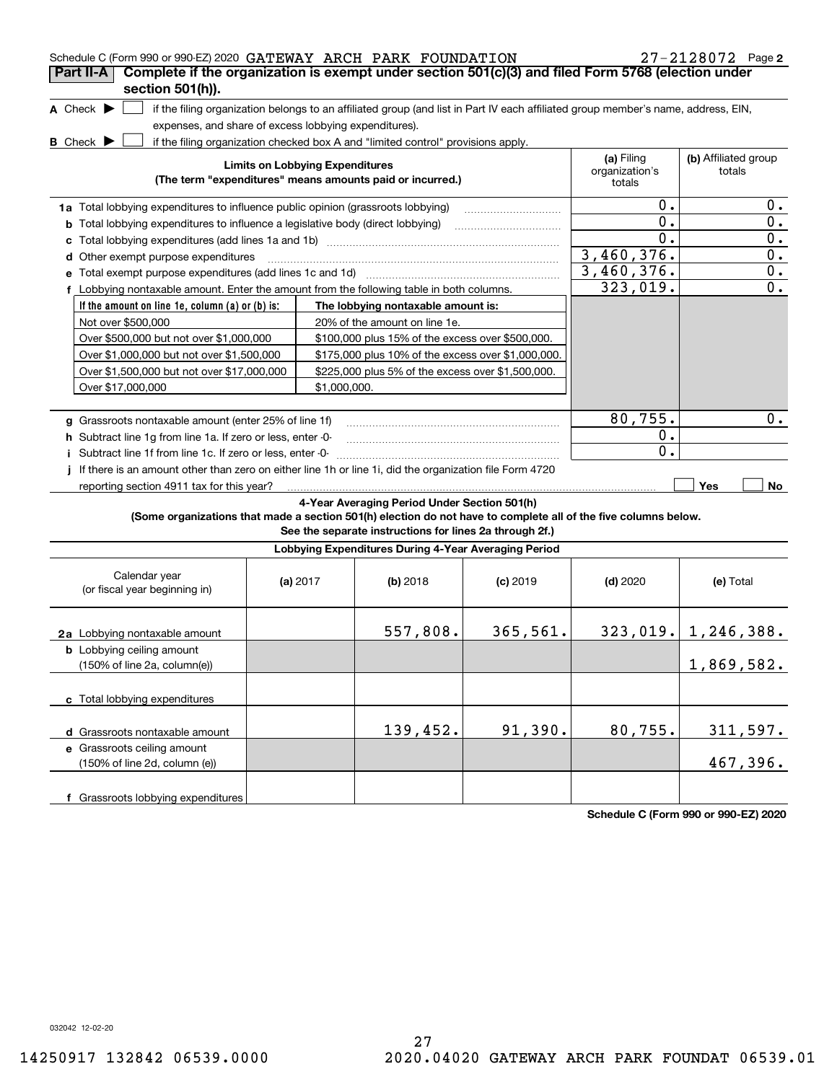| Schedule C (Form 990 or 990-EZ) 2020 GATEWAY ARCH PARK FOUNDATION                                               |                                                                                  |                                        |                                                                                                                                   |            |                          | $27 - 2128072$ Page 2   |  |  |
|-----------------------------------------------------------------------------------------------------------------|----------------------------------------------------------------------------------|----------------------------------------|-----------------------------------------------------------------------------------------------------------------------------------|------------|--------------------------|-------------------------|--|--|
| Complete if the organization is exempt under section 501(c)(3) and filed Form 5768 (election under<br>Part II-A |                                                                                  |                                        |                                                                                                                                   |            |                          |                         |  |  |
| section 501(h)).                                                                                                |                                                                                  |                                        |                                                                                                                                   |            |                          |                         |  |  |
| A Check $\blacktriangleright$                                                                                   |                                                                                  |                                        | if the filing organization belongs to an affiliated group (and list in Part IV each affiliated group member's name, address, EIN, |            |                          |                         |  |  |
| expenses, and share of excess lobbying expenditures).<br><b>B</b> Check $\blacktriangleright$                   |                                                                                  |                                        | if the filing organization checked box A and "limited control" provisions apply.                                                  |            |                          |                         |  |  |
|                                                                                                                 |                                                                                  |                                        |                                                                                                                                   |            | (a) Filing               | (b) Affiliated group    |  |  |
|                                                                                                                 |                                                                                  | <b>Limits on Lobbying Expenditures</b> | (The term "expenditures" means amounts paid or incurred.)                                                                         |            | organization's<br>totals | totals                  |  |  |
|                                                                                                                 | 1a Total lobbying expenditures to influence public opinion (grassroots lobbying) |                                        |                                                                                                                                   |            |                          |                         |  |  |
| <b>b</b> Total lobbying expenditures to influence a legislative body (direct lobbying)                          |                                                                                  |                                        |                                                                                                                                   |            | 0.<br>0.                 | $0$ .<br>0.             |  |  |
|                                                                                                                 |                                                                                  |                                        |                                                                                                                                   |            | 0.                       | 0.                      |  |  |
| d Other exempt purpose expenditures                                                                             |                                                                                  |                                        |                                                                                                                                   |            | 3,460,376.               | 0.                      |  |  |
|                                                                                                                 |                                                                                  |                                        |                                                                                                                                   |            | 3,460,376.               | 0.                      |  |  |
| f Lobbying nontaxable amount. Enter the amount from the following table in both columns.                        |                                                                                  |                                        |                                                                                                                                   |            | 323,019.                 | 0.                      |  |  |
| If the amount on line 1e, column (a) or (b) is:                                                                 |                                                                                  |                                        | The lobbying nontaxable amount is:                                                                                                |            |                          |                         |  |  |
| Not over \$500,000                                                                                              |                                                                                  |                                        | 20% of the amount on line 1e.                                                                                                     |            |                          |                         |  |  |
| Over \$500,000 but not over \$1,000,000                                                                         |                                                                                  |                                        | \$100,000 plus 15% of the excess over \$500,000.                                                                                  |            |                          |                         |  |  |
| Over \$1,000,000 but not over \$1,500,000                                                                       |                                                                                  |                                        | \$175,000 plus 10% of the excess over \$1,000,000.                                                                                |            |                          |                         |  |  |
| Over \$1,500,000 but not over \$17,000,000                                                                      |                                                                                  |                                        | \$225,000 plus 5% of the excess over \$1,500,000.                                                                                 |            |                          |                         |  |  |
| Over \$17,000,000                                                                                               |                                                                                  | \$1,000,000.                           |                                                                                                                                   |            |                          |                         |  |  |
|                                                                                                                 |                                                                                  |                                        |                                                                                                                                   |            |                          |                         |  |  |
| g Grassroots nontaxable amount (enter 25% of line 1f)                                                           |                                                                                  |                                        |                                                                                                                                   |            | 80,755.                  | 0.                      |  |  |
| h Subtract line 1q from line 1a. If zero or less, enter -0-                                                     |                                                                                  |                                        |                                                                                                                                   |            | 0.                       |                         |  |  |
| Subtract line 1f from line 1c. If zero or less, enter -0-<br>j.                                                 |                                                                                  |                                        |                                                                                                                                   |            | 0.                       |                         |  |  |
| If there is an amount other than zero on either line 1h or line 1i, did the organization file Form 4720<br>Ť.   |                                                                                  |                                        |                                                                                                                                   |            |                          |                         |  |  |
| reporting section 4911 tax for this year?                                                                       |                                                                                  |                                        |                                                                                                                                   |            |                          | Yes<br>No               |  |  |
|                                                                                                                 |                                                                                  |                                        | 4-Year Averaging Period Under Section 501(h)                                                                                      |            |                          |                         |  |  |
| (Some organizations that made a section 501(h) election do not have to complete all of the five columns below.  |                                                                                  |                                        | See the separate instructions for lines 2a through 2f.)                                                                           |            |                          |                         |  |  |
|                                                                                                                 |                                                                                  |                                        |                                                                                                                                   |            |                          |                         |  |  |
|                                                                                                                 |                                                                                  |                                        | Lobbying Expenditures During 4-Year Averaging Period                                                                              |            |                          |                         |  |  |
| Calendar year<br>(or fiscal year beginning in)                                                                  |                                                                                  | (a) $2017$                             | $(b)$ 2018                                                                                                                        | $(c)$ 2019 | $(d)$ 2020               | (e) Total               |  |  |
| 2a Lobbying nontaxable amount                                                                                   |                                                                                  |                                        | 557,808.                                                                                                                          | 365,561.   |                          | $323,019.$ 1, 246, 388. |  |  |
| <b>b</b> Lobbying ceiling amount                                                                                |                                                                                  |                                        |                                                                                                                                   |            |                          |                         |  |  |
| (150% of line 2a, column(e))                                                                                    |                                                                                  |                                        |                                                                                                                                   |            |                          | 1,869,582.              |  |  |
| c Total lobbying expenditures                                                                                   |                                                                                  |                                        |                                                                                                                                   |            |                          |                         |  |  |
|                                                                                                                 |                                                                                  |                                        |                                                                                                                                   |            |                          |                         |  |  |
| d Grassroots nontaxable amount                                                                                  |                                                                                  |                                        | 139,452.                                                                                                                          | 91,390.    | 80,755.                  | 311,597.                |  |  |
| e Grassroots ceiling amount                                                                                     |                                                                                  |                                        |                                                                                                                                   |            |                          |                         |  |  |
| (150% of line 2d, column (e))                                                                                   |                                                                                  |                                        |                                                                                                                                   |            |                          | 467,396.                |  |  |
|                                                                                                                 |                                                                                  |                                        |                                                                                                                                   |            |                          |                         |  |  |
| f Grassroots lobbying expenditures                                                                              |                                                                                  |                                        |                                                                                                                                   |            |                          |                         |  |  |

**Schedule C (Form 990 or 990-EZ) 2020**

032042 12-02-20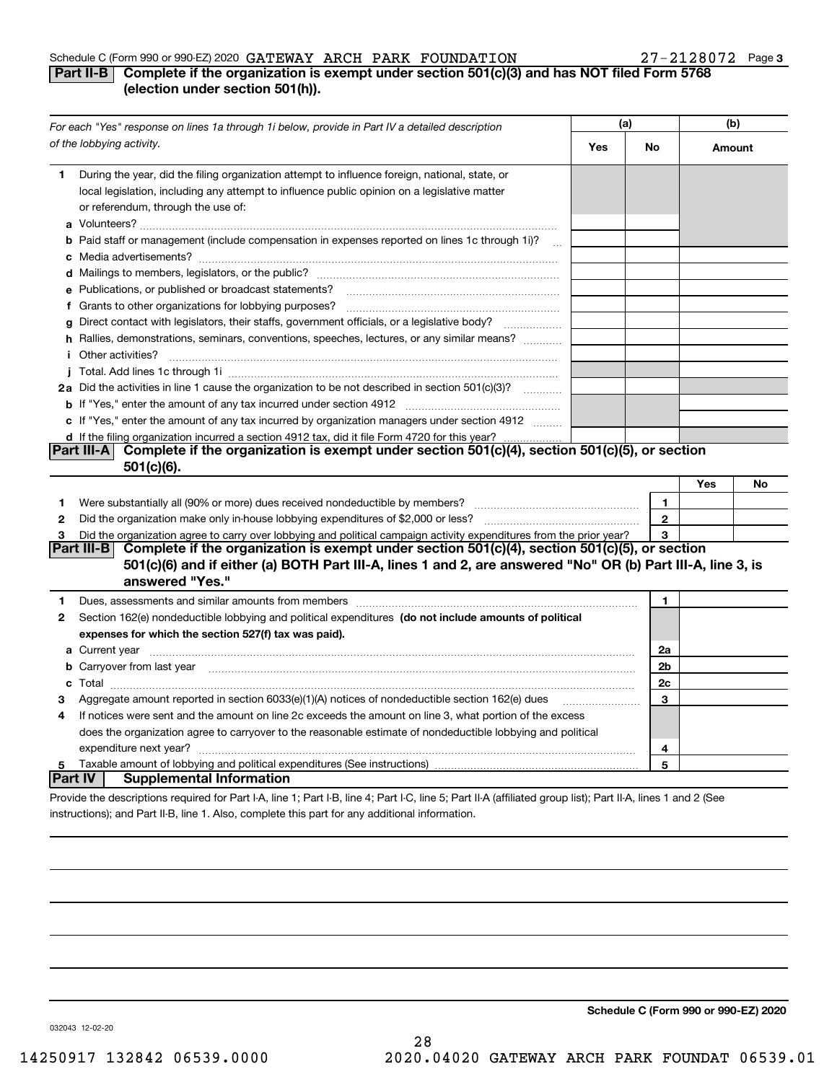#### Schedule C (Form 990 or 990-EZ) 2020 Page GATEWAY ARCH PARK FOUNDATION 27-2128072

#### **3**

### **Part II-B** Complete if the organization is exempt under section 501(c)(3) and has NOT filed Form 5768 **(election under section 501(h)).**

|                | For each "Yes" response on lines 1a through 1i below, provide in Part IV a detailed description                                                                                                                                      | (a) |             | (b)    |    |
|----------------|--------------------------------------------------------------------------------------------------------------------------------------------------------------------------------------------------------------------------------------|-----|-------------|--------|----|
|                | of the lobbying activity.                                                                                                                                                                                                            | Yes | No          | Amount |    |
| 1              | During the year, did the filing organization attempt to influence foreign, national, state, or<br>local legislation, including any attempt to influence public opinion on a legislative matter<br>or referendum, through the use of: |     |             |        |    |
|                | <b>b</b> Paid staff or management (include compensation in expenses reported on lines 1c through 1i)?<br>$\mathbf{r}$                                                                                                                |     |             |        |    |
|                |                                                                                                                                                                                                                                      |     |             |        |    |
|                | e Publications, or published or broadcast statements?                                                                                                                                                                                |     |             |        |    |
|                | f Grants to other organizations for lobbying purposes?                                                                                                                                                                               |     |             |        |    |
| g              | Direct contact with legislators, their staffs, government officials, or a legislative body?                                                                                                                                          |     |             |        |    |
|                | h Rallies, demonstrations, seminars, conventions, speeches, lectures, or any similar means?                                                                                                                                          |     |             |        |    |
|                | <i>i</i> Other activities?                                                                                                                                                                                                           |     |             |        |    |
|                |                                                                                                                                                                                                                                      |     |             |        |    |
|                | 2a Did the activities in line 1 cause the organization to be not described in section 501(c)(3)?                                                                                                                                     |     |             |        |    |
|                |                                                                                                                                                                                                                                      |     |             |        |    |
|                | c If "Yes," enter the amount of any tax incurred by organization managers under section 4912                                                                                                                                         |     |             |        |    |
|                | d If the filing organization incurred a section 4912 tax, did it file Form 4720 for this year?                                                                                                                                       |     |             |        |    |
|                | Complete if the organization is exempt under section 501(c)(4), section 501(c)(5), or section<br><b>Part III-AI</b>                                                                                                                  |     |             |        |    |
|                | $501(c)(6)$ .                                                                                                                                                                                                                        |     |             |        |    |
|                |                                                                                                                                                                                                                                      |     |             | Yes    | No |
| 1.             |                                                                                                                                                                                                                                      |     | 1           |        |    |
| 2              | Did the organization make only in house lobbying expenditures of \$2,000 or less?                                                                                                                                                    |     | $\mathbf 2$ |        |    |
| 3              | Did the organization agree to carry over lobbying and political campaign activity expenditures from the prior year?                                                                                                                  |     | 3           |        |    |
|                | Part III-B<br>Complete if the organization is exempt under section $501(c)(4)$ , section $501(c)(5)$ , or section                                                                                                                    |     |             |        |    |
|                | 501(c)(6) and if either (a) BOTH Part III-A, lines 1 and 2, are answered "No" OR (b) Part III-A, line 3, is                                                                                                                          |     |             |        |    |
|                | answered "Yes."                                                                                                                                                                                                                      |     |             |        |    |
| 1              |                                                                                                                                                                                                                                      |     | 1           |        |    |
| 2              | Section 162(e) nondeductible lobbying and political expenditures (do not include amounts of political                                                                                                                                |     |             |        |    |
|                | expenses for which the section 527(f) tax was paid).                                                                                                                                                                                 |     |             |        |    |
|                |                                                                                                                                                                                                                                      |     | 2a          |        |    |
|                | <b>b</b> Carryover from last year                                                                                                                                                                                                    |     | 2b          |        |    |
|                |                                                                                                                                                                                                                                      |     | 2c          |        |    |
| З              | Aggregate amount reported in section 6033(e)(1)(A) notices of nondeductible section 162(e) dues                                                                                                                                      |     | 3           |        |    |
| 4              | If notices were sent and the amount on line 2c exceeds the amount on line 3, what portion of the excess                                                                                                                              |     |             |        |    |
|                | does the organization agree to carryover to the reasonable estimate of nondeductible lobbying and political                                                                                                                          |     |             |        |    |
|                |                                                                                                                                                                                                                                      |     | 4           |        |    |
| 5              |                                                                                                                                                                                                                                      |     | 5           |        |    |
| <b>Part IV</b> | <b>Supplemental Information</b>                                                                                                                                                                                                      |     |             |        |    |
|                | Provide the descriptions required for Part I-A, line 1; Part I-B, line 4; Part I-C, line 5; Part II-A (affiliated group list); Part II-A, lines 1 and 2 (See                                                                         |     |             |        |    |

instructions); and Part II-B, line 1. Also, complete this part for any additional information.

**Schedule C (Form 990 or 990-EZ) 2020**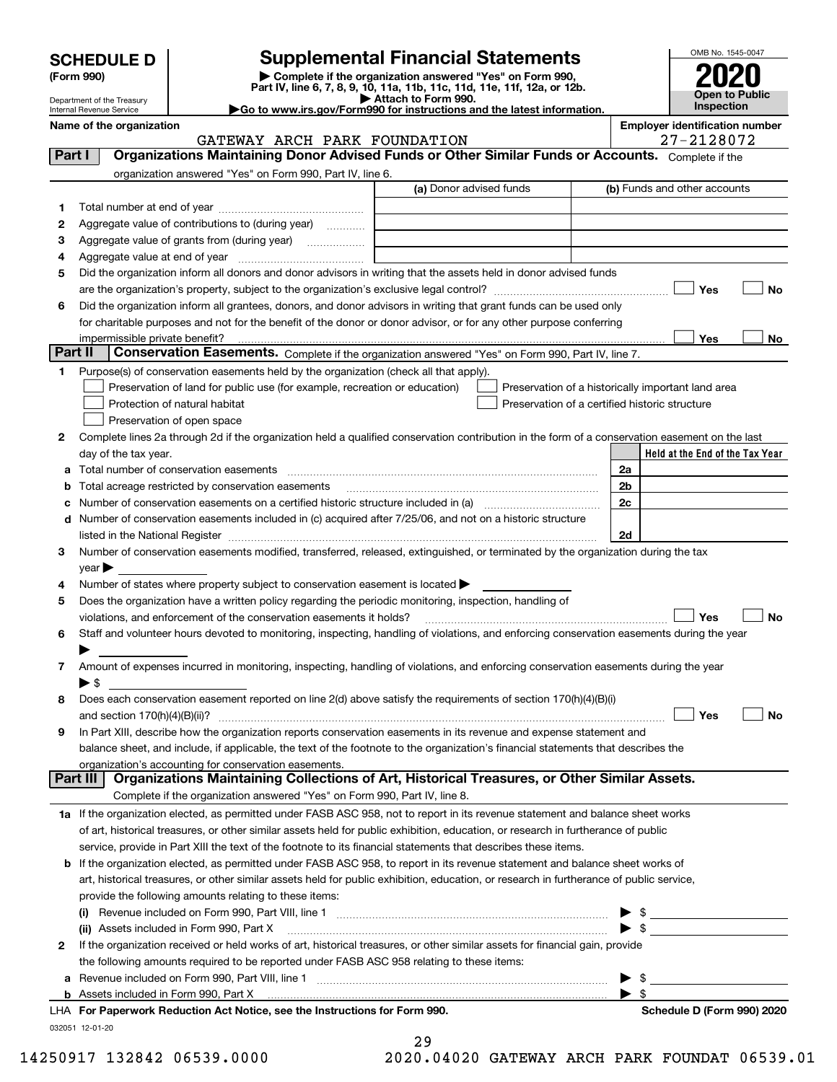| <b>SCHEDULE D</b> |  |
|-------------------|--|
|-------------------|--|

| (Form 990) |  |
|------------|--|
|------------|--|

## **Supplemental Financial Statements**

(Form 990)<br>
Pepartment of the Treasury<br>
Department of the Treasury<br>
Department of the Treasury<br>
Department of the Treasury<br> **Co to www.irs.gov/Form990 for instructions and the latest information.**<br> **Co to www.irs.gov/Form9** 



Department of the Treasury Internal Revenue Service

| Name of the organization |  |                              | <b>Employer identification number</b> |
|--------------------------|--|------------------------------|---------------------------------------|
|                          |  | GATEWAY ARCH PARK FOUNDATION | $-2128072$<br>$7 - 7$                 |

#### GATEWAY ARCH PARK FOUNDATION

| organization answered "Yes" on Form 990, Part IV, line 6.<br>(a) Donor advised funds<br>(b) Funds and other accounts<br>1.<br>Aggregate value of contributions to (during year)<br>2<br>Aggregate value of grants from (during year)<br>з<br>4<br>Did the organization inform all donors and donor advisors in writing that the assets held in donor advised funds<br>5<br>Yes<br>Did the organization inform all grantees, donors, and donor advisors in writing that grant funds can be used only<br>6<br>for charitable purposes and not for the benefit of the donor or donor advisor, or for any other purpose conferring<br>Yes<br>impermissible private benefit?<br><b>Part II</b><br>Conservation Easements. Complete if the organization answered "Yes" on Form 990, Part IV, line 7.<br>Purpose(s) of conservation easements held by the organization (check all that apply).<br>1<br>Preservation of land for public use (for example, recreation or education)<br>Preservation of a historically important land area<br>Protection of natural habitat<br>Preservation of a certified historic structure |    |
|---------------------------------------------------------------------------------------------------------------------------------------------------------------------------------------------------------------------------------------------------------------------------------------------------------------------------------------------------------------------------------------------------------------------------------------------------------------------------------------------------------------------------------------------------------------------------------------------------------------------------------------------------------------------------------------------------------------------------------------------------------------------------------------------------------------------------------------------------------------------------------------------------------------------------------------------------------------------------------------------------------------------------------------------------------------------------------------------------------------------|----|
|                                                                                                                                                                                                                                                                                                                                                                                                                                                                                                                                                                                                                                                                                                                                                                                                                                                                                                                                                                                                                                                                                                                     |    |
|                                                                                                                                                                                                                                                                                                                                                                                                                                                                                                                                                                                                                                                                                                                                                                                                                                                                                                                                                                                                                                                                                                                     |    |
|                                                                                                                                                                                                                                                                                                                                                                                                                                                                                                                                                                                                                                                                                                                                                                                                                                                                                                                                                                                                                                                                                                                     |    |
|                                                                                                                                                                                                                                                                                                                                                                                                                                                                                                                                                                                                                                                                                                                                                                                                                                                                                                                                                                                                                                                                                                                     |    |
|                                                                                                                                                                                                                                                                                                                                                                                                                                                                                                                                                                                                                                                                                                                                                                                                                                                                                                                                                                                                                                                                                                                     |    |
|                                                                                                                                                                                                                                                                                                                                                                                                                                                                                                                                                                                                                                                                                                                                                                                                                                                                                                                                                                                                                                                                                                                     |    |
|                                                                                                                                                                                                                                                                                                                                                                                                                                                                                                                                                                                                                                                                                                                                                                                                                                                                                                                                                                                                                                                                                                                     |    |
|                                                                                                                                                                                                                                                                                                                                                                                                                                                                                                                                                                                                                                                                                                                                                                                                                                                                                                                                                                                                                                                                                                                     | No |
|                                                                                                                                                                                                                                                                                                                                                                                                                                                                                                                                                                                                                                                                                                                                                                                                                                                                                                                                                                                                                                                                                                                     |    |
|                                                                                                                                                                                                                                                                                                                                                                                                                                                                                                                                                                                                                                                                                                                                                                                                                                                                                                                                                                                                                                                                                                                     |    |
|                                                                                                                                                                                                                                                                                                                                                                                                                                                                                                                                                                                                                                                                                                                                                                                                                                                                                                                                                                                                                                                                                                                     | No |
|                                                                                                                                                                                                                                                                                                                                                                                                                                                                                                                                                                                                                                                                                                                                                                                                                                                                                                                                                                                                                                                                                                                     |    |
|                                                                                                                                                                                                                                                                                                                                                                                                                                                                                                                                                                                                                                                                                                                                                                                                                                                                                                                                                                                                                                                                                                                     |    |
|                                                                                                                                                                                                                                                                                                                                                                                                                                                                                                                                                                                                                                                                                                                                                                                                                                                                                                                                                                                                                                                                                                                     |    |
|                                                                                                                                                                                                                                                                                                                                                                                                                                                                                                                                                                                                                                                                                                                                                                                                                                                                                                                                                                                                                                                                                                                     |    |
| Preservation of open space                                                                                                                                                                                                                                                                                                                                                                                                                                                                                                                                                                                                                                                                                                                                                                                                                                                                                                                                                                                                                                                                                          |    |
| Complete lines 2a through 2d if the organization held a qualified conservation contribution in the form of a conservation easement on the last<br>2                                                                                                                                                                                                                                                                                                                                                                                                                                                                                                                                                                                                                                                                                                                                                                                                                                                                                                                                                                 |    |
| Held at the End of the Tax Year<br>day of the tax year.                                                                                                                                                                                                                                                                                                                                                                                                                                                                                                                                                                                                                                                                                                                                                                                                                                                                                                                                                                                                                                                             |    |
| 2a<br>Total number of conservation easements<br>a                                                                                                                                                                                                                                                                                                                                                                                                                                                                                                                                                                                                                                                                                                                                                                                                                                                                                                                                                                                                                                                                   |    |
| Total acreage restricted by conservation easements<br>2b<br>b                                                                                                                                                                                                                                                                                                                                                                                                                                                                                                                                                                                                                                                                                                                                                                                                                                                                                                                                                                                                                                                       |    |
| 2c<br>Number of conservation easements on a certified historic structure included in (a) manufacture included in (a)<br>c                                                                                                                                                                                                                                                                                                                                                                                                                                                                                                                                                                                                                                                                                                                                                                                                                                                                                                                                                                                           |    |
| Number of conservation easements included in (c) acquired after 7/25/06, and not on a historic structure<br>d                                                                                                                                                                                                                                                                                                                                                                                                                                                                                                                                                                                                                                                                                                                                                                                                                                                                                                                                                                                                       |    |
| 2d<br>Number of conservation easements modified, transferred, released, extinguished, or terminated by the organization during the tax                                                                                                                                                                                                                                                                                                                                                                                                                                                                                                                                                                                                                                                                                                                                                                                                                                                                                                                                                                              |    |
| З<br>year                                                                                                                                                                                                                                                                                                                                                                                                                                                                                                                                                                                                                                                                                                                                                                                                                                                                                                                                                                                                                                                                                                           |    |
| Number of states where property subject to conservation easement is located<br>4                                                                                                                                                                                                                                                                                                                                                                                                                                                                                                                                                                                                                                                                                                                                                                                                                                                                                                                                                                                                                                    |    |
| Does the organization have a written policy regarding the periodic monitoring, inspection, handling of<br>5                                                                                                                                                                                                                                                                                                                                                                                                                                                                                                                                                                                                                                                                                                                                                                                                                                                                                                                                                                                                         |    |
| violations, and enforcement of the conservation easements it holds?<br>Yes                                                                                                                                                                                                                                                                                                                                                                                                                                                                                                                                                                                                                                                                                                                                                                                                                                                                                                                                                                                                                                          | No |
| Staff and volunteer hours devoted to monitoring, inspecting, handling of violations, and enforcing conservation easements during the year<br>6                                                                                                                                                                                                                                                                                                                                                                                                                                                                                                                                                                                                                                                                                                                                                                                                                                                                                                                                                                      |    |
|                                                                                                                                                                                                                                                                                                                                                                                                                                                                                                                                                                                                                                                                                                                                                                                                                                                                                                                                                                                                                                                                                                                     |    |
| Amount of expenses incurred in monitoring, inspecting, handling of violations, and enforcing conservation easements during the year<br>7                                                                                                                                                                                                                                                                                                                                                                                                                                                                                                                                                                                                                                                                                                                                                                                                                                                                                                                                                                            |    |
| ▶ \$                                                                                                                                                                                                                                                                                                                                                                                                                                                                                                                                                                                                                                                                                                                                                                                                                                                                                                                                                                                                                                                                                                                |    |
| Does each conservation easement reported on line 2(d) above satisfy the requirements of section 170(h)(4)(B)(i)<br>8                                                                                                                                                                                                                                                                                                                                                                                                                                                                                                                                                                                                                                                                                                                                                                                                                                                                                                                                                                                                |    |
| $\begin{minipage}[b]{0.9\textwidth} \centering \begin{tabular}{ l l l } \hline \multicolumn{1}{ l l l } \hline \multicolumn{1}{ l l } \multicolumn{1}{ l } \multicolumn{1}{ l } \multicolumn{1}{ l } \multicolumn{1}{ l } \multicolumn{1}{ l } \multicolumn{1}{ l } \multicolumn{1}{ l } \multicolumn{1}{ l } \multicolumn{1}{ l } \multicolumn{1}{ l } \multicolumn{1}{ l } \multicolumn{1}{ l } \multicolumn{1}{ l } \multicolumn{1}{ l $<br>Yes<br>and section $170(h)(4)(B)(ii)?$                                                                                                                                                                                                                                                                                                                                                                                                                                                                                                                                                                                                                               | No |
| In Part XIII, describe how the organization reports conservation easements in its revenue and expense statement and<br>9                                                                                                                                                                                                                                                                                                                                                                                                                                                                                                                                                                                                                                                                                                                                                                                                                                                                                                                                                                                            |    |
| balance sheet, and include, if applicable, the text of the footnote to the organization's financial statements that describes the                                                                                                                                                                                                                                                                                                                                                                                                                                                                                                                                                                                                                                                                                                                                                                                                                                                                                                                                                                                   |    |
| organization's accounting for conservation easements.                                                                                                                                                                                                                                                                                                                                                                                                                                                                                                                                                                                                                                                                                                                                                                                                                                                                                                                                                                                                                                                               |    |
| Organizations Maintaining Collections of Art, Historical Treasures, or Other Similar Assets.<br>  Part III                                                                                                                                                                                                                                                                                                                                                                                                                                                                                                                                                                                                                                                                                                                                                                                                                                                                                                                                                                                                          |    |
| Complete if the organization answered "Yes" on Form 990, Part IV, line 8.                                                                                                                                                                                                                                                                                                                                                                                                                                                                                                                                                                                                                                                                                                                                                                                                                                                                                                                                                                                                                                           |    |
| 1a If the organization elected, as permitted under FASB ASC 958, not to report in its revenue statement and balance sheet works                                                                                                                                                                                                                                                                                                                                                                                                                                                                                                                                                                                                                                                                                                                                                                                                                                                                                                                                                                                     |    |
| of art, historical treasures, or other similar assets held for public exhibition, education, or research in furtherance of public                                                                                                                                                                                                                                                                                                                                                                                                                                                                                                                                                                                                                                                                                                                                                                                                                                                                                                                                                                                   |    |
| service, provide in Part XIII the text of the footnote to its financial statements that describes these items.                                                                                                                                                                                                                                                                                                                                                                                                                                                                                                                                                                                                                                                                                                                                                                                                                                                                                                                                                                                                      |    |
| If the organization elected, as permitted under FASB ASC 958, to report in its revenue statement and balance sheet works of<br>b                                                                                                                                                                                                                                                                                                                                                                                                                                                                                                                                                                                                                                                                                                                                                                                                                                                                                                                                                                                    |    |
| art, historical treasures, or other similar assets held for public exhibition, education, or research in furtherance of public service,                                                                                                                                                                                                                                                                                                                                                                                                                                                                                                                                                                                                                                                                                                                                                                                                                                                                                                                                                                             |    |
| provide the following amounts relating to these items:                                                                                                                                                                                                                                                                                                                                                                                                                                                                                                                                                                                                                                                                                                                                                                                                                                                                                                                                                                                                                                                              |    |
| (i)                                                                                                                                                                                                                                                                                                                                                                                                                                                                                                                                                                                                                                                                                                                                                                                                                                                                                                                                                                                                                                                                                                                 |    |
| $\blacktriangleright$ s<br>(ii) Assets included in Form 990, Part X                                                                                                                                                                                                                                                                                                                                                                                                                                                                                                                                                                                                                                                                                                                                                                                                                                                                                                                                                                                                                                                 |    |
| If the organization received or held works of art, historical treasures, or other similar assets for financial gain, provide<br>2                                                                                                                                                                                                                                                                                                                                                                                                                                                                                                                                                                                                                                                                                                                                                                                                                                                                                                                                                                                   |    |
| the following amounts required to be reported under FASB ASC 958 relating to these items:                                                                                                                                                                                                                                                                                                                                                                                                                                                                                                                                                                                                                                                                                                                                                                                                                                                                                                                                                                                                                           |    |
| \$<br>а<br>$\blacktriangleright$ \$                                                                                                                                                                                                                                                                                                                                                                                                                                                                                                                                                                                                                                                                                                                                                                                                                                                                                                                                                                                                                                                                                 |    |
| Assets included in Form 990, Part X<br>b<br>LHA For Paperwork Reduction Act Notice, see the Instructions for Form 990.<br>Schedule D (Form 990) 2020                                                                                                                                                                                                                                                                                                                                                                                                                                                                                                                                                                                                                                                                                                                                                                                                                                                                                                                                                                |    |

032051 12-01-20

| 29             |   |  |  |    |  |
|----------------|---|--|--|----|--|
| $\overline{ }$ | . |  |  | -- |  |

14250917 132842 06539.0000 2020.04020 GATEWAY ARCH PARK FOUNDAT 06539.01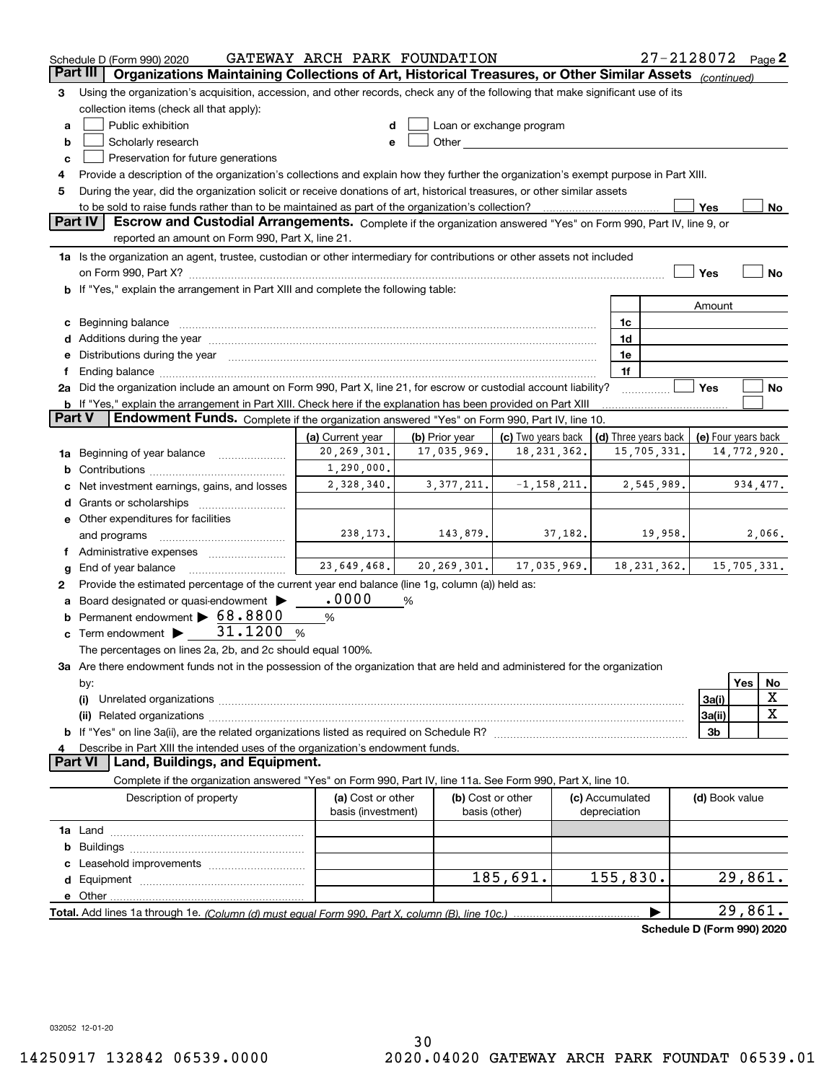|        | Schedule D (Form 990) 2020                                                                                                                                                                                                     | GATEWAY ARCH PARK FOUNDATION      |                                              |                                                                                                                                                                                                                                |                      | 27-2128072 Page 2          |                     |     |             |
|--------|--------------------------------------------------------------------------------------------------------------------------------------------------------------------------------------------------------------------------------|-----------------------------------|----------------------------------------------|--------------------------------------------------------------------------------------------------------------------------------------------------------------------------------------------------------------------------------|----------------------|----------------------------|---------------------|-----|-------------|
|        | Organizations Maintaining Collections of Art, Historical Treasures, or Other Similar Assets (continued)<br>Part III                                                                                                            |                                   |                                              |                                                                                                                                                                                                                                |                      |                            |                     |     |             |
| 3      | Using the organization's acquisition, accession, and other records, check any of the following that make significant use of its                                                                                                |                                   |                                              |                                                                                                                                                                                                                                |                      |                            |                     |     |             |
|        | collection items (check all that apply):                                                                                                                                                                                       |                                   |                                              |                                                                                                                                                                                                                                |                      |                            |                     |     |             |
| а      | Public exhibition                                                                                                                                                                                                              |                                   |                                              | Loan or exchange program                                                                                                                                                                                                       |                      |                            |                     |     |             |
| b      | Scholarly research                                                                                                                                                                                                             |                                   |                                              | Other and the control of the control of the control of the control of the control of the control of the control of the control of the control of the control of the control of the control of the control of the control of th |                      |                            |                     |     |             |
| c      | Preservation for future generations                                                                                                                                                                                            |                                   |                                              |                                                                                                                                                                                                                                |                      |                            |                     |     |             |
| 4      | Provide a description of the organization's collections and explain how they further the organization's exempt purpose in Part XIII.                                                                                           |                                   |                                              |                                                                                                                                                                                                                                |                      |                            |                     |     |             |
| 5      | During the year, did the organization solicit or receive donations of art, historical treasures, or other similar assets                                                                                                       |                                   |                                              |                                                                                                                                                                                                                                |                      |                            |                     |     |             |
|        | to be sold to raise funds rather than to be maintained as part of the organization's collection?                                                                                                                               |                                   |                                              |                                                                                                                                                                                                                                |                      |                            | Yes                 |     | No          |
|        | Escrow and Custodial Arrangements. Complete if the organization answered "Yes" on Form 990, Part IV, line 9, or<br><b>Part IV</b>                                                                                              |                                   |                                              |                                                                                                                                                                                                                                |                      |                            |                     |     |             |
|        | reported an amount on Form 990, Part X, line 21.                                                                                                                                                                               |                                   |                                              |                                                                                                                                                                                                                                |                      |                            |                     |     |             |
|        | 1a Is the organization an agent, trustee, custodian or other intermediary for contributions or other assets not included                                                                                                       |                                   |                                              |                                                                                                                                                                                                                                |                      |                            |                     |     |             |
|        |                                                                                                                                                                                                                                |                                   |                                              |                                                                                                                                                                                                                                |                      |                            | Yes                 |     | No          |
|        | b If "Yes," explain the arrangement in Part XIII and complete the following table:                                                                                                                                             |                                   |                                              |                                                                                                                                                                                                                                |                      |                            |                     |     |             |
|        |                                                                                                                                                                                                                                |                                   |                                              |                                                                                                                                                                                                                                |                      |                            | Amount              |     |             |
| c      | Beginning balance                                                                                                                                                                                                              |                                   |                                              |                                                                                                                                                                                                                                | 1c                   |                            |                     |     |             |
|        | Additions during the year manufactured and an account of the state of the state of the state of the state of the state of the state of the state of the state of the state of the state of the state of the state of the state |                                   |                                              |                                                                                                                                                                                                                                | 1d                   |                            |                     |     |             |
|        | e Distributions during the year manufactured and an account of the year manufactured and the year manufactured                                                                                                                 |                                   |                                              |                                                                                                                                                                                                                                | 1e                   |                            |                     |     |             |
|        |                                                                                                                                                                                                                                |                                   |                                              |                                                                                                                                                                                                                                | 1f                   |                            |                     |     |             |
|        | 2a Did the organization include an amount on Form 990, Part X, line 21, for escrow or custodial account liability?                                                                                                             |                                   |                                              |                                                                                                                                                                                                                                |                      |                            | Yes                 |     | No          |
| Part V | <b>b</b> If "Yes," explain the arrangement in Part XIII. Check here if the explanation has been provided on Part XIII<br>Endowment Funds. Complete if the organization answered "Yes" on Form 990, Part IV, line 10.           |                                   |                                              |                                                                                                                                                                                                                                |                      |                            |                     |     |             |
|        |                                                                                                                                                                                                                                |                                   |                                              |                                                                                                                                                                                                                                | (d) Three years back |                            |                     |     |             |
|        |                                                                                                                                                                                                                                | (a) Current year<br>20, 269, 301. | (b) Prior year<br>17,035,969.                | (c) Two years back<br>18, 231, 362.                                                                                                                                                                                            |                      |                            | (e) Four years back |     |             |
| 1a     | 15,705,331.<br>14,772,920.<br>Beginning of year balance<br>1,290,000.                                                                                                                                                          |                                   |                                              |                                                                                                                                                                                                                                |                      |                            |                     |     |             |
|        | b<br>2,328,340.<br>$-1, 158, 211.$<br>3,377,211.<br>2,545,989.<br>934, 477.                                                                                                                                                    |                                   |                                              |                                                                                                                                                                                                                                |                      |                            |                     |     |             |
|        | Net investment earnings, gains, and losses                                                                                                                                                                                     |                                   |                                              |                                                                                                                                                                                                                                |                      |                            |                     |     |             |
|        | Grants or scholarships<br>d                                                                                                                                                                                                    |                                   |                                              |                                                                                                                                                                                                                                |                      |                            |                     |     |             |
|        | e Other expenditures for facilities<br>238, 173.<br>143,879.<br>37,182.<br>19,958.<br>2,066.                                                                                                                                   |                                   |                                              |                                                                                                                                                                                                                                |                      |                            |                     |     |             |
|        | and programs<br>f Administrative expenses                                                                                                                                                                                      |                                   |                                              |                                                                                                                                                                                                                                |                      |                            |                     |     |             |
| g      | End of year balance                                                                                                                                                                                                            |                                   | $23,649,468$ , $20,269,301$ , $17,035,969$ , |                                                                                                                                                                                                                                |                      | 18, 231, 362.              |                     |     | 15,705,331. |
| 2      | Provide the estimated percentage of the current year end balance (line 1g, column (a)) held as:                                                                                                                                |                                   |                                              |                                                                                                                                                                                                                                |                      |                            |                     |     |             |
|        | Board designated or quasi-endowment >                                                                                                                                                                                          | .0000                             | %                                            |                                                                                                                                                                                                                                |                      |                            |                     |     |             |
| b      | Permanent endowment > 68.8800                                                                                                                                                                                                  | %                                 |                                              |                                                                                                                                                                                                                                |                      |                            |                     |     |             |
| c      | Term endowment $\blacktriangleright$ 31.1200                                                                                                                                                                                   | %                                 |                                              |                                                                                                                                                                                                                                |                      |                            |                     |     |             |
|        | The percentages on lines 2a, 2b, and 2c should equal 100%.                                                                                                                                                                     |                                   |                                              |                                                                                                                                                                                                                                |                      |                            |                     |     |             |
|        | 3a Are there endowment funds not in the possession of the organization that are held and administered for the organization                                                                                                     |                                   |                                              |                                                                                                                                                                                                                                |                      |                            |                     |     |             |
|        | by:                                                                                                                                                                                                                            |                                   |                                              |                                                                                                                                                                                                                                |                      |                            |                     | Yes | No          |
|        | (i)                                                                                                                                                                                                                            |                                   |                                              |                                                                                                                                                                                                                                |                      |                            | 3a(i)               |     | X           |
|        |                                                                                                                                                                                                                                |                                   |                                              |                                                                                                                                                                                                                                |                      |                            | 3a(ii)              |     | X           |
|        |                                                                                                                                                                                                                                |                                   |                                              |                                                                                                                                                                                                                                |                      |                            | 3b                  |     |             |
|        | Describe in Part XIII the intended uses of the organization's endowment funds.                                                                                                                                                 |                                   |                                              |                                                                                                                                                                                                                                |                      |                            |                     |     |             |
|        | Land, Buildings, and Equipment.<br>Part VI                                                                                                                                                                                     |                                   |                                              |                                                                                                                                                                                                                                |                      |                            |                     |     |             |
|        | Complete if the organization answered "Yes" on Form 990, Part IV, line 11a. See Form 990, Part X, line 10.                                                                                                                     |                                   |                                              |                                                                                                                                                                                                                                |                      |                            |                     |     |             |
|        | Description of property                                                                                                                                                                                                        | (a) Cost or other                 |                                              | (b) Cost or other                                                                                                                                                                                                              | (c) Accumulated      |                            | (d) Book value      |     |             |
|        |                                                                                                                                                                                                                                | basis (investment)                |                                              | basis (other)                                                                                                                                                                                                                  | depreciation         |                            |                     |     |             |
|        |                                                                                                                                                                                                                                |                                   |                                              |                                                                                                                                                                                                                                |                      |                            |                     |     |             |
| b      |                                                                                                                                                                                                                                |                                   |                                              |                                                                                                                                                                                                                                |                      |                            |                     |     |             |
|        |                                                                                                                                                                                                                                |                                   |                                              |                                                                                                                                                                                                                                |                      |                            |                     |     |             |
| d      |                                                                                                                                                                                                                                |                                   |                                              | 185,691.                                                                                                                                                                                                                       | 155,830.             |                            |                     |     | 29,861.     |
|        |                                                                                                                                                                                                                                |                                   |                                              |                                                                                                                                                                                                                                |                      |                            |                     |     |             |
|        |                                                                                                                                                                                                                                |                                   |                                              |                                                                                                                                                                                                                                |                      |                            |                     |     | 29,861.     |
|        |                                                                                                                                                                                                                                |                                   |                                              |                                                                                                                                                                                                                                |                      | Schedule D (Form 990) 2020 |                     |     |             |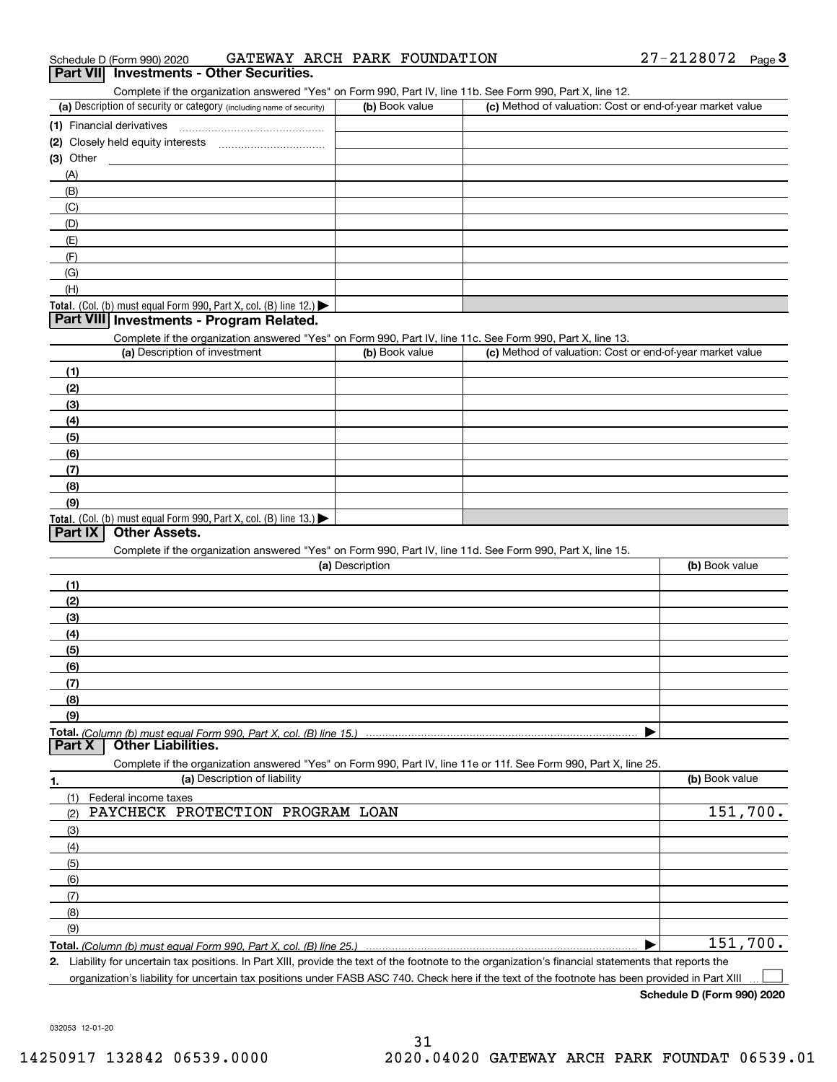| 27-2128072<br>GATEWAY ARCH PARK FOUNDATION<br>Schedule D (Form 990) 2020 | Page |  |
|--------------------------------------------------------------------------|------|--|
|--------------------------------------------------------------------------|------|--|

#### **Part VII Investments - Other Securities.**

Complete if the organization answered "Yes" on Form 990, Part IV, line 11b. See Form 990, Part X, line 12.

| (a) Description of security or category (including name of security)                   | (b) Book value | (c) Method of valuation: Cost or end-of-year market value |
|----------------------------------------------------------------------------------------|----------------|-----------------------------------------------------------|
| (1) Financial derivatives                                                              |                |                                                           |
| (2) Closely held equity interests                                                      |                |                                                           |
| $(3)$ Other                                                                            |                |                                                           |
| (A)                                                                                    |                |                                                           |
| (B)                                                                                    |                |                                                           |
| (C)                                                                                    |                |                                                           |
| (D)                                                                                    |                |                                                           |
| (E)                                                                                    |                |                                                           |
| (F)                                                                                    |                |                                                           |
| (G)                                                                                    |                |                                                           |
| (H)                                                                                    |                |                                                           |
| Total. (Col. (b) must equal Form 990, Part X, col. (B) line 12.) $\blacktriangleright$ |                |                                                           |

#### **Part VIII Investments - Program Related.**

Complete if the organization answered "Yes" on Form 990, Part IV, line 11c. See Form 990, Part X, line 13.

| (a) Description of investment                                       | (b) Book value | (c) Method of valuation: Cost or end-of-year market value |
|---------------------------------------------------------------------|----------------|-----------------------------------------------------------|
| (1)                                                                 |                |                                                           |
| (2)                                                                 |                |                                                           |
| $\frac{1}{2}$                                                       |                |                                                           |
| (4)                                                                 |                |                                                           |
| $\left(5\right)$                                                    |                |                                                           |
| (6)                                                                 |                |                                                           |
| (7)                                                                 |                |                                                           |
| (8)                                                                 |                |                                                           |
| (9)                                                                 |                |                                                           |
| Total. (Col. (b) must equal Form 990, Part X, col. (B) line $13.$ ) |                |                                                           |

#### **Part IX Other Assets.**

Complete if the organization answered "Yes" on Form 990, Part IV, line 11d. See Form 990, Part X, line 15.

| (a) Description                                                                                                   | (b) Book value |
|-------------------------------------------------------------------------------------------------------------------|----------------|
| (1)                                                                                                               |                |
| (2)                                                                                                               |                |
| $\frac{1}{2}$                                                                                                     |                |
| (4)                                                                                                               |                |
| (5)                                                                                                               |                |
| (6)                                                                                                               |                |
| (7)                                                                                                               |                |
| (8)                                                                                                               |                |
| (9)                                                                                                               |                |
|                                                                                                                   |                |
| Part X<br><b>Other Liabilities.</b>                                                                               |                |
| Complete if the organization answered "Yes" on Form 990, Part IV, line 11e or 11f. See Form 990, Part X, line 25. |                |

**1. (a)** Description of liability **Book value** Book value Book value Book value Book value **Total.**  *(Column (b) must equal Form 990, Part X, col. (B) line 25.)* (1)(2)(3)(4)(5) (6)(7)(8)(9)Federal income taxes  $\blacktriangleright$ PAYCHECK PROTECTION PROGRAM LOAN 151,700. 151,700.

**2.**Liability for uncertain tax positions. In Part XIII, provide the text of the footnote to the organization's financial statements that reports the organization's liability for uncertain tax positions under FASB ASC 740. Check here if the text of the footnote has been provided in Part XIII  $\mathcal{L}^{\text{max}}$ 

**Schedule D (Form 990) 2020**

032053 12-01-20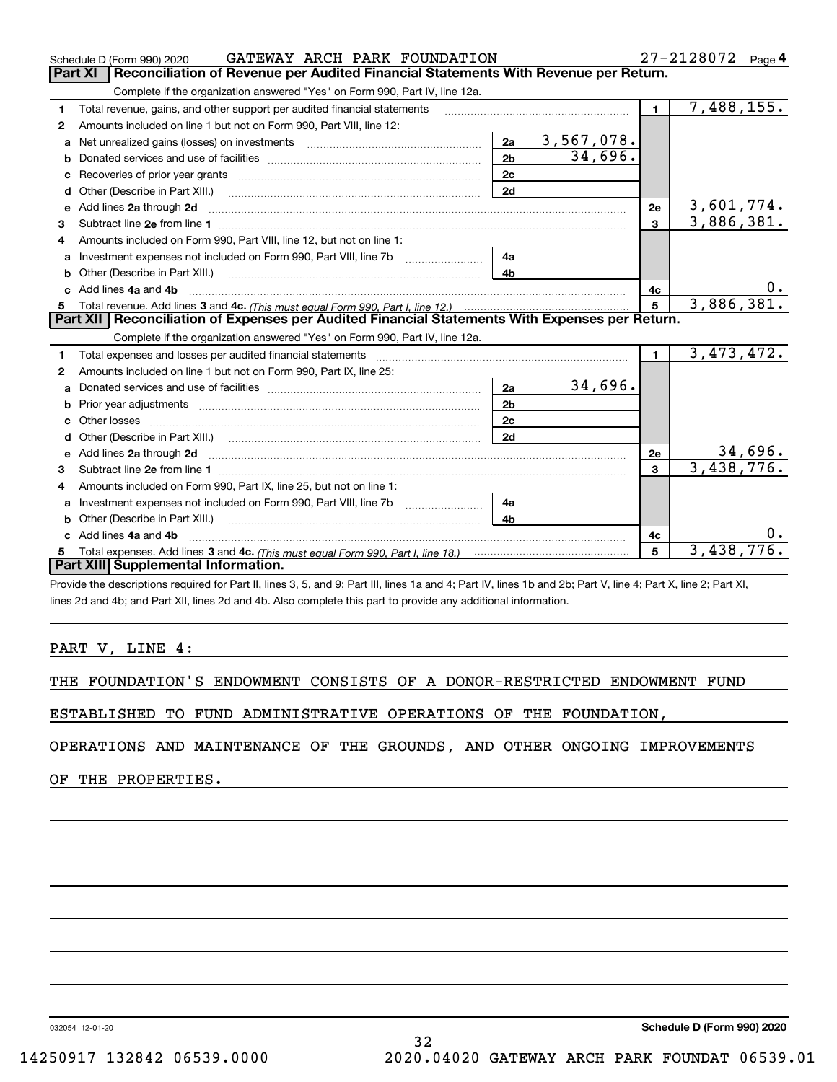|              | GATEWAY ARCH PARK FOUNDATION<br>Schedule D (Form 990) 2020                                                                                                                                                                          |                |            |                         | $27 - 2128072$ Page 4 |
|--------------|-------------------------------------------------------------------------------------------------------------------------------------------------------------------------------------------------------------------------------------|----------------|------------|-------------------------|-----------------------|
|              | Reconciliation of Revenue per Audited Financial Statements With Revenue per Return.<br>Part XI                                                                                                                                      |                |            |                         |                       |
|              | Complete if the organization answered "Yes" on Form 990, Part IV, line 12a.                                                                                                                                                         |                |            |                         |                       |
| 1            | Total revenue, gains, and other support per audited financial statements                                                                                                                                                            |                |            | $\mathbf{1}$            | 7,488,155.            |
| $\mathbf{2}$ | Amounts included on line 1 but not on Form 990, Part VIII, line 12:                                                                                                                                                                 |                |            |                         |                       |
| a            |                                                                                                                                                                                                                                     | 2a             | 3,567,078. |                         |                       |
|              |                                                                                                                                                                                                                                     | 2 <sub>b</sub> | 34,696.    |                         |                       |
| c            |                                                                                                                                                                                                                                     | 2c             |            |                         |                       |
| d            | Other (Describe in Part XIII.)                                                                                                                                                                                                      | 2d             |            |                         |                       |
|              | Add lines 2a through 2d                                                                                                                                                                                                             |                |            | 2e                      | 3,601,774.            |
| 3            |                                                                                                                                                                                                                                     |                |            | $\overline{\mathbf{3}}$ | 3,886,381.            |
| 4            | Amounts included on Form 990. Part VIII. line 12, but not on line 1:                                                                                                                                                                |                |            |                         |                       |
|              |                                                                                                                                                                                                                                     | 4a             |            |                         |                       |
| b            | Other (Describe in Part XIII.) (2000) (2000) (2000) (2010) (2010) (2010) (2010) (2010) (2010) (2010) (2010) (20                                                                                                                     | 4 <sub>b</sub> |            |                         |                       |
| c.           | Add lines 4a and 4b                                                                                                                                                                                                                 |                |            | 4c                      |                       |
|              |                                                                                                                                                                                                                                     |                |            | $5^{\circ}$             | 3,886,381.            |
|              |                                                                                                                                                                                                                                     |                |            |                         |                       |
|              | Part XII   Reconciliation of Expenses per Audited Financial Statements With Expenses per Return.                                                                                                                                    |                |            |                         |                       |
|              | Complete if the organization answered "Yes" on Form 990, Part IV, line 12a.                                                                                                                                                         |                |            |                         |                       |
| 1            | Total expenses and losses per audited financial statements [111] [12] contraction controller and contract the statements [13] [13] [13] contract expenses and losses per audited financial statements [13] [13] [13] [13] [13]      |                |            | $\blacksquare$          | 3,473,472.            |
| 2            | Amounts included on line 1 but not on Form 990, Part IX, line 25:                                                                                                                                                                   |                |            |                         |                       |
| a            |                                                                                                                                                                                                                                     | 2a             | 34,696.    |                         |                       |
|              |                                                                                                                                                                                                                                     | 2 <sub>b</sub> |            |                         |                       |
|              |                                                                                                                                                                                                                                     | 2c             |            |                         |                       |
|              |                                                                                                                                                                                                                                     | 2d             |            |                         |                       |
| e            | Add lines 2a through 2d <b>contained a contained a contained a contained a</b> contained a contained a contained a contained a contained a contained a contained a contained a contained a contained a contained a contained a cont |                |            | 2e                      | 34,696.               |
| 3            |                                                                                                                                                                                                                                     |                |            | $\mathbf{3}$            | 3,438,776.            |
| 4            | Amounts included on Form 990, Part IX, line 25, but not on line 1:                                                                                                                                                                  |                |            |                         |                       |
| a            | Investment expenses not included on Form 990, Part VIII, line 7b [1000000000000000000000000000000000                                                                                                                                | 4a             |            |                         |                       |
|              | Other (Describe in Part XIII.)                                                                                                                                                                                                      | 4b             |            |                         |                       |
|              | c Add lines 4a and 4b                                                                                                                                                                                                               |                |            | 4c                      |                       |
|              | Part XIII Supplemental Information.                                                                                                                                                                                                 |                |            | 5                       | 3,438,776.            |

Provide the descriptions required for Part II, lines 3, 5, and 9; Part III, lines 1a and 4; Part IV, lines 1b and 2b; Part V, line 4; Part X, line 2; Part XI, lines 2d and 4b; and Part XII, lines 2d and 4b. Also complete this part to provide any additional information.

#### PART V, LINE 4:

|  | THE FOUNDATION'S ENDOWMENT CONSISTS OF A DONOR-RESTRICTED ENDOWMENT FUND |  |  |  |  |  |  |  |  |  |  |
|--|--------------------------------------------------------------------------|--|--|--|--|--|--|--|--|--|--|
|--|--------------------------------------------------------------------------|--|--|--|--|--|--|--|--|--|--|

ESTABLISHED TO FUND ADMINISTRATIVE OPERATIONS OF THE FOUNDATION,

OPERATIONS AND MAINTENANCE OF THE GROUNDS, AND OTHER ONGOING IMPROVEMENTS

32

OF THE PROPERTIES.

032054 12-01-20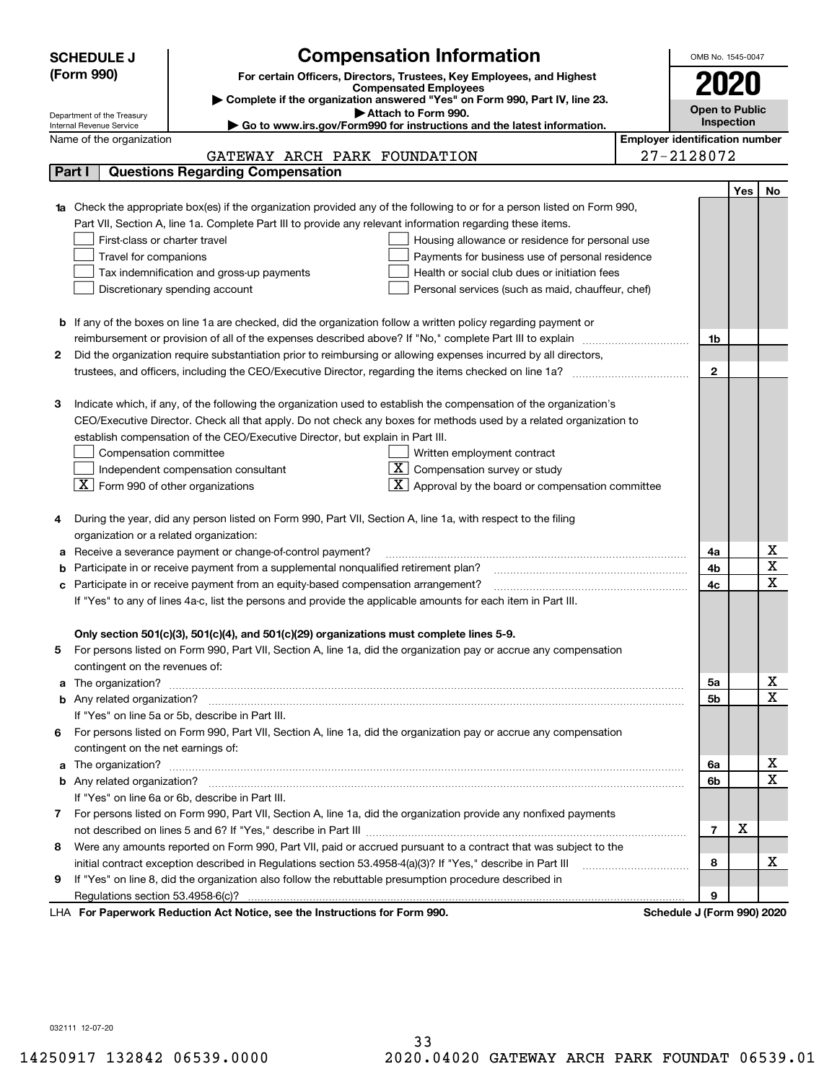|   | <b>SCHEDULE J</b>                                                                                                                                       | <b>Compensation Information</b>                                                                                                                                           |  |                                       |                            |                | OMB No. 1545-0047     |                         |  |  |
|---|---------------------------------------------------------------------------------------------------------------------------------------------------------|---------------------------------------------------------------------------------------------------------------------------------------------------------------------------|--|---------------------------------------|----------------------------|----------------|-----------------------|-------------------------|--|--|
|   | (Form 990)<br>For certain Officers, Directors, Trustees, Key Employees, and Highest                                                                     |                                                                                                                                                                           |  |                                       |                            |                |                       |                         |  |  |
|   |                                                                                                                                                         | <b>Compensated Employees</b>                                                                                                                                              |  |                                       |                            |                |                       |                         |  |  |
|   |                                                                                                                                                         | Complete if the organization answered "Yes" on Form 990, Part IV, line 23.                                                                                                |  |                                       |                            |                | <b>Open to Public</b> |                         |  |  |
|   | Attach to Form 990.<br>Department of the Treasury<br>Go to www.irs.gov/Form990 for instructions and the latest information.<br>Internal Revenue Service |                                                                                                                                                                           |  |                                       |                            |                |                       |                         |  |  |
|   | Name of the organization                                                                                                                                |                                                                                                                                                                           |  | <b>Employer identification number</b> |                            |                |                       |                         |  |  |
|   |                                                                                                                                                         | GATEWAY ARCH PARK FOUNDATION                                                                                                                                              |  |                                       | 27-2128072                 |                |                       |                         |  |  |
|   | <b>Questions Regarding Compensation</b><br>Part I                                                                                                       |                                                                                                                                                                           |  |                                       |                            |                |                       |                         |  |  |
|   |                                                                                                                                                         |                                                                                                                                                                           |  |                                       |                            |                | Yes                   | No                      |  |  |
|   |                                                                                                                                                         | 1a Check the appropriate box(es) if the organization provided any of the following to or for a person listed on Form 990,                                                 |  |                                       |                            |                |                       |                         |  |  |
|   |                                                                                                                                                         | Part VII, Section A, line 1a. Complete Part III to provide any relevant information regarding these items.                                                                |  |                                       |                            |                |                       |                         |  |  |
|   | First-class or charter travel                                                                                                                           | Housing allowance or residence for personal use                                                                                                                           |  |                                       |                            |                |                       |                         |  |  |
|   | Travel for companions                                                                                                                                   | Payments for business use of personal residence                                                                                                                           |  |                                       |                            |                |                       |                         |  |  |
|   |                                                                                                                                                         | Tax indemnification and gross-up payments<br>Health or social club dues or initiation fees                                                                                |  |                                       |                            |                |                       |                         |  |  |
|   |                                                                                                                                                         | Discretionary spending account<br>Personal services (such as maid, chauffeur, chef)                                                                                       |  |                                       |                            |                |                       |                         |  |  |
|   |                                                                                                                                                         |                                                                                                                                                                           |  |                                       |                            |                |                       |                         |  |  |
|   |                                                                                                                                                         | <b>b</b> If any of the boxes on line 1a are checked, did the organization follow a written policy regarding payment or                                                    |  |                                       |                            |                |                       |                         |  |  |
|   |                                                                                                                                                         | reimbursement or provision of all of the expenses described above? If "No," complete Part III to explain                                                                  |  |                                       |                            | 1b             |                       |                         |  |  |
| 2 |                                                                                                                                                         | Did the organization require substantiation prior to reimbursing or allowing expenses incurred by all directors,                                                          |  |                                       |                            |                |                       |                         |  |  |
|   |                                                                                                                                                         |                                                                                                                                                                           |  |                                       |                            | $\mathbf{2}$   |                       |                         |  |  |
|   |                                                                                                                                                         |                                                                                                                                                                           |  |                                       |                            |                |                       |                         |  |  |
| З |                                                                                                                                                         | Indicate which, if any, of the following the organization used to establish the compensation of the organization's                                                        |  |                                       |                            |                |                       |                         |  |  |
|   |                                                                                                                                                         | CEO/Executive Director. Check all that apply. Do not check any boxes for methods used by a related organization to                                                        |  |                                       |                            |                |                       |                         |  |  |
|   |                                                                                                                                                         | establish compensation of the CEO/Executive Director, but explain in Part III.                                                                                            |  |                                       |                            |                |                       |                         |  |  |
|   | Compensation committee                                                                                                                                  | Written employment contract                                                                                                                                               |  |                                       |                            |                |                       |                         |  |  |
|   |                                                                                                                                                         | $X$ Compensation survey or study<br>Independent compensation consultant                                                                                                   |  |                                       |                            |                |                       |                         |  |  |
|   | $\lfloor$ X Form 990 of other organizations                                                                                                             | $\mathbf{X}$ Approval by the board or compensation committee                                                                                                              |  |                                       |                            |                |                       |                         |  |  |
|   |                                                                                                                                                         |                                                                                                                                                                           |  |                                       |                            |                |                       |                         |  |  |
|   |                                                                                                                                                         | During the year, did any person listed on Form 990, Part VII, Section A, line 1a, with respect to the filing                                                              |  |                                       |                            |                |                       |                         |  |  |
|   | organization or a related organization:                                                                                                                 |                                                                                                                                                                           |  |                                       |                            |                |                       | x                       |  |  |
|   |                                                                                                                                                         | a Receive a severance payment or change-of-control payment?                                                                                                               |  |                                       |                            | 4a<br>4b       |                       | $\overline{\mathbf{x}}$ |  |  |
|   |                                                                                                                                                         | Participate in or receive payment from a supplemental nonqualified retirement plan?<br>c Participate in or receive payment from an equity-based compensation arrangement? |  |                                       |                            | 4c             |                       | $\overline{\mathbf{x}}$ |  |  |
|   |                                                                                                                                                         | If "Yes" to any of lines 4a-c, list the persons and provide the applicable amounts for each item in Part III.                                                             |  |                                       |                            |                |                       |                         |  |  |
|   |                                                                                                                                                         |                                                                                                                                                                           |  |                                       |                            |                |                       |                         |  |  |
|   |                                                                                                                                                         | Only section 501(c)(3), 501(c)(4), and 501(c)(29) organizations must complete lines 5-9.                                                                                  |  |                                       |                            |                |                       |                         |  |  |
| 5 |                                                                                                                                                         | For persons listed on Form 990, Part VII, Section A, line 1a, did the organization pay or accrue any compensation                                                         |  |                                       |                            |                |                       |                         |  |  |
|   | contingent on the revenues of:                                                                                                                          |                                                                                                                                                                           |  |                                       |                            |                |                       |                         |  |  |
|   |                                                                                                                                                         | a The organization? <b>Manual Community Community</b> Community Community Community Community Community Community Community                                               |  |                                       |                            | 5a             |                       | x                       |  |  |
|   |                                                                                                                                                         |                                                                                                                                                                           |  |                                       |                            | 5b             |                       | $\overline{\mathbf{x}}$ |  |  |
|   |                                                                                                                                                         | If "Yes" on line 5a or 5b, describe in Part III.                                                                                                                          |  |                                       |                            |                |                       |                         |  |  |
|   |                                                                                                                                                         | 6 For persons listed on Form 990, Part VII, Section A, line 1a, did the organization pay or accrue any compensation                                                       |  |                                       |                            |                |                       |                         |  |  |
|   | contingent on the net earnings of:                                                                                                                      |                                                                                                                                                                           |  |                                       |                            |                |                       |                         |  |  |
|   |                                                                                                                                                         |                                                                                                                                                                           |  |                                       |                            | 6a             |                       | х                       |  |  |
|   |                                                                                                                                                         |                                                                                                                                                                           |  |                                       |                            | 6b             |                       | $\overline{\mathbf{x}}$ |  |  |
|   |                                                                                                                                                         | If "Yes" on line 6a or 6b, describe in Part III.                                                                                                                          |  |                                       |                            |                |                       |                         |  |  |
|   |                                                                                                                                                         | 7 For persons listed on Form 990, Part VII, Section A, line 1a, did the organization provide any nonfixed payments                                                        |  |                                       |                            |                |                       |                         |  |  |
|   |                                                                                                                                                         |                                                                                                                                                                           |  |                                       |                            | $\overline{7}$ | X                     |                         |  |  |
| 8 |                                                                                                                                                         | Were any amounts reported on Form 990, Part VII, paid or accrued pursuant to a contract that was subject to the                                                           |  |                                       |                            |                |                       |                         |  |  |
|   |                                                                                                                                                         | initial contract exception described in Regulations section 53.4958-4(a)(3)? If "Yes," describe in Part III                                                               |  |                                       |                            | 8              |                       | x                       |  |  |
| 9 |                                                                                                                                                         | If "Yes" on line 8, did the organization also follow the rebuttable presumption procedure described in                                                                    |  |                                       |                            |                |                       |                         |  |  |
|   |                                                                                                                                                         |                                                                                                                                                                           |  |                                       |                            | 9              |                       |                         |  |  |
|   |                                                                                                                                                         | expects Reduction Act Notice, see the Instructions for Ferm 000                                                                                                           |  |                                       | Pohodulo I (Form 000) 2020 |                |                       |                         |  |  |

LHA For Paperwork Reduction Act Notice, see the Instructions for Form 990. Schedule J (Form 990) 2020

032111 12-07-20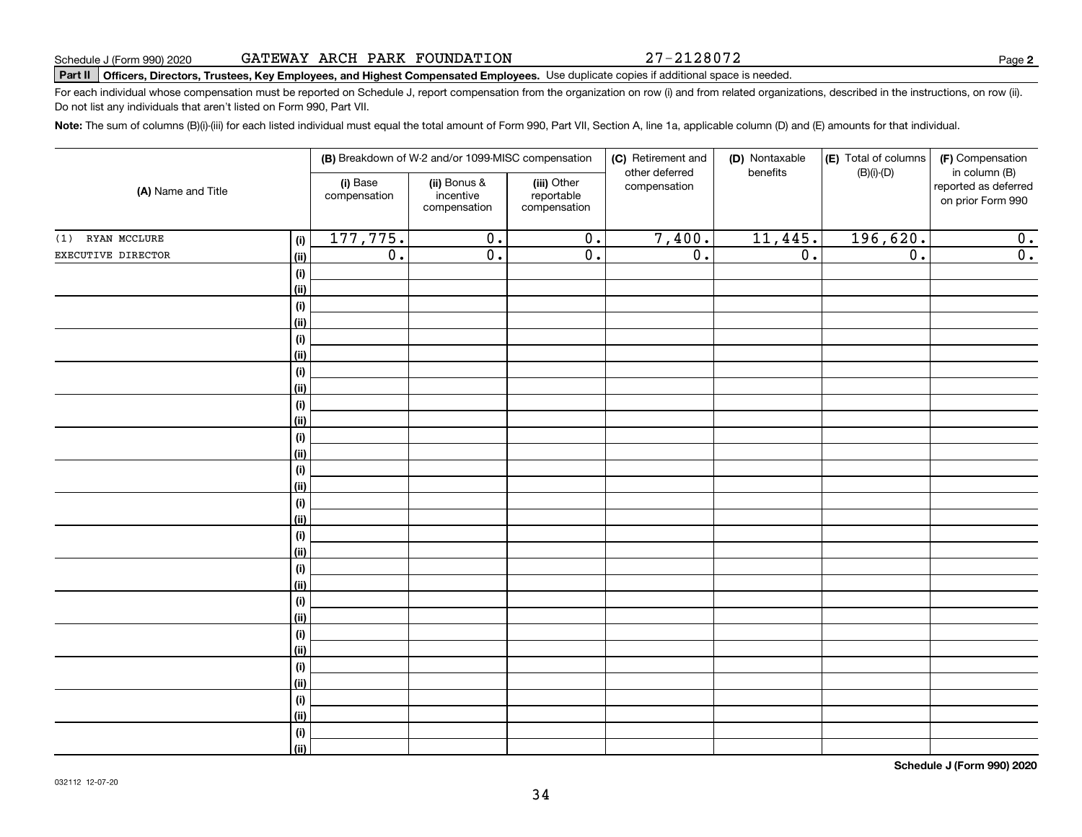27-2128072

## Schedule J (Form 990) 2020 GA'I'EWAY AKCH PAKK F'OUNDA'I'⊥ON Page<br>Part Ⅱ │Officers, Directors, Trustees, Key Employees, and Highest Compensated Employees. Use duplicate copies if additi

For each individual whose compensation must be reported on Schedule J, report compensation from the organization on row (i) and from related organizations, described in the instructions, on row (ii). Do not list any individuals that aren't listed on Form 990, Part VII.

**Note:**  The sum of columns (B)(i)-(iii) for each listed individual must equal the total amount of Form 990, Part VII, Section A, line 1a, applicable column (D) and (E) amounts for that individual.

| (A) Name and Title |                | (B) Breakdown of W-2 and/or 1099-MISC compensation |                                           |                                           | (C) Retirement and<br>other deferred | (D) Nontaxable<br>benefits | (E) Total of columns<br>$(B)(i)-(D)$ | (F) Compensation<br>in column (B)         |
|--------------------|----------------|----------------------------------------------------|-------------------------------------------|-------------------------------------------|--------------------------------------|----------------------------|--------------------------------------|-------------------------------------------|
|                    |                | (i) Base<br>compensation                           | (ii) Bonus &<br>incentive<br>compensation | (iii) Other<br>reportable<br>compensation | compensation                         |                            |                                      | reported as deferred<br>on prior Form 990 |
| (1) RYAN MCCLURE   | (i)            | 177,775.                                           | $\overline{0}$ .                          | $\overline{0}$ .                          | 7,400.                               | 11,445.                    | 196,620.                             | 0.                                        |
| EXECUTIVE DIRECTOR | (ii)           | $\overline{0}$ .                                   | $\overline{0}$ .                          | $\overline{0}$ .                          | $\overline{0}$ .                     | $\overline{0}$ .           | $\overline{0}$ .                     | $\overline{0}$ .                          |
|                    | (i)            |                                                    |                                           |                                           |                                      |                            |                                      |                                           |
|                    | <u>(ii)</u>    |                                                    |                                           |                                           |                                      |                            |                                      |                                           |
|                    | (i)            |                                                    |                                           |                                           |                                      |                            |                                      |                                           |
|                    | <u>(ii)</u>    |                                                    |                                           |                                           |                                      |                            |                                      |                                           |
|                    | (i)            |                                                    |                                           |                                           |                                      |                            |                                      |                                           |
|                    | <u>(ii)</u>    |                                                    |                                           |                                           |                                      |                            |                                      |                                           |
|                    | (i)            |                                                    |                                           |                                           |                                      |                            |                                      |                                           |
|                    | <u>(ii)</u>    |                                                    |                                           |                                           |                                      |                            |                                      |                                           |
|                    | (i)            |                                                    |                                           |                                           |                                      |                            |                                      |                                           |
|                    | <u>(ii)</u>    |                                                    |                                           |                                           |                                      |                            |                                      |                                           |
|                    | $(\sf{i})$     |                                                    |                                           |                                           |                                      |                            |                                      |                                           |
|                    | (ii)           |                                                    |                                           |                                           |                                      |                            |                                      |                                           |
|                    | (i)<br>(ii)    |                                                    |                                           |                                           |                                      |                            |                                      |                                           |
|                    | (i)            |                                                    |                                           |                                           |                                      |                            |                                      |                                           |
|                    | (ii)           |                                                    |                                           |                                           |                                      |                            |                                      |                                           |
|                    | (i)            |                                                    |                                           |                                           |                                      |                            |                                      |                                           |
|                    | (ii)           |                                                    |                                           |                                           |                                      |                            |                                      |                                           |
|                    | (i)            |                                                    |                                           |                                           |                                      |                            |                                      |                                           |
|                    | <u>(ii)</u>    |                                                    |                                           |                                           |                                      |                            |                                      |                                           |
|                    | (i)            |                                                    |                                           |                                           |                                      |                            |                                      |                                           |
|                    | <u>(ii)</u>    |                                                    |                                           |                                           |                                      |                            |                                      |                                           |
|                    | (i)            |                                                    |                                           |                                           |                                      |                            |                                      |                                           |
|                    | <u>(ii)</u>    |                                                    |                                           |                                           |                                      |                            |                                      |                                           |
|                    | (i)            |                                                    |                                           |                                           |                                      |                            |                                      |                                           |
|                    | (ii)           |                                                    |                                           |                                           |                                      |                            |                                      |                                           |
|                    | (i)            |                                                    |                                           |                                           |                                      |                            |                                      |                                           |
|                    | <u>(ii)</u>    |                                                    |                                           |                                           |                                      |                            |                                      |                                           |
|                    | (i)            |                                                    |                                           |                                           |                                      |                            |                                      |                                           |
|                    | $\overline{}}$ |                                                    |                                           |                                           |                                      |                            |                                      |                                           |

**Schedule J (Form 990) 2020**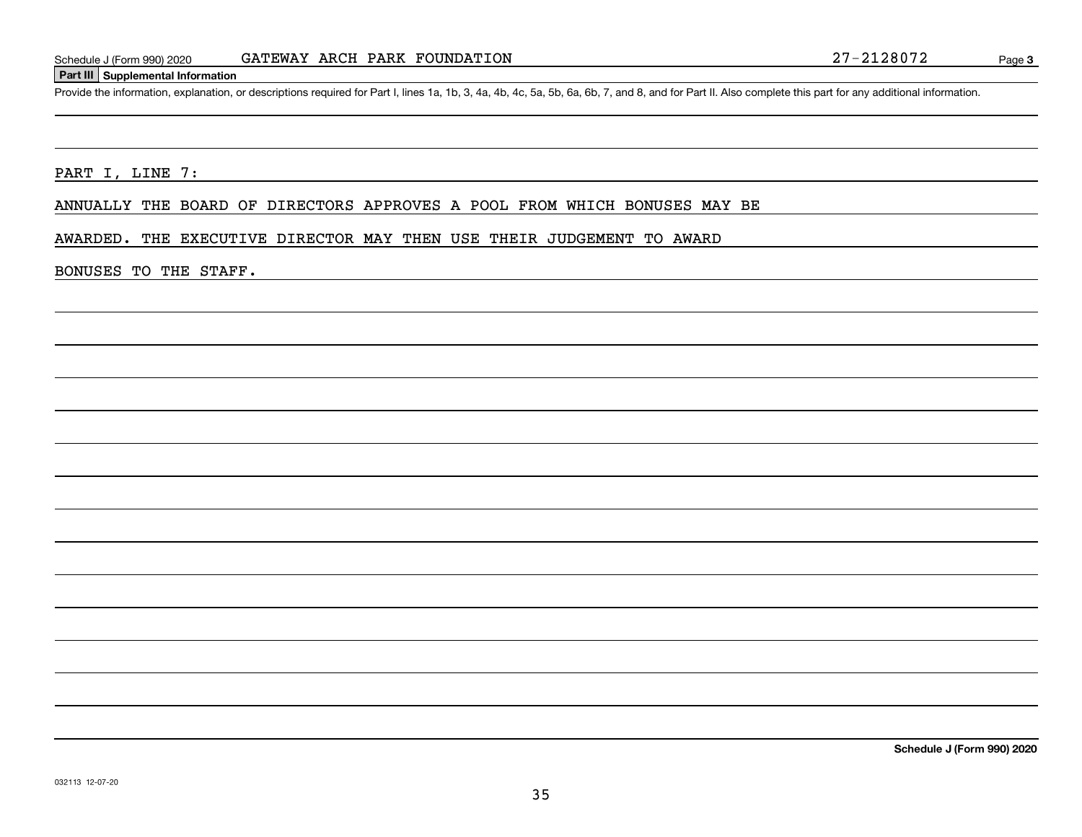#### **Part III Supplemental Information**

Schedule J (Form 990) 2020 GATEWAY ARCH PARK FOUNDATION<br>Part III Supplemental Information<br>Provide the information, explanation, or descriptions required for Part I, lines 1a, 1b, 3, 4a, 4b, 4c, 5a, 5b, 6a, 6b, 7, and 8, an

PART I, LINE 7:

ANNUALLY THE BOARD OF DIRECTORS APPROVES A POOL FROM WHICH BONUSES MAY BE

AWARDED. THE EXECUTIVE DIRECTOR MAY THEN USE THEIR JUDGEMENT TO AWARD

BONUSES TO THE STAFF.

**Schedule J (Form 990) 2020**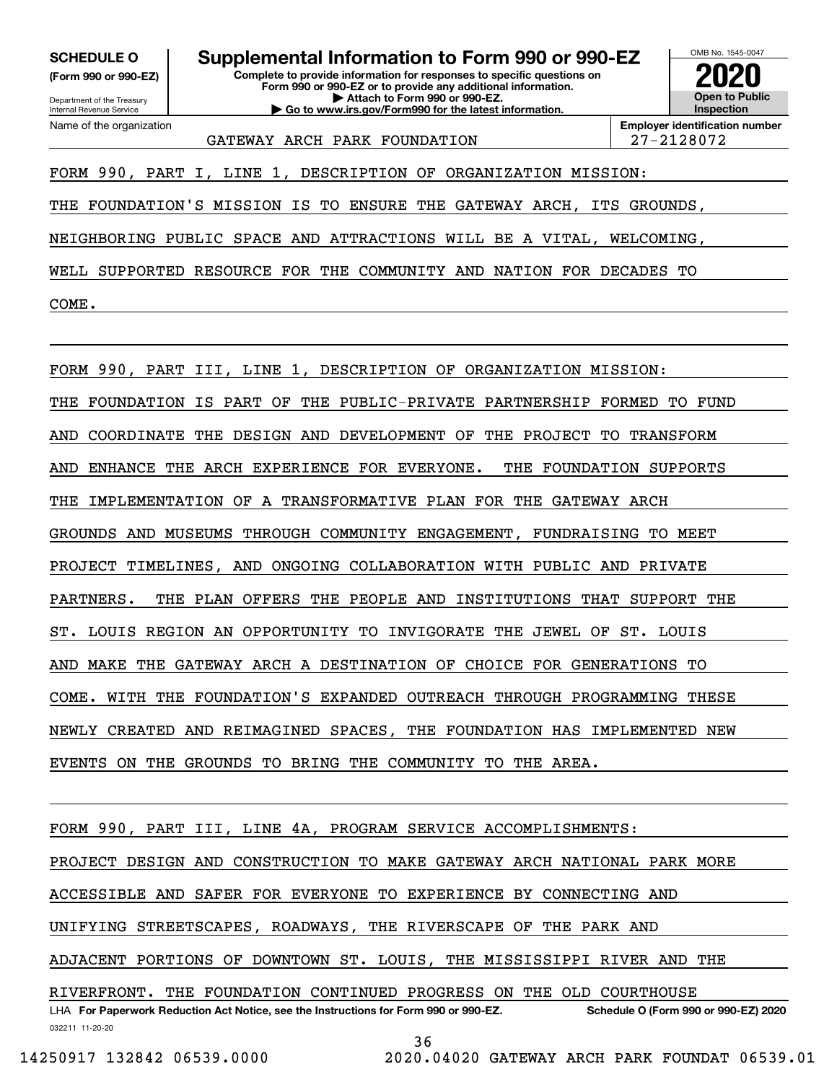**(Form 990 or 990-EZ)**

Department of the Treasury Internal Revenue Service Name of the organization

**Complete to provide information for responses to specific questions on SCHEDULE O Supplemental Information to Form 990 or 990-EZ**

**Form 990 or 990-EZ or to provide any additional information. | Attach to Form 990 or 990-EZ. | Go to www.irs.gov/Form990 for the latest information.**



GATEWAY ARCH PARK FOUNDATION  $\vert$  27-2128072

**Employer identification number**

FORM 990, PART I, LINE 1, DESCRIPTION OF ORGANIZATION MISSION:

THE FOUNDATION'S MISSION IS TO ENSURE THE GATEWAY ARCH, ITS GROUNDS,

NEIGHBORING PUBLIC SPACE AND ATTRACTIONS WILL BE A VITAL, WELCOMING,

WELL SUPPORTED RESOURCE FOR THE COMMUNITY AND NATION FOR DECADES TO COME.

FORM 990, PART III, LINE 1, DESCRIPTION OF ORGANIZATION MISSION: THE FOUNDATION IS PART OF THE PUBLIC-PRIVATE PARTNERSHIP FORMED TO FUND AND COORDINATE THE DESIGN AND DEVELOPMENT OF THE PROJECT TO TRANSFORM AND ENHANCE THE ARCH EXPERIENCE FOR EVERYONE. THE FOUNDATION SUPPORTS THE IMPLEMENTATION OF A TRANSFORMATIVE PLAN FOR THE GATEWAY ARCH GROUNDS AND MUSEUMS THROUGH COMMUNITY ENGAGEMENT, FUNDRAISING TO MEET PROJECT TIMELINES, AND ONGOING COLLABORATION WITH PUBLIC AND PRIVATE PARTNERS. THE PLAN OFFERS THE PEOPLE AND INSTITUTIONS THAT SUPPORT THE ST. LOUIS REGION AN OPPORTUNITY TO INVIGORATE THE JEWEL OF ST. LOUIS AND MAKE THE GATEWAY ARCH A DESTINATION OF CHOICE FOR GENERATIONS TO COME. WITH THE FOUNDATION'S EXPANDED OUTREACH THROUGH PROGRAMMING THESE NEWLY CREATED AND REIMAGINED SPACES, THE FOUNDATION HAS IMPLEMENTED NEW EVENTS ON THE GROUNDS TO BRING THE COMMUNITY TO THE AREA.

FORM 990, PART III, LINE 4A, PROGRAM SERVICE ACCOMPLISHMENTS:

PROJECT DESIGN AND CONSTRUCTION TO MAKE GATEWAY ARCH NATIONAL PARK MORE

ACCESSIBLE AND SAFER FOR EVERYONE TO EXPERIENCE BY CONNECTING AND

UNIFYING STREETSCAPES, ROADWAYS, THE RIVERSCAPE OF THE PARK AND

ADJACENT PORTIONS OF DOWNTOWN ST. LOUIS, THE MISSISSIPPI RIVER AND THE

RIVERFRONT. THE FOUNDATION CONTINUED PROGRESS ON THE OLD COURTHOUSE

032211 11-20-20 LHA For Paperwork Reduction Act Notice, see the Instructions for Form 990 or 990-EZ. Schedule O (Form 990 or 990-EZ) 2020 36

14250917 132842 06539.0000 2020.04020 GATEWAY ARCH PARK FOUNDAT 06539.01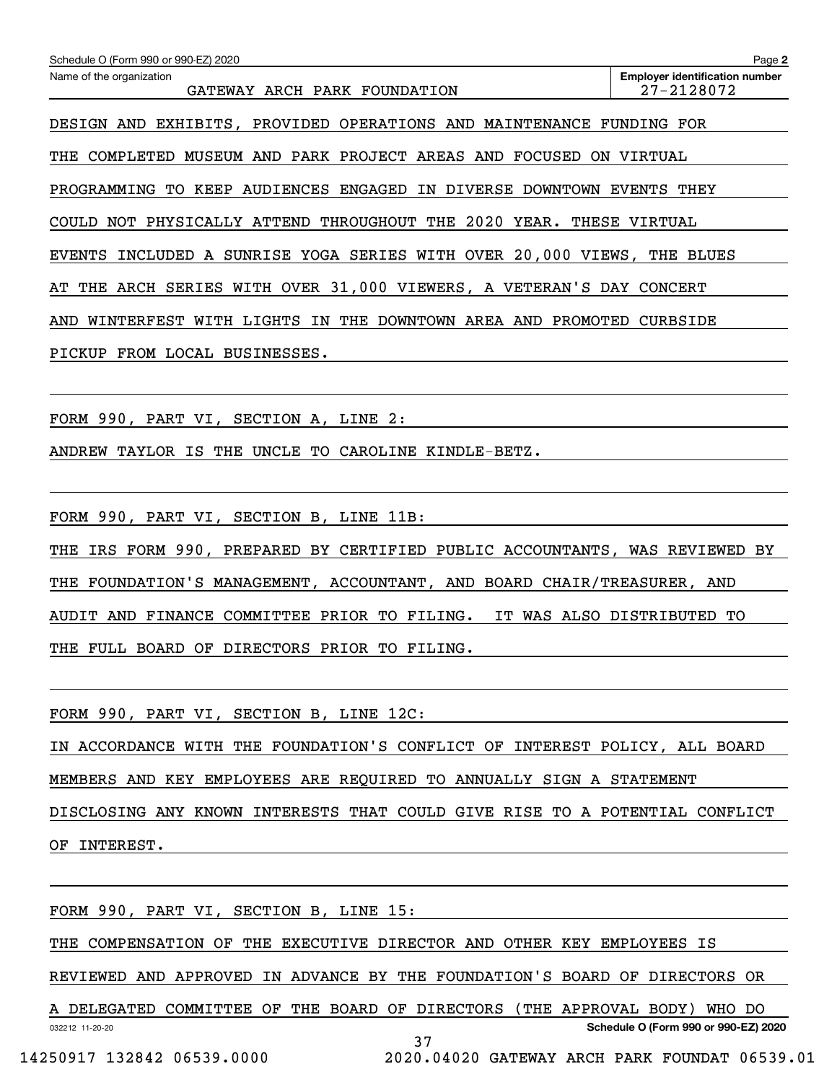| Schedule O (Form 990 or 990-EZ) 2020                                              | Page 2                                                              |  |  |  |  |  |  |  |  |
|-----------------------------------------------------------------------------------|---------------------------------------------------------------------|--|--|--|--|--|--|--|--|
| Name of the organization<br>GATEWAY ARCH PARK FOUNDATION                          | <b>Employer identification number</b><br>27-2128072                 |  |  |  |  |  |  |  |  |
| DESIGN AND EXHIBITS, PROVIDED OPERATIONS AND MAINTENANCE FUNDING FOR              |                                                                     |  |  |  |  |  |  |  |  |
| COMPLETED MUSEUM AND PARK PROJECT AREAS AND FOCUSED<br>THE                        | ON VIRTUAL                                                          |  |  |  |  |  |  |  |  |
| PROGRAMMING TO KEEP AUDIENCES ENGAGED IN DIVERSE DOWNTOWN EVENTS THEY             |                                                                     |  |  |  |  |  |  |  |  |
|                                                                                   | COULD NOT PHYSICALLY ATTEND THROUGHOUT THE 2020 YEAR. THESE VIRTUAL |  |  |  |  |  |  |  |  |
| <b>EVENTS</b><br>INCLUDED A SUNRISE YOGA SERIES WITH OVER 20,000 VIEWS, THE BLUES |                                                                     |  |  |  |  |  |  |  |  |
| THE ARCH SERIES WITH OVER 31,000 VIEWERS, A VETERAN'S DAY CONCERT<br>AТ           |                                                                     |  |  |  |  |  |  |  |  |
| WINTERFEST WITH LIGHTS IN THE DOWNTOWN AREA AND PROMOTED CURBSIDE<br>AND          |                                                                     |  |  |  |  |  |  |  |  |
| PICKUP FROM LOCAL BUSINESSES.                                                     |                                                                     |  |  |  |  |  |  |  |  |
|                                                                                   |                                                                     |  |  |  |  |  |  |  |  |
| FORM 990, PART VI, SECTION A, LINE 2:                                             |                                                                     |  |  |  |  |  |  |  |  |
| ANDREW TAYLOR IS THE UNCLE TO CAROLINE KINDLE-BETZ.                               |                                                                     |  |  |  |  |  |  |  |  |
|                                                                                   |                                                                     |  |  |  |  |  |  |  |  |
| FORM 990, PART VI, SECTION B, LINE 11B:                                           |                                                                     |  |  |  |  |  |  |  |  |
| IRS FORM 990, PREPARED BY CERTIFIED PUBLIC ACCOUNTANTS, WAS REVIEWED BY<br>THE    |                                                                     |  |  |  |  |  |  |  |  |
| FOUNDATION'S MANAGEMENT, ACCOUNTANT, AND BOARD CHAIR/TREASURER, AND<br>THE        |                                                                     |  |  |  |  |  |  |  |  |
| AUDIT AND FINANCE COMMITTEE PRIOR TO FILING.                                      | IT WAS ALSO DISTRIBUTED TO                                          |  |  |  |  |  |  |  |  |
| THE FULL BOARD OF DIRECTORS PRIOR TO FILING.                                      |                                                                     |  |  |  |  |  |  |  |  |
|                                                                                   |                                                                     |  |  |  |  |  |  |  |  |
| FORM 990, PART VI, SECTION B, LINE 12C:                                           |                                                                     |  |  |  |  |  |  |  |  |
| IN ACCORDANCE WITH THE FOUNDATION'S CONFLICT OF INTEREST POLICY, ALL BOARD        |                                                                     |  |  |  |  |  |  |  |  |
| MEMBERS AND KEY EMPLOYEES ARE REQUIRED TO ANNUALLY SIGN A STATEMENT               |                                                                     |  |  |  |  |  |  |  |  |
| DISCLOSING ANY KNOWN INTERESTS THAT COULD GIVE RISE TO A POTENTIAL CONFLICT       |                                                                     |  |  |  |  |  |  |  |  |
| OF INTEREST.                                                                      |                                                                     |  |  |  |  |  |  |  |  |
|                                                                                   |                                                                     |  |  |  |  |  |  |  |  |
|                                                                                   |                                                                     |  |  |  |  |  |  |  |  |

THE COMPENSATION OF THE EXECUTIVE DIRECTOR AND OTHER KEY EMPLOYEES IS

REVIEWED AND APPROVED IN ADVANCE BY THE FOUNDATION'S BOARD OF DIRECTORS OR

032212 11-20-20 **Schedule O (Form 990 or 990-EZ) 2020** A DELEGATED COMMITTEE OF THE BOARD OF DIRECTORS (THE APPROVAL BODY) WHO DO 37

FORM 990, PART VI, SECTION B, LINE 15:

14250917 132842 06539.0000 2020.04020 GATEWAY ARCH PARK FOUNDAT 06539.01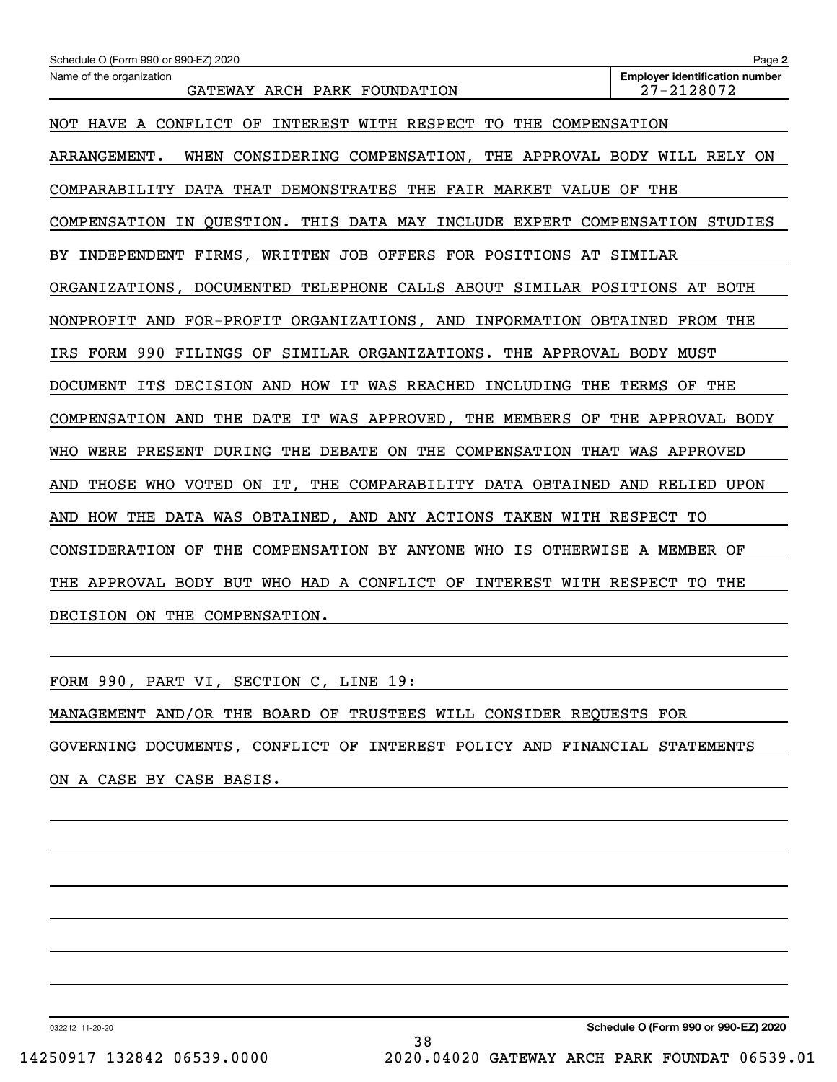| Schedule O (Form 990 or 990-EZ) 2020                                           | Page 2                                              |
|--------------------------------------------------------------------------------|-----------------------------------------------------|
| Name of the organization<br>GATEWAY ARCH PARK FOUNDATION                       | <b>Employer identification number</b><br>27-2128072 |
| NOT HAVE A CONFLICT OF INTEREST WITH RESPECT TO THE COMPENSATION               |                                                     |
| WHEN CONSIDERING COMPENSATION, THE APPROVAL BODY WILL RELY ON<br>ARRANGEMENT.  |                                                     |
| COMPARABILITY DATA THAT DEMONSTRATES THE FAIR MARKET VALUE OF THE              |                                                     |
| COMPENSATION IN QUESTION. THIS DATA MAY INCLUDE EXPERT COMPENSATION STUDIES    |                                                     |
| BY INDEPENDENT FIRMS, WRITTEN JOB OFFERS FOR POSITIONS AT SIMILAR              |                                                     |
| ORGANIZATIONS, DOCUMENTED TELEPHONE CALLS ABOUT SIMILAR POSITIONS AT BOTH      |                                                     |
| NONPROFIT AND FOR-PROFIT ORGANIZATIONS, AND INFORMATION OBTAINED FROM THE      |                                                     |
| IRS FORM 990 FILINGS OF SIMILAR ORGANIZATIONS. THE APPROVAL BODY MUST          |                                                     |
| ITS<br>DECISION AND HOW IT WAS REACHED<br>INCLUDING THE<br>DOCUMENT            | TERMS OF<br>THE                                     |
| COMPENSATION AND<br>THE DATE IT WAS APPROVED, THE MEMBERS OF THE APPROVAL BODY |                                                     |
| WERE PRESENT DURING THE DEBATE ON THE COMPENSATION THAT WAS APPROVED<br>WHO    |                                                     |
| THOSE WHO VOTED ON IT, THE COMPARABILITY DATA OBTAINED AND RELIED UPON<br>AND  |                                                     |
| AND HOW THE DATA WAS OBTAINED, AND ANY ACTIONS TAKEN WITH RESPECT TO           |                                                     |
| CONSIDERATION OF THE COMPENSATION BY ANYONE WHO IS OTHERWISE A MEMBER OF       |                                                     |
| THE APPROVAL BODY BUT WHO HAD A CONFLICT OF INTEREST WITH RESPECT TO THE       |                                                     |
| DECISION ON THE COMPENSATION.                                                  |                                                     |

FORM 990, PART VI, SECTION C, LINE 19:

MANAGEMENT AND/OR THE BOARD OF TRUSTEES WILL CONSIDER REQUESTS FOR GOVERNING DOCUMENTS, CONFLICT OF INTEREST POLICY AND FINANCIAL STATEMENTS ON A CASE BY CASE BASIS.

032212 11-20-20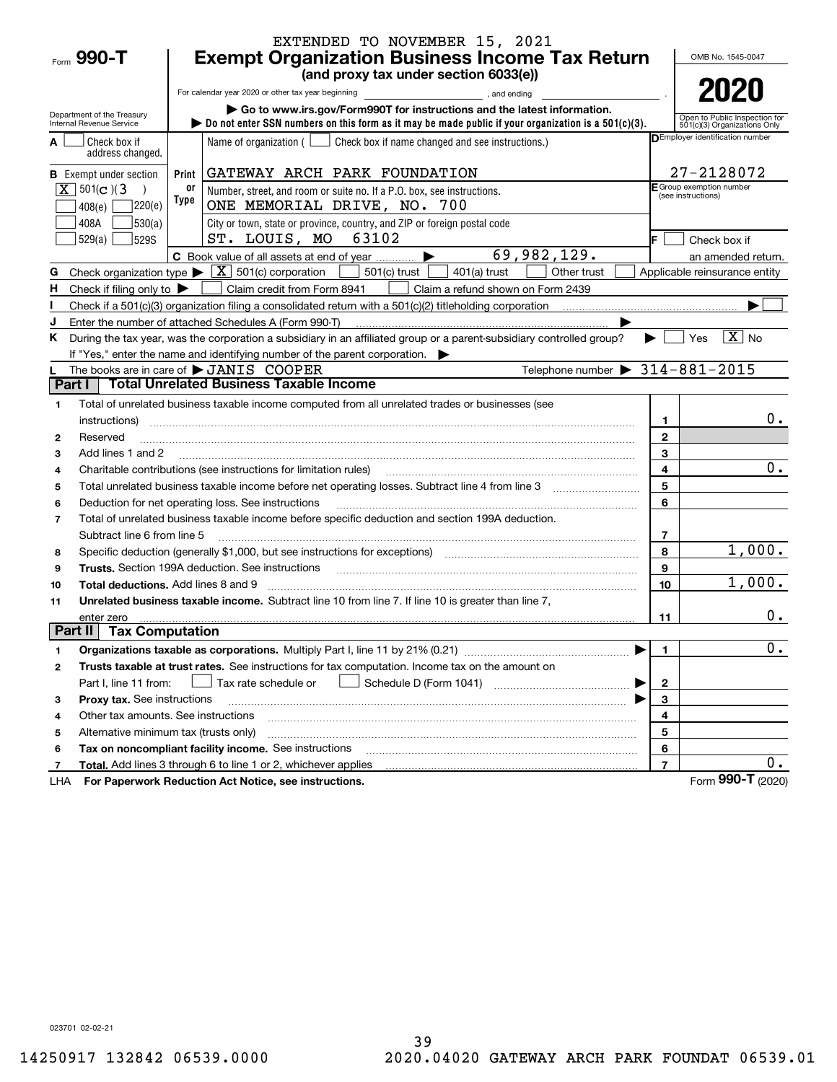|                |                                                        |       | EXTENDED TO NOVEMBER 15, 2021                                                                                                                                                     |                |                                                               |
|----------------|--------------------------------------------------------|-------|-----------------------------------------------------------------------------------------------------------------------------------------------------------------------------------|----------------|---------------------------------------------------------------|
|                | Form $990 - T$                                         |       | <b>Exempt Organization Business Income Tax Return</b>                                                                                                                             |                | OMB No. 1545-0047                                             |
|                |                                                        |       | (and proxy tax under section 6033(e))                                                                                                                                             |                |                                                               |
|                |                                                        |       | For calendar year 2020 or other tax year beginning<br>and ending                                                                                                                  |                | 2020                                                          |
|                | Department of the Treasury<br>Internal Revenue Service |       | Go to www.irs.gov/Form990T for instructions and the latest information.<br>bo not enter SSN numbers on this form as it may be made public if your organization is a $501(c)(3)$ . |                | Open to Public Inspection for<br>501(c)(3) Organizations Only |
|                | Check box if<br>address changed.                       |       | Name of organization ( $\Box$ Check box if name changed and see instructions.)                                                                                                    |                | DEmployer identification number                               |
|                | <b>B</b> Exempt under section                          | Print | GATEWAY ARCH PARK FOUNDATION                                                                                                                                                      |                | 27-2128072                                                    |
|                | $\boxed{\mathbf{X}}$ 501(c)(3                          | 0ľ    | Number, street, and room or suite no. If a P.O. box, see instructions.                                                                                                            |                | F Group exemption number<br>(see instructions)                |
|                | 220(e)<br>408(e)                                       | Type  | ONE MEMORIAL DRIVE, NO. 700                                                                                                                                                       |                |                                                               |
|                | 408A<br>530(a)                                         |       | City or town, state or province, country, and ZIP or foreign postal code                                                                                                          |                |                                                               |
|                | 529(a)<br>529S                                         |       | ST. LOUIS, MO 63102                                                                                                                                                               | lE.            | Check box if                                                  |
|                |                                                        |       | 69,982,129.<br>C Book value of all assets at end of year                                                                                                                          |                | an amended return.                                            |
| G              | Check organization type $\blacktriangleright$          |       | $\boxed{\textbf{X}}$ 501(c) corporation<br>$501(c)$ trust<br>$401(a)$ trust<br>Other trust                                                                                        |                | Applicable reinsurance entity                                 |
| н.             | Check if filing only to $\blacktriangleright$          |       | Claim credit from Form 8941<br>Claim a refund shown on Form 2439                                                                                                                  |                |                                                               |
|                |                                                        |       |                                                                                                                                                                                   |                |                                                               |
| J              |                                                        |       | Enter the number of attached Schedules A (Form 990-T)                                                                                                                             |                |                                                               |
| Κ              |                                                        |       | During the tax year, was the corporation a subsidiary in an affiliated group or a parent-subsidiary controlled group?                                                             |                | $\boxed{\text{X}}$ No<br>Yes                                  |
|                |                                                        |       | If "Yes," enter the name and identifying number of the parent corporation.                                                                                                        |                |                                                               |
|                |                                                        |       | Telephone number $\triangleright$ 314-881-2015<br>The books are in care of $\blacktriangleright$ JANIS COOPER<br><b>Total Unrelated Business Taxable Income</b>                   |                |                                                               |
| Part I         |                                                        |       |                                                                                                                                                                                   |                |                                                               |
| 1              |                                                        |       | Total of unrelated business taxable income computed from all unrelated trades or businesses (see                                                                                  |                |                                                               |
|                | instructions)                                          |       |                                                                                                                                                                                   | 1              | $0$ .                                                         |
| $\mathbf{2}$   | Reserved                                               |       |                                                                                                                                                                                   | $\mathbf{2}$   |                                                               |
| 3              | Add lines 1 and 2                                      |       |                                                                                                                                                                                   | 3              | 0.                                                            |
| 4              |                                                        |       | Charitable contributions (see instructions for limitation rules)                                                                                                                  | 4<br>5         |                                                               |
| 5              |                                                        |       |                                                                                                                                                                                   | 6              |                                                               |
| 6              |                                                        |       | Deduction for net operating loss. See instructions                                                                                                                                |                |                                                               |
| $\overline{7}$ | Subtract line 6 from line 5                            |       | Total of unrelated business taxable income before specific deduction and section 199A deduction.                                                                                  | 7              |                                                               |
| 8              |                                                        |       | Specific deduction (generally \$1,000, but see instructions for exceptions) manufactions and the substitution of                                                                  | 8              | 1,000.                                                        |
| 9              |                                                        |       | Trusts. Section 199A deduction. See instructions                                                                                                                                  | 9              |                                                               |
| 10             | Total deductions. Add lines 8 and 9                    |       |                                                                                                                                                                                   | 10             | 1,000.                                                        |
| 11             |                                                        |       | Unrelated business taxable income. Subtract line 10 from line 7. If line 10 is greater than line 7,                                                                               |                |                                                               |
|                | enter zero                                             |       |                                                                                                                                                                                   | 11             | $0$ .                                                         |
| Part II        | <b>Tax Computation</b>                                 |       |                                                                                                                                                                                   |                |                                                               |
| 1              |                                                        |       |                                                                                                                                                                                   | 1.             | $\overline{\mathbf{0}}$ .                                     |
| 2              |                                                        |       | Trusts taxable at trust rates. See instructions for tax computation. Income tax on the amount on                                                                                  |                |                                                               |
|                | Part I, line 11 from:                                  |       | Tax rate schedule or                                                                                                                                                              | $\mathbf{2}$   |                                                               |
| з              | Proxy tax. See instructions                            |       |                                                                                                                                                                                   | 3              |                                                               |
| 4              | Other tax amounts. See instructions                    |       |                                                                                                                                                                                   | 4              |                                                               |
| 5              | Alternative minimum tax (trusts only)                  |       |                                                                                                                                                                                   | 5              |                                                               |
| 6              |                                                        |       | Tax on noncompliant facility income. See instructions                                                                                                                             | 6              |                                                               |
| 7              |                                                        |       | <b>Total.</b> Add lines 3 through 6 to line 1 or 2, whichever applies                                                                                                             | $\overline{7}$ | 0.                                                            |
| LHA            |                                                        |       | For Paperwork Reduction Act Notice, see instructions.                                                                                                                             |                | Form 990-T (2020)                                             |

023701 02-02-21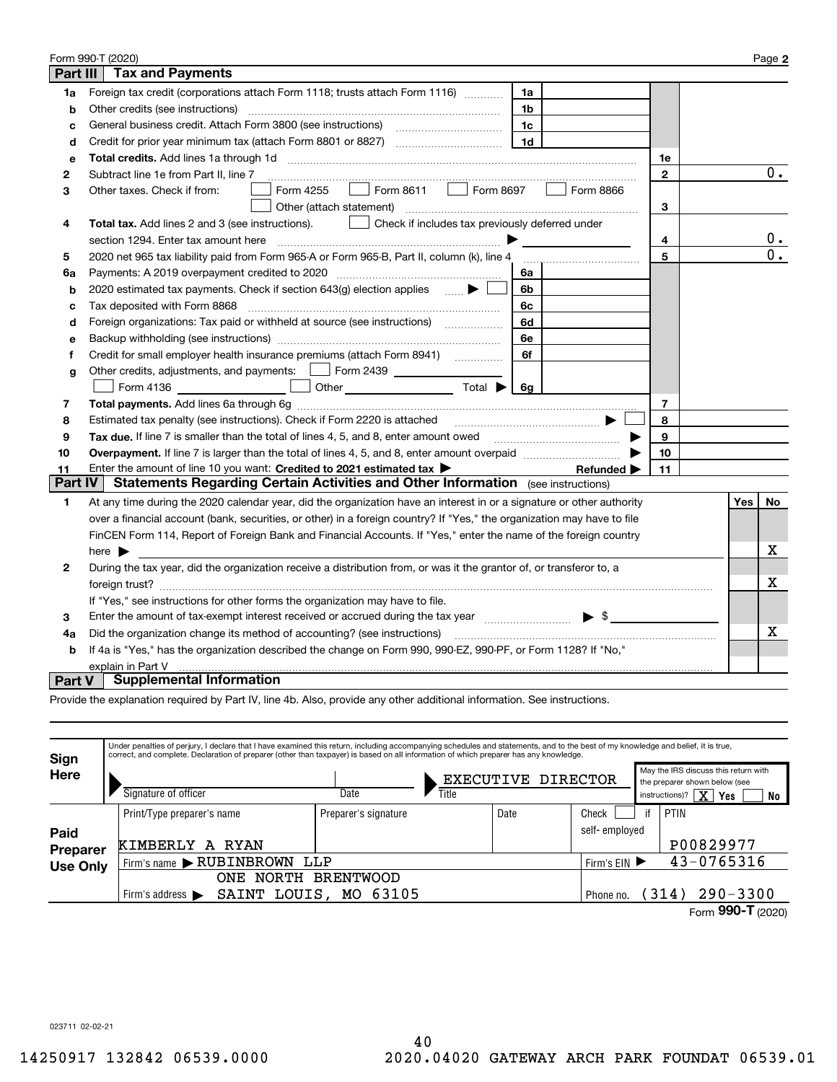|                 | Form 990-T (2020)                                                                                                                         |              |     | Page 2 |
|-----------------|-------------------------------------------------------------------------------------------------------------------------------------------|--------------|-----|--------|
| <b>Part III</b> | <b>Tax and Payments</b>                                                                                                                   |              |     |        |
| 1a              | Foreign tax credit (corporations attach Form 1118; trusts attach Form 1116) [[[[[[[[[[[[[[[[[[[[[[[[<br>1a                                |              |     |        |
| b               | Other credits (see instructions)<br>1b                                                                                                    |              |     |        |
| c               | 1c                                                                                                                                        |              |     |        |
| d               | 1 <sub>d</sub><br>Credit for prior year minimum tax (attach Form 8801 or 8827)                                                            |              |     |        |
| е               |                                                                                                                                           | 1e           |     |        |
| 2               | Subtract line 1e from Part II, line 7                                                                                                     | $\mathbf{2}$ |     | 0.     |
| 3               | Form 8611<br>Form 4255<br>Form 8697<br>Form 8866<br>Other taxes. Check if from:<br>$\mathbf{I}$                                           |              |     |        |
|                 | Other (attach statement)                                                                                                                  | 3            |     |        |
| 4               | Check if includes tax previously deferred under<br>Total tax. Add lines 2 and 3 (see instructions).                                       |              |     |        |
|                 | section 1294. Enter tax amount here                                                                                                       | 4            |     | $0$ .  |
| 5               | 2020 net 965 tax liability paid from Form 965-A or Form 965-B, Part II, column (k), line 4                                                | 5            |     | 0.     |
| 6a              | Payments: A 2019 overpayment credited to 2020 [11] [11] maximum materials: A 2019 overpayment credited to 2020<br>6a                      |              |     |        |
| b               | 2020 estimated tax payments. Check if section 643(g) election applies $\blacktriangleright$<br>6b                                         |              |     |        |
| c               | Tax deposited with Form 8868<br>6с                                                                                                        |              |     |        |
| d               | Foreign organizations: Tax paid or withheld at source (see instructions) [<br>6d                                                          |              |     |        |
| e               | 6e                                                                                                                                        |              |     |        |
| f               | Credit for small employer health insurance premiums (attach Form 8941) [11, 2006]<br>6f                                                   |              |     |        |
| g               | Other credits, adjustments, and payments:   Form 2439                                                                                     |              |     |        |
|                 | <u> 1999 - Francis III e pre</u><br>Other $\overline{\hspace{1cm}}$ Total $\blacktriangleright$ $\overline{\hspace{1cm}}$ 6g<br>Form 4136 |              |     |        |
| 7               |                                                                                                                                           | 7            |     |        |
| 8               | Estimated tax penalty (see instructions). Check if Form 2220 is attached                                                                  | 8            |     |        |
| 9               | Tax due. If line 7 is smaller than the total of lines 4, 5, and 8, enter amount owed <b>Face and Conservers</b> in the                    | 9            |     |        |
| 10              |                                                                                                                                           | 10           |     |        |
| 11              | Enter the amount of line 10 you want: Credited to 2021 estimated tax<br>Refunded $\blacktriangleright$                                    | 11           |     |        |
| Part IV         | <b>Statements Regarding Certain Activities and Other Information</b> (see instructions)                                                   |              |     |        |
| 1               | At any time during the 2020 calendar year, did the organization have an interest in or a signature or other authority                     |              | Yes | No     |
|                 | over a financial account (bank, securities, or other) in a foreign country? If "Yes," the organization may have to file                   |              |     |        |
|                 | FinCEN Form 114, Report of Foreign Bank and Financial Accounts. If "Yes," enter the name of the foreign country                           |              |     |        |
|                 | here $\blacktriangleright$                                                                                                                |              |     | х      |
| 2               | During the tax year, did the organization receive a distribution from, or was it the grantor of, or transferor to, a                      |              |     |        |
|                 |                                                                                                                                           |              |     | Х      |
|                 | If "Yes," see instructions for other forms the organization may have to file.                                                             |              |     |        |
| 3               | Enter the amount of tax-exempt interest received or accrued during the tax year manufactured $\bullet$ \$                                 |              |     |        |
| 4a              | Did the organization change its method of accounting? (see instructions)                                                                  |              |     | x      |
| b               | If 4a is "Yes," has the organization described the change on Form 990, 990-EZ, 990-PF, or Form 1128? If "No,"                             |              |     |        |
|                 | explain in Part V                                                                                                                         |              |     |        |
| <b>Part V</b>   | <b>Supplemental Information</b>                                                                                                           |              |     |        |

Provide the explanation required by Part IV, line 4b. Also, provide any other additional information. See instructions.

| Sign             | Under penalties of perjury, I declare that I have examined this return, including accompanying schedules and statements, and to the best of my knowledge and belief, it is true,<br>correct, and complete. Declaration of preparer (other than taxpayer) is based on all information of which preparer has any knowledge. |                      |                             |               |    |                                                                                                                               |
|------------------|---------------------------------------------------------------------------------------------------------------------------------------------------------------------------------------------------------------------------------------------------------------------------------------------------------------------------|----------------------|-----------------------------|---------------|----|-------------------------------------------------------------------------------------------------------------------------------|
| <b>Here</b>      | Signature of officer                                                                                                                                                                                                                                                                                                      | Date                 | EXECUTIVE DIRECTOR<br>Title |               |    | May the IRS discuss this return with<br>the preparer shown below (see<br>$\overline{\text{X}}$<br>instructions)?<br>Yes<br>No |
|                  | Print/Type preparer's name                                                                                                                                                                                                                                                                                                | Preparer's signature | Date                        | Check         | if | PTIN                                                                                                                          |
| Paid<br>Preparer | KIMBERLY<br>RYAN<br>A                                                                                                                                                                                                                                                                                                     |                      |                             | self-emploved |    | P00829977                                                                                                                     |
| <b>Use Only</b>  | Firm's name RUBINBROWN<br>LLP                                                                                                                                                                                                                                                                                             | Firm's EIN ▶         |                             | 43-0765316    |    |                                                                                                                               |
|                  | <b>NORTH</b><br>ONE                                                                                                                                                                                                                                                                                                       | <b>BRENTWOOD</b>     |                             |               |    |                                                                                                                               |
|                  | LOUIS,<br>SAINT<br>Firm's address $\blacktriangleright$                                                                                                                                                                                                                                                                   | 63105<br>MO.         |                             | Phone no.     |    | $290 - 3300$<br>(314)                                                                                                         |
|                  |                                                                                                                                                                                                                                                                                                                           |                      |                             |               |    | Form 990-T (2020)                                                                                                             |

023711 02-02-21